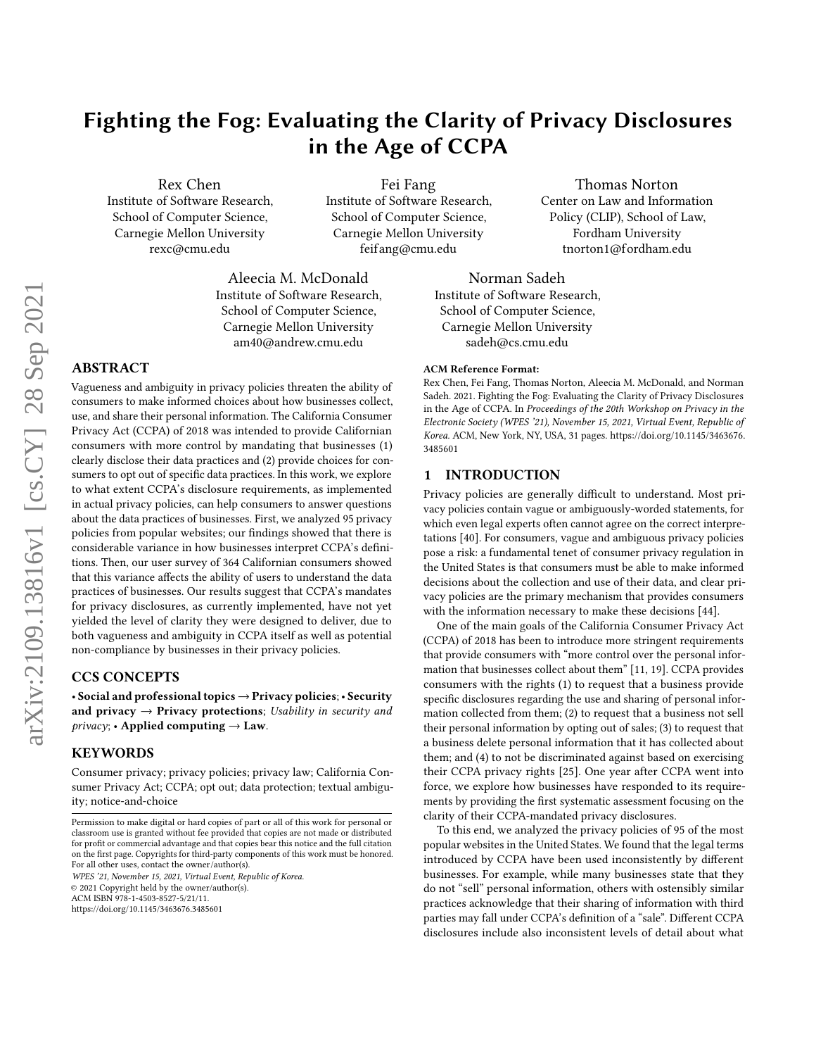# Fighting the Fog: Evaluating the Clarity of Privacy Disclosures in the Age of CCPA

Rex Chen Institute of Software Research, School of Computer Science, Carnegie Mellon University rexc@cmu.edu

Fei Fang Institute of Software Research, School of Computer Science, Carnegie Mellon University feifang@cmu.edu

Thomas Norton Center on Law and Information Policy (CLIP), School of Law, Fordham University tnorton1@fordham.edu

Aleecia M. McDonald Institute of Software Research, School of Computer Science, Carnegie Mellon University am40@andrew.cmu.edu

# ABSTRACT

Vagueness and ambiguity in privacy policies threaten the ability of consumers to make informed choices about how businesses collect, use, and share their personal information. The California Consumer Privacy Act (CCPA) of 2018 was intended to provide Californian consumers with more control by mandating that businesses (1) clearly disclose their data practices and (2) provide choices for consumers to opt out of specific data practices. In this work, we explore to what extent CCPA's disclosure requirements, as implemented in actual privacy policies, can help consumers to answer questions about the data practices of businesses. First, we analyzed 95 privacy policies from popular websites; our findings showed that there is considerable variance in how businesses interpret CCPA's definitions. Then, our user survey of 364 Californian consumers showed that this variance affects the ability of users to understand the data practices of businesses. Our results suggest that CCPA's mandates for privacy disclosures, as currently implemented, have not yet yielded the level of clarity they were designed to deliver, due to both vagueness and ambiguity in CCPA itself as well as potential non-compliance by businesses in their privacy policies.

## CCS CONCEPTS

• Social and professional topics → Privacy policies; • Security and privacy  $\rightarrow$  Privacy protections; Usability in security and  $\text{privacy:}$  • Applied computing  $\rightarrow$  Law.

## **KEYWORDS**

Consumer privacy; privacy policies; privacy law; California Consumer Privacy Act; CCPA; opt out; data protection; textual ambiguity; notice-and-choice

WPES '21, November 15, 2021, Virtual Event, Republic of Korea.

© 2021 Copyright held by the owner/author(s).

ACM ISBN 978-1-4503-8527-5/21/11.

<https://doi.org/10.1145/3463676.3485601>

Norman Sadeh Institute of Software Research, School of Computer Science, Carnegie Mellon University sadeh@cs.cmu.edu

#### ACM Reference Format:

Rex Chen, Fei Fang, Thomas Norton, Aleecia M. McDonald, and Norman Sadeh. 2021. Fighting the Fog: Evaluating the Clarity of Privacy Disclosures in the Age of CCPA. In Proceedings of the 20th Workshop on Privacy in the Electronic Society (WPES '21), November 15, 2021, Virtual Event, Republic of Korea. ACM, New York, NY, USA, [31](#page-30-0) pages. [https://doi.org/10.1145/3463676.](https://doi.org/10.1145/3463676.3485601) [3485601](https://doi.org/10.1145/3463676.3485601)

## 1 INTRODUCTION

Privacy policies are generally difficult to understand. Most privacy policies contain vague or ambiguously-worded statements, for which even legal experts often cannot agree on the correct interpretations [\[40\]](#page-12-0). For consumers, vague and ambiguous privacy policies pose a risk: a fundamental tenet of consumer privacy regulation in the United States is that consumers must be able to make informed decisions about the collection and use of their data, and clear privacy policies are the primary mechanism that provides consumers with the information necessary to make these decisions [\[44\]](#page-12-1).

One of the main goals of the California Consumer Privacy Act (CCPA) of 2018 has been to introduce more stringent requirements that provide consumers with "more control over the personal information that businesses collect about them" [\[11,](#page-12-2) [19\]](#page-12-3). CCPA provides consumers with the rights (1) to request that a business provide specific disclosures regarding the use and sharing of personal information collected from them; (2) to request that a business not sell their personal information by opting out of sales; (3) to request that a business delete personal information that it has collected about them; and (4) to not be discriminated against based on exercising their CCPA privacy rights [\[25\]](#page-12-4). One year after CCPA went into force, we explore how businesses have responded to its requirements by providing the first systematic assessment focusing on the clarity of their CCPA-mandated privacy disclosures.

To this end, we analyzed the privacy policies of 95 of the most popular websites in the United States. We found that the legal terms introduced by CCPA have been used inconsistently by different businesses. For example, while many businesses state that they do not "sell" personal information, others with ostensibly similar practices acknowledge that their sharing of information with third parties may fall under CCPA's definition of a "sale". Different CCPA disclosures include also inconsistent levels of detail about what

Permission to make digital or hard copies of part or all of this work for personal or classroom use is granted without fee provided that copies are not made or distributed for profit or commercial advantage and that copies bear this notice and the full citation on the first page. Copyrights for third-party components of this work must be honored. For all other uses, contact the owner/author(s).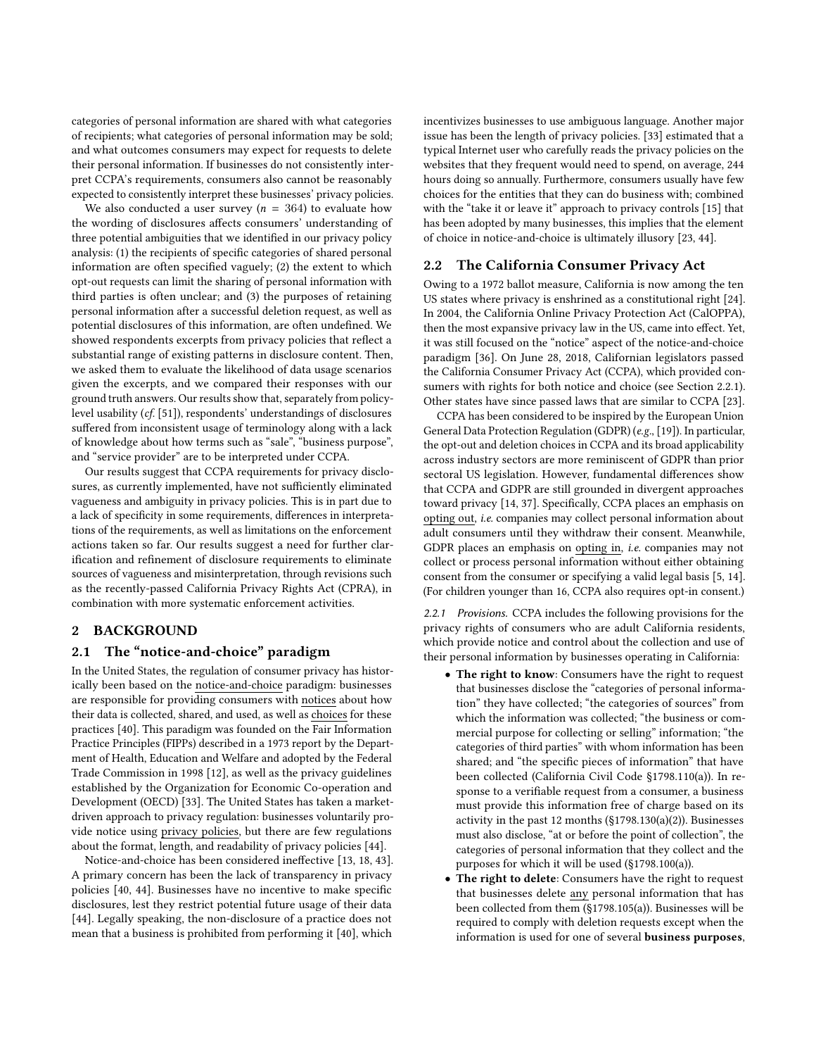categories of personal information are shared with what categories of recipients; what categories of personal information may be sold; and what outcomes consumers may expect for requests to delete their personal information. If businesses do not consistently interpret CCPA's requirements, consumers also cannot be reasonably expected to consistently interpret these businesses' privacy policies.

We also conducted a user survey ( $n = 364$ ) to evaluate how the wording of disclosures affects consumers' understanding of three potential ambiguities that we identified in our privacy policy analysis: (1) the recipients of specific categories of shared personal information are often specified vaguely; (2) the extent to which opt-out requests can limit the sharing of personal information with third parties is often unclear; and (3) the purposes of retaining personal information after a successful deletion request, as well as potential disclosures of this information, are often undefined. We showed respondents excerpts from privacy policies that reflect a substantial range of existing patterns in disclosure content. Then, we asked them to evaluate the likelihood of data usage scenarios given the excerpts, and we compared their responses with our ground truth answers. Our results show that, separately from policylevel usability (cf. [\[51\]](#page-13-0)), respondents' understandings of disclosures suffered from inconsistent usage of terminology along with a lack of knowledge about how terms such as "sale", "business purpose", and "service provider" are to be interpreted under CCPA.

Our results suggest that CCPA requirements for privacy disclosures, as currently implemented, have not sufficiently eliminated vagueness and ambiguity in privacy policies. This is in part due to a lack of specificity in some requirements, differences in interpretations of the requirements, as well as limitations on the enforcement actions taken so far. Our results suggest a need for further clarification and refinement of disclosure requirements to eliminate sources of vagueness and misinterpretation, through revisions such as the recently-passed California Privacy Rights Act (CPRA), in combination with more systematic enforcement activities.

## 2 BACKGROUND

## 2.1 The "notice-and-choice" paradigm

In the United States, the regulation of consumer privacy has historically been based on the notice-and-choice paradigm: businesses are responsible for providing consumers with notices about how their data is collected, shared, and used, as well as choices for these practices [\[40\]](#page-12-0). This paradigm was founded on the Fair Information Practice Principles (FIPPs) described in a 1973 report by the Department of Health, Education and Welfare and adopted by the Federal Trade Commission in 1998 [\[12\]](#page-12-5), as well as the privacy guidelines established by the Organization for Economic Co-operation and Development (OECD) [\[33\]](#page-12-6). The United States has taken a marketdriven approach to privacy regulation: businesses voluntarily provide notice using privacy policies, but there are few regulations about the format, length, and readability of privacy policies [\[44\]](#page-12-1).

Notice-and-choice has been considered ineffective [\[13,](#page-12-7) [18,](#page-12-8) [43\]](#page-12-9). A primary concern has been the lack of transparency in privacy policies [\[40,](#page-12-0) [44\]](#page-12-1). Businesses have no incentive to make specific disclosures, lest they restrict potential future usage of their data [\[44\]](#page-12-1). Legally speaking, the non-disclosure of a practice does not mean that a business is prohibited from performing it [\[40\]](#page-12-0), which

incentivizes businesses to use ambiguous language. Another major issue has been the length of privacy policies. [\[33\]](#page-12-6) estimated that a typical Internet user who carefully reads the privacy policies on the websites that they frequent would need to spend, on average, 244 hours doing so annually. Furthermore, consumers usually have few choices for the entities that they can do business with; combined with the "take it or leave it" approach to privacy controls [\[15\]](#page-12-10) that has been adopted by many businesses, this implies that the element of choice in notice-and-choice is ultimately illusory [\[23,](#page-12-11) [44\]](#page-12-1).

## 2.2 The California Consumer Privacy Act

Owing to a 1972 ballot measure, California is now among the ten US states where privacy is enshrined as a constitutional right [\[24\]](#page-12-12). In 2004, the California Online Privacy Protection Act (CalOPPA), then the most expansive privacy law in the US, came into effect. Yet, it was still focused on the "notice" aspect of the notice-and-choice paradigm [\[36\]](#page-12-13). On June 28, 2018, Californian legislators passed the California Consumer Privacy Act (CCPA), which provided consumers with rights for both notice and choice (see Section [2.2.1\)](#page-1-0). Other states have since passed laws that are similar to CCPA [\[23\]](#page-12-11).

CCPA has been considered to be inspired by the European Union General Data Protection Regulation (GDPR) (e.g., [\[19\]](#page-12-3)). In particular, the opt-out and deletion choices in CCPA and its broad applicability across industry sectors are more reminiscent of GDPR than prior sectoral US legislation. However, fundamental differences show that CCPA and GDPR are still grounded in divergent approaches toward privacy [\[14,](#page-12-14) [37\]](#page-12-15). Specifically, CCPA places an emphasis on opting out, i.e. companies may collect personal information about adult consumers until they withdraw their consent. Meanwhile, GDPR places an emphasis on opting in, i.e. companies may not collect or process personal information without either obtaining consent from the consumer or specifying a valid legal basis [\[5,](#page-12-16) [14\]](#page-12-14). (For children younger than 16, CCPA also requires opt-in consent.)

<span id="page-1-0"></span>2.2.1 Provisions. CCPA includes the following provisions for the privacy rights of consumers who are adult California residents, which provide notice and control about the collection and use of their personal information by businesses operating in California:

- The right to know: Consumers have the right to request that businesses disclose the "categories of personal information" they have collected; "the categories of sources" from which the information was collected; "the business or commercial purpose for collecting or selling" information; "the categories of third parties" with whom information has been shared; and "the specific pieces of information" that have been collected (California Civil Code §1798.110(a)). In response to a verifiable request from a consumer, a business must provide this information free of charge based on its activity in the past 12 months (§1798.130(a)(2)). Businesses must also disclose, "at or before the point of collection", the categories of personal information that they collect and the purposes for which it will be used (§1798.100(a)).
- The right to delete: Consumers have the right to request that businesses delete any personal information that has been collected from them (§1798.105(a)). Businesses will be required to comply with deletion requests except when the information is used for one of several **business purposes**,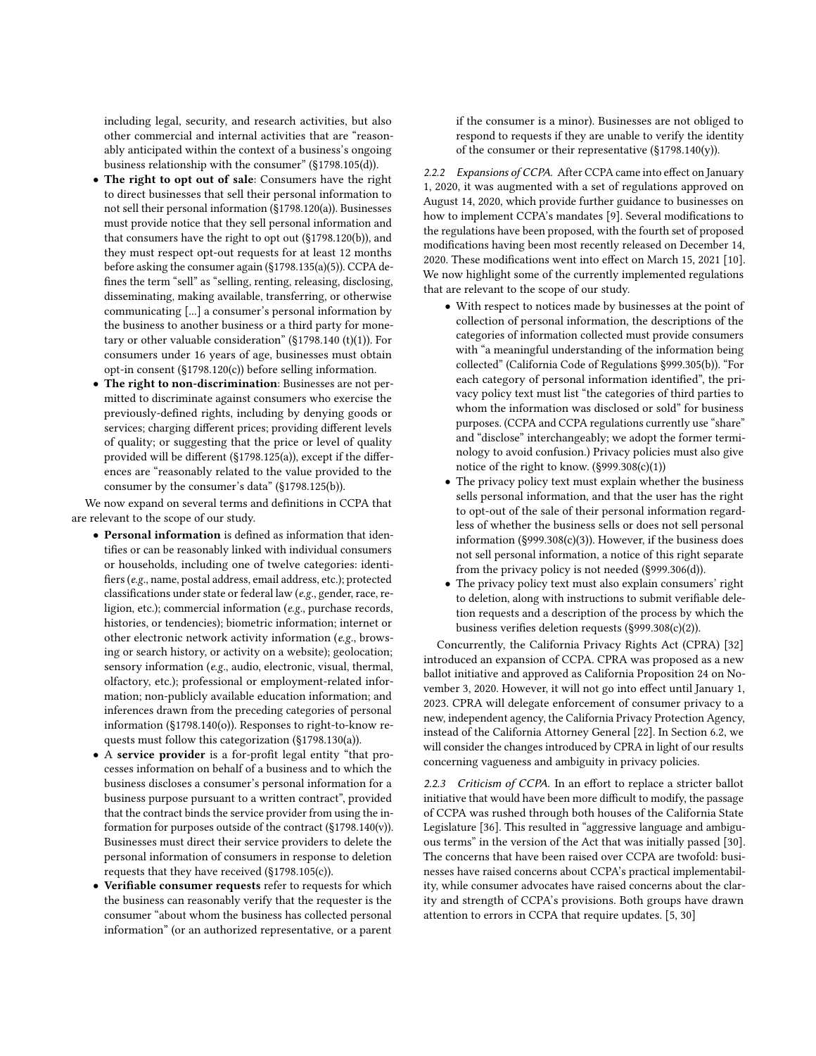including legal, security, and research activities, but also other commercial and internal activities that are "reasonably anticipated within the context of a business's ongoing business relationship with the consumer" (§1798.105(d)).

- The right to opt out of sale: Consumers have the right to direct businesses that sell their personal information to not sell their personal information (§1798.120(a)). Businesses must provide notice that they sell personal information and that consumers have the right to opt out (§1798.120(b)), and they must respect opt-out requests for at least 12 months before asking the consumer again (§1798.135(a)(5)). CCPA defines the term "sell" as "selling, renting, releasing, disclosing, disseminating, making available, transferring, or otherwise communicating [...] a consumer's personal information by the business to another business or a third party for monetary or other valuable consideration" ( $\S$ 1798.140 (t)(1)). For consumers under 16 years of age, businesses must obtain opt-in consent (§1798.120(c)) before selling information.
- The right to non-discrimination: Businesses are not permitted to discriminate against consumers who exercise the previously-defined rights, including by denying goods or services; charging different prices; providing different levels of quality; or suggesting that the price or level of quality provided will be different (§1798.125(a)), except if the differences are "reasonably related to the value provided to the consumer by the consumer's data" (§1798.125(b)).

We now expand on several terms and definitions in CCPA that are relevant to the scope of our study.

- Personal information is defined as information that identifies or can be reasonably linked with individual consumers or households, including one of twelve categories: identifiers (e.g., name, postal address, email address, etc.); protected classifications under state or federal law (e.g., gender, race, religion, etc.); commercial information (e.g., purchase records, histories, or tendencies); biometric information; internet or other electronic network activity information (e.g., browsing or search history, or activity on a website); geolocation; sensory information (e.g., audio, electronic, visual, thermal, olfactory, etc.); professional or employment-related information; non-publicly available education information; and inferences drawn from the preceding categories of personal information (§1798.140(o)). Responses to right-to-know requests must follow this categorization (§1798.130(a)).
- A service provider is a for-profit legal entity "that processes information on behalf of a business and to which the business discloses a consumer's personal information for a business purpose pursuant to a written contract", provided that the contract binds the service provider from using the information for purposes outside of the contract (§1798.140(v)). Businesses must direct their service providers to delete the personal information of consumers in response to deletion requests that they have received (§1798.105(c)).
- Verifiable consumer requests refer to requests for which the business can reasonably verify that the requester is the consumer "about whom the business has collected personal information" (or an authorized representative, or a parent

if the consumer is a minor). Businesses are not obliged to respond to requests if they are unable to verify the identity of the consumer or their representative (§1798.140(y)).

2.2.2 Expansions of CCPA. After CCPA came into effect on January 1, 2020, it was augmented with a set of regulations approved on August 14, 2020, which provide further guidance to businesses on how to implement CCPA's mandates [\[9\]](#page-12-17). Several modifications to the regulations have been proposed, with the fourth set of proposed modifications having been most recently released on December 14, 2020. These modifications went into effect on March 15, 2021 [\[10\]](#page-12-18). We now highlight some of the currently implemented regulations that are relevant to the scope of our study.

- With respect to notices made by businesses at the point of collection of personal information, the descriptions of the categories of information collected must provide consumers with "a meaningful understanding of the information being collected" (California Code of Regulations §999.305(b)). "For each category of personal information identified", the privacy policy text must list "the categories of third parties to whom the information was disclosed or sold" for business purposes. (CCPA and CCPA regulations currently use "share" and "disclose" interchangeably; we adopt the former terminology to avoid confusion.) Privacy policies must also give notice of the right to know. (§999.308(c)(1))
- The privacy policy text must explain whether the business sells personal information, and that the user has the right to opt-out of the sale of their personal information regardless of whether the business sells or does not sell personal information (§999.308(c)(3)). However, if the business does not sell personal information, a notice of this right separate from the privacy policy is not needed (§999.306(d)).
- The privacy policy text must also explain consumers' right to deletion, along with instructions to submit verifiable deletion requests and a description of the process by which the business verifies deletion requests (§999.308(c)(2)).

Concurrently, the California Privacy Rights Act (CPRA) [\[32\]](#page-12-19) introduced an expansion of CCPA. CPRA was proposed as a new ballot initiative and approved as California Proposition 24 on November 3, 2020. However, it will not go into effect until January 1, 2023. CPRA will delegate enforcement of consumer privacy to a new, independent agency, the California Privacy Protection Agency, instead of the California Attorney General [\[22\]](#page-12-20). In Section [6.2,](#page-11-0) we will consider the changes introduced by CPRA in light of our results concerning vagueness and ambiguity in privacy policies.

<span id="page-2-0"></span>2.2.3 Criticism of CCPA. In an effort to replace a stricter ballot initiative that would have been more difficult to modify, the passage of CCPA was rushed through both houses of the California State Legislature [\[36\]](#page-12-13). This resulted in "aggressive language and ambiguous terms" in the version of the Act that was initially passed [\[30\]](#page-12-21). The concerns that have been raised over CCPA are twofold: businesses have raised concerns about CCPA's practical implementability, while consumer advocates have raised concerns about the clarity and strength of CCPA's provisions. Both groups have drawn attention to errors in CCPA that require updates. [\[5,](#page-12-16) [30\]](#page-12-21)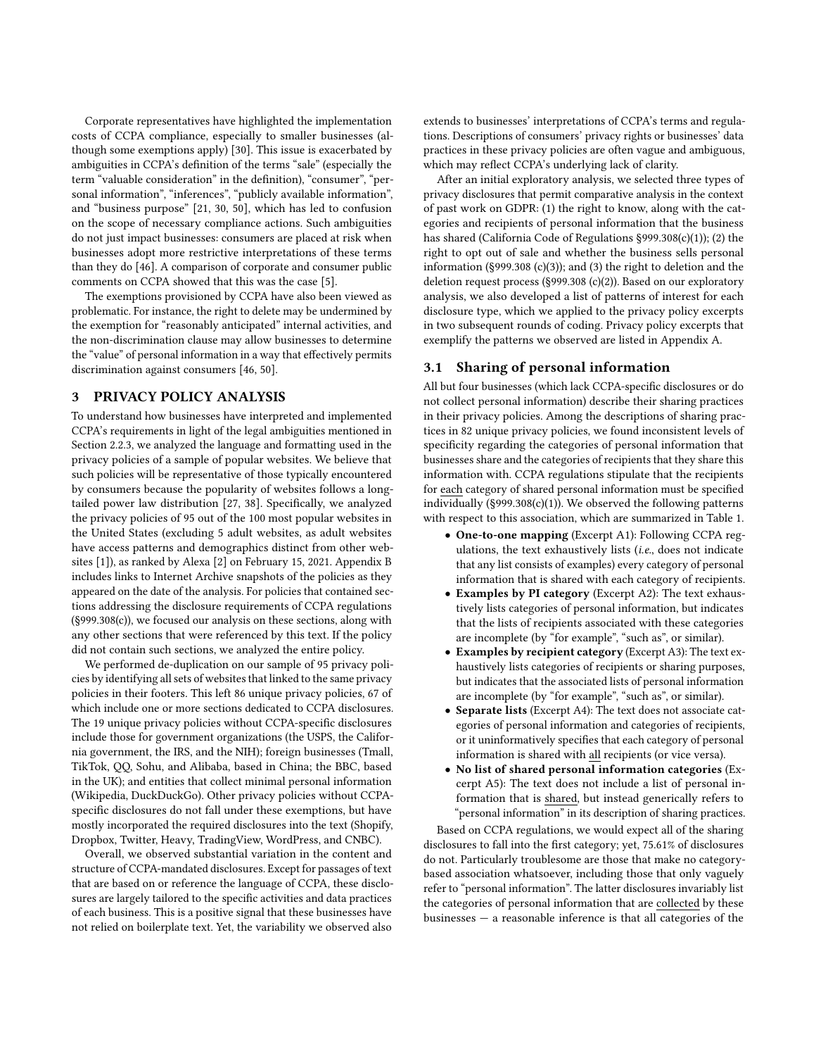Corporate representatives have highlighted the implementation costs of CCPA compliance, especially to smaller businesses (although some exemptions apply) [\[30\]](#page-12-21). This issue is exacerbated by ambiguities in CCPA's definition of the terms "sale" (especially the term "valuable consideration" in the definition), "consumer", "personal information", "inferences", "publicly available information", and "business purpose" [\[21,](#page-12-22) [30,](#page-12-21) [50\]](#page-12-23), which has led to confusion on the scope of necessary compliance actions. Such ambiguities do not just impact businesses: consumers are placed at risk when businesses adopt more restrictive interpretations of these terms than they do [\[46\]](#page-12-24). A comparison of corporate and consumer public comments on CCPA showed that this was the case [\[5\]](#page-12-16).

The exemptions provisioned by CCPA have also been viewed as problematic. For instance, the right to delete may be undermined by the exemption for "reasonably anticipated" internal activities, and the non-discrimination clause may allow businesses to determine the "value" of personal information in a way that effectively permits discrimination against consumers [\[46,](#page-12-24) [50\]](#page-12-23).

## <span id="page-3-1"></span>3 PRIVACY POLICY ANALYSIS

To understand how businesses have interpreted and implemented CCPA's requirements in light of the legal ambiguities mentioned in Section [2.2.3,](#page-2-0) we analyzed the language and formatting used in the privacy policies of a sample of popular websites. We believe that such policies will be representative of those typically encountered by consumers because the popularity of websites follows a longtailed power law distribution [\[27,](#page-12-25) [38\]](#page-12-26). Specifically, we analyzed the privacy policies of 95 out of the 100 most popular websites in the United States (excluding 5 adult websites, as adult websites have access patterns and demographics distinct from other websites [\[1\]](#page-12-27)), as ranked by Alexa [\[2\]](#page-12-28) on February 15, 2021. Appendix [B](#page-15-0) includes links to Internet Archive snapshots of the policies as they appeared on the date of the analysis. For policies that contained sections addressing the disclosure requirements of CCPA regulations (§999.308(c)), we focused our analysis on these sections, along with any other sections that were referenced by this text. If the policy did not contain such sections, we analyzed the entire policy.

We performed de-duplication on our sample of 95 privacy policies by identifying all sets of websites that linked to the same privacy policies in their footers. This left 86 unique privacy policies, 67 of which include one or more sections dedicated to CCPA disclosures. The 19 unique privacy policies without CCPA-specific disclosures include those for government organizations (the USPS, the California government, the IRS, and the NIH); foreign businesses (Tmall, TikTok, QQ, Sohu, and Alibaba, based in China; the BBC, based in the UK); and entities that collect minimal personal information (Wikipedia, DuckDuckGo). Other privacy policies without CCPAspecific disclosures do not fall under these exemptions, but have mostly incorporated the required disclosures into the text (Shopify, Dropbox, Twitter, Heavy, TradingView, WordPress, and CNBC).

Overall, we observed substantial variation in the content and structure of CCPA-mandated disclosures. Except for passages of text that are based on or reference the language of CCPA, these disclosures are largely tailored to the specific activities and data practices of each business. This is a positive signal that these businesses have not relied on boilerplate text. Yet, the variability we observed also extends to businesses' interpretations of CCPA's terms and regulations. Descriptions of consumers' privacy rights or businesses' data practices in these privacy policies are often vague and ambiguous, which may reflect CCPA's underlying lack of clarity.

After an initial exploratory analysis, we selected three types of privacy disclosures that permit comparative analysis in the context of past work on GDPR: (1) the right to know, along with the categories and recipients of personal information that the business has shared (California Code of Regulations §999.308(c)(1)); (2) the right to opt out of sale and whether the business sells personal information (§999.308 (c)(3)); and (3) the right to deletion and the deletion request process (§999.308 (c)(2)). Based on our exploratory analysis, we also developed a list of patterns of interest for each disclosure type, which we applied to the privacy policy excerpts in two subsequent rounds of coding. Privacy policy excerpts that exemplify the patterns we observed are listed in Appendix [A.](#page-13-1)

## <span id="page-3-0"></span>3.1 Sharing of personal information

All but four businesses (which lack CCPA-specific disclosures or do not collect personal information) describe their sharing practices in their privacy policies. Among the descriptions of sharing practices in 82 unique privacy policies, we found inconsistent levels of specificity regarding the categories of personal information that businesses share and the categories of recipients that they share this information with. CCPA regulations stipulate that the recipients for each category of shared personal information must be specified individually (§999.308(c)(1)). We observed the following patterns with respect to this association, which are summarized in Table [1.](#page-4-0)

- One-to-one mapping (Excerpt [A1\)](#page-13-2): Following CCPA regulations, the text exhaustively lists (i.e., does not indicate that any list consists of examples) every category of personal information that is shared with each category of recipients.
- Examples by PI category (Excerpt [A2\)](#page-13-3): The text exhaustively lists categories of personal information, but indicates that the lists of recipients associated with these categories are incomplete (by "for example", "such as", or similar).
- Examples by recipient category (Excerpt [A3\)](#page-13-4): The text exhaustively lists categories of recipients or sharing purposes, but indicates that the associated lists of personal information are incomplete (by "for example", "such as", or similar).
- Separate lists (Excerpt [A4\)](#page-13-5): The text does not associate categories of personal information and categories of recipients, or it uninformatively specifies that each category of personal information is shared with all recipients (or vice versa).
- No list of shared personal information categories (Excerpt [A5\)](#page-13-6): The text does not include a list of personal information that is shared, but instead generically refers to "personal information" in its description of sharing practices.

Based on CCPA regulations, we would expect all of the sharing disclosures to fall into the first category; yet, 75.61% of disclosures do not. Particularly troublesome are those that make no categorybased association whatsoever, including those that only vaguely refer to "personal information". The latter disclosures invariably list the categories of personal information that are collected by these businesses  $-$  a reasonable inference is that all categories of the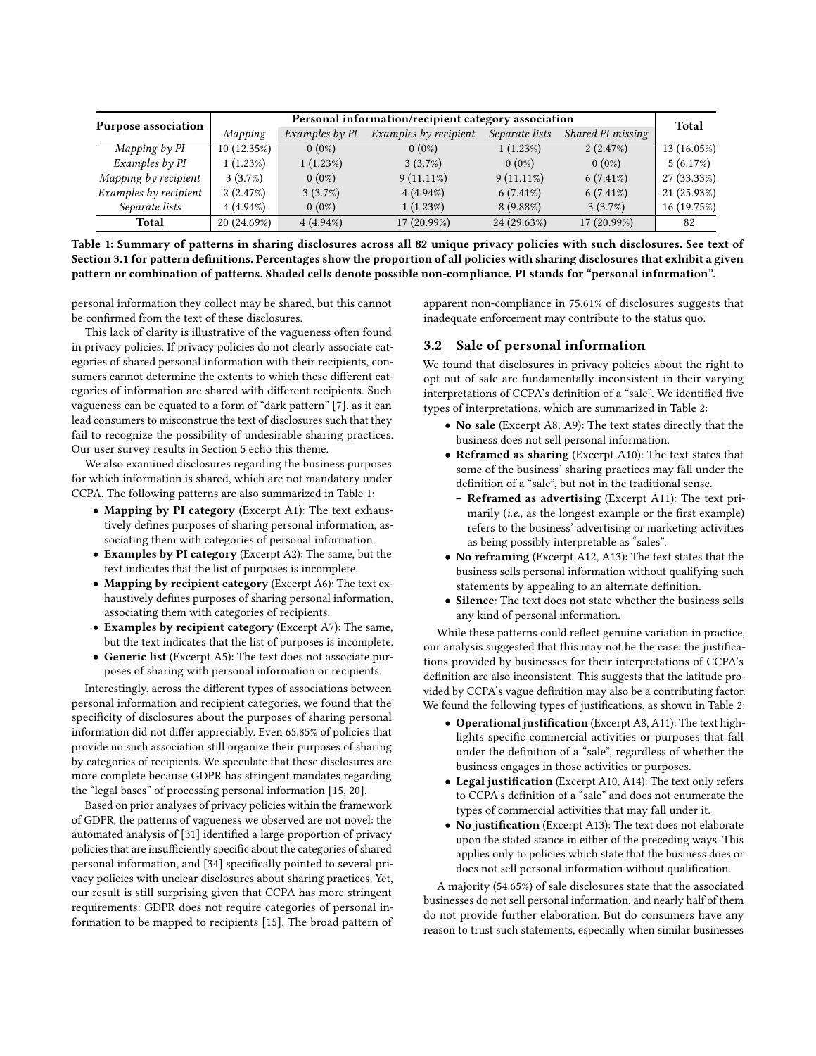<span id="page-4-0"></span>

| <b>Purpose association</b> | Personal information/recipient category association |                |                         |                |                   |             |
|----------------------------|-----------------------------------------------------|----------------|-------------------------|----------------|-------------------|-------------|
|                            | Mapping                                             | Examples by PI | Examples $by$ recipient | Separate lists | Shared PI missing | Total       |
| Mapping $by$ $PI$          | 10(12.35%)                                          | $0(0\%)$       | $0(0\%)$                | 1(1.23%)       | 2(2.47%)          | 13(16.05%)  |
| Examples by PI             | 1(1.23%)                                            | 1(1.23%)       | $3(3.7\%)$              | $0(0\%)$       | $0(0\%)$          | 5(6.17%)    |
| Mapping by recipient       | $3(3.7\%)$                                          | $0(0\%)$       | $9(11.11\%)$            | $9(11.11\%)$   | $6(7.41\%)$       | 27 (33.33%) |
| Examples by recipient      | 2(2.47%)                                            | $3(3.7\%)$     | $4(4.94\%)$             | $6(7.41\%)$    | $6(7.41\%)$       | 21(25.93%)  |
| Separate lists             | $4(4.94\%)$                                         | $0(0\%)$       | 1(1.23%)                | $8(9.88\%)$    | $3(3.7\%)$        | 16(19.75%)  |
| <b>Total</b>               | 20 (24.69%)                                         | $4(4.94\%)$    | 17 (20.99%)             | 24 (29.63%)    | 17 (20.99%)       | 82          |

Table 1: Summary of patterns in sharing disclosures across all 82 unique privacy policies with such disclosures. See text of Section [3.1](#page-3-0) for pattern definitions. Percentages show the proportion of all policies with sharing disclosures that exhibit a given pattern or combination of patterns. Shaded cells denote possible non-compliance. PI stands for "personal information".

personal information they collect may be shared, but this cannot be confirmed from the text of these disclosures.

This lack of clarity is illustrative of the vagueness often found in privacy policies. If privacy policies do not clearly associate categories of shared personal information with their recipients, consumers cannot determine the extents to which these different categories of information are shared with different recipients. Such vagueness can be equated to a form of "dark pattern" [\[7\]](#page-12-29), as it can lead consumers to misconstrue the text of disclosures such that they fail to recognize the possibility of undesirable sharing practices. Our user survey results in Section [5](#page-9-0) echo this theme.

We also examined disclosures regarding the business purposes for which information is shared, which are not mandatory under CCPA. The following patterns are also summarized in Table [1:](#page-4-0)

- Mapping by PI category (Excerpt [A1\)](#page-13-2): The text exhaustively defines purposes of sharing personal information, associating them with categories of personal information.
- Examples by PI category (Excerpt [A2\)](#page-13-3): The same, but the text indicates that the list of purposes is incomplete.
- Mapping by recipient category (Excerpt [A6\)](#page-13-7): The text exhaustively defines purposes of sharing personal information, associating them with categories of recipients.
- Examples by recipient category (Excerpt [A7\)](#page-13-8): The same, but the text indicates that the list of purposes is incomplete.
- Generic list (Excerpt [A5\)](#page-13-6): The text does not associate purposes of sharing with personal information or recipients.

Interestingly, across the different types of associations between personal information and recipient categories, we found that the specificity of disclosures about the purposes of sharing personal information did not differ appreciably. Even 65.85% of policies that provide no such association still organize their purposes of sharing by categories of recipients. We speculate that these disclosures are more complete because GDPR has stringent mandates regarding the "legal bases" of processing personal information [\[15,](#page-12-10) [20\]](#page-12-30).

Based on prior analyses of privacy policies within the framework of GDPR, the patterns of vagueness we observed are not novel: the automated analysis of [\[31\]](#page-12-31) identified a large proportion of privacy policies that are insufficiently specific about the categories of shared personal information, and [\[34\]](#page-12-32) specifically pointed to several privacy policies with unclear disclosures about sharing practices. Yet, our result is still surprising given that CCPA has more stringent requirements: GDPR does not require categories of personal information to be mapped to recipients [\[15\]](#page-12-10). The broad pattern of

apparent non-compliance in 75.61% of disclosures suggests that inadequate enforcement may contribute to the status quo.

## <span id="page-4-1"></span>3.2 Sale of personal information

We found that disclosures in privacy policies about the right to opt out of sale are fundamentally inconsistent in their varying interpretations of CCPA's definition of a "sale". We identified five types of interpretations, which are summarized in Table [2:](#page-5-0)

- No sale (Excerpt [A8,](#page-13-9) [A9\)](#page-13-10): The text states directly that the business does not sell personal information.
- Reframed as sharing (Excerpt [A10\)](#page-14-0): The text states that some of the business' sharing practices may fall under the definition of a "sale", but not in the traditional sense.
	- Reframed as advertising (Excerpt [A11\)](#page-14-1): The text primarily (i.e., as the longest example or the first example) refers to the business' advertising or marketing activities as being possibly interpretable as "sales".
- No reframing (Excerpt [A12,](#page-14-2) [A13\)](#page-14-3): The text states that the business sells personal information without qualifying such statements by appealing to an alternate definition.
- Silence: The text does not state whether the business sells any kind of personal information.

While these patterns could reflect genuine variation in practice, our analysis suggested that this may not be the case: the justifications provided by businesses for their interpretations of CCPA's definition are also inconsistent. This suggests that the latitude provided by CCPA's vague definition may also be a contributing factor. We found the following types of justifications, as shown in Table [2:](#page-5-0)

- Operational justification (Excerpt [A8,](#page-13-9) [A11\)](#page-14-1): The text highlights specific commercial activities or purposes that fall under the definition of a "sale", regardless of whether the business engages in those activities or purposes.
- Legal justification (Excerpt [A10,](#page-14-0) [A14\)](#page-14-4): The text only refers to CCPA's definition of a "sale" and does not enumerate the types of commercial activities that may fall under it.
- No justification (Excerpt [A13\)](#page-14-3): The text does not elaborate upon the stated stance in either of the preceding ways. This applies only to policies which state that the business does or does not sell personal information without qualification.

A majority (54.65%) of sale disclosures state that the associated businesses do not sell personal information, and nearly half of them do not provide further elaboration. But do consumers have any reason to trust such statements, especially when similar businesses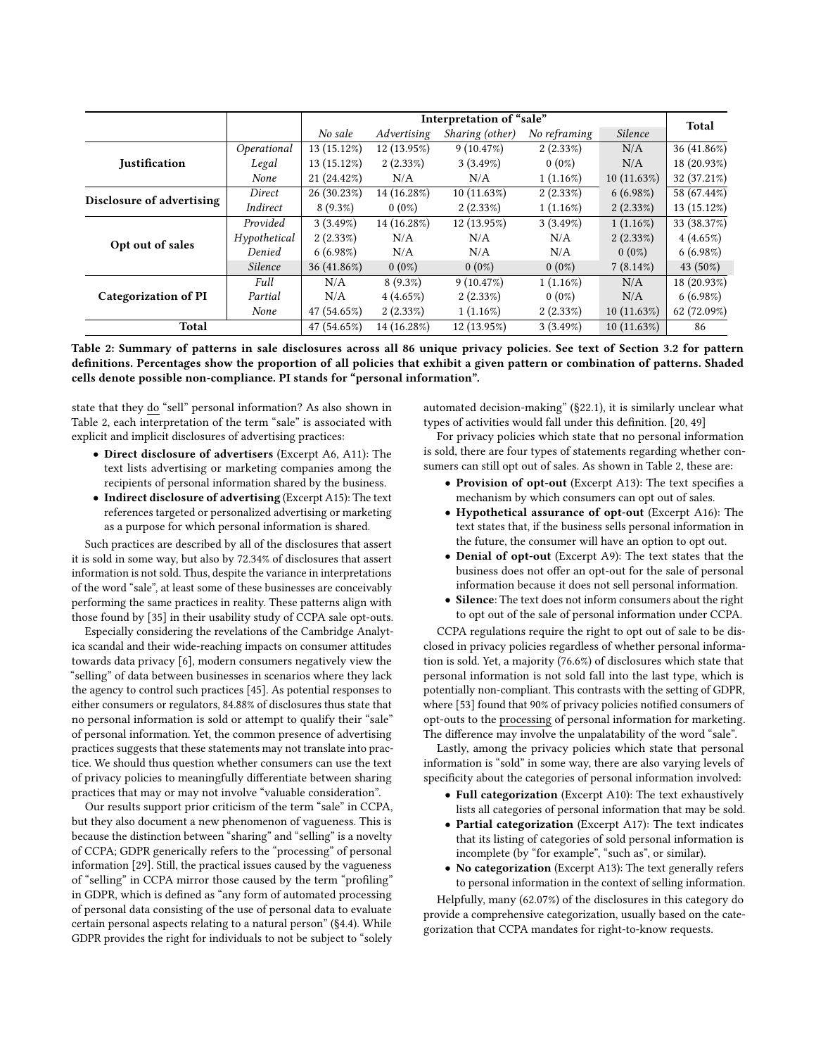<span id="page-5-0"></span>

|                             |              | Interpretation of "sale" |             |                 |              | Total       |             |
|-----------------------------|--------------|--------------------------|-------------|-----------------|--------------|-------------|-------------|
|                             |              | No sale                  | Advertising | Sharing (other) | No reframing | Silence     |             |
|                             | Operational  | 13 (15.12%)              | 12 (13.95%) | 9(10.47%)       | $2(2.33\%)$  | N/A         | 36 (41.86%) |
| <b>Iustification</b>        | Legal        | 13 (15.12%)              | $2(2.33\%)$ | 3(3.49%)        | $0(0\%)$     | N/A         | 18 (20.93%) |
|                             | None         | 21 (24.42%)              | N/A         | N/A             | $1(1.16\%)$  | 10(11.63%)  | 32 (37.21%) |
| Disclosure of advertising   | Direct       | 26 (30.23%)              | 14 (16.28%) | 10(11.63%)      | $2(2.33\%)$  | $6(6.98\%)$ | 58 (67.44%) |
|                             | Indirect     | $8(9.3\%)$               | $0(0\%)$    | $2(2.33\%)$     | $1(1.16\%)$  | $2(2.33\%)$ | 13 (15.12%) |
|                             | Provided     | 3(3.49%)                 | 14 (16.28%) | 12 (13.95%)     | $3(3.49\%)$  | $1(1.16\%)$ | 33 (38.37%) |
| Opt out of sales            | Hypothetical | $2(2.33\%)$              | N/A         | N/A             | N/A          | $2(2.33\%)$ | 4(4.65%)    |
|                             | Denied       | 6(6.98%)                 | N/A         | N/A             | N/A          | $0(0\%)$    | 6(6.98%)    |
|                             | Silence      | 36 (41.86%)              | $0(0\%)$    | $0(0\%)$        | $0(0\%)$     | $7(8.14\%)$ | 43 (50%)    |
|                             | Full         | N/A                      | $8(9.3\%)$  | 9(10.47%)       | $1(1.16\%)$  | N/A         | 18 (20.93%) |
| <b>Categorization of PI</b> | Partial      | N/A                      | 4(4.65%)    | $2(2.33\%)$     | $0(0\%)$     | N/A         | 6(6.98%)    |
|                             | None         | 47 (54.65%)              | $2(2.33\%)$ | $1(1.16\%)$     | $2(2.33\%)$  | 10(11.63%)  | 62 (72.09%) |
| <b>Total</b>                |              | 47 (54.65%)              | 14 (16.28%) | 12 (13.95%)     | 3(3.49%)     | 10(11.63%)  | 86          |

Table 2: Summary of patterns in sale disclosures across all 86 unique privacy policies. See text of Section [3.2](#page-4-1) for pattern definitions. Percentages show the proportion of all policies that exhibit a given pattern or combination of patterns. Shaded cells denote possible non-compliance. PI stands for "personal information".

state that they do "sell" personal information? As also shown in Table [2,](#page-5-0) each interpretation of the term "sale" is associated with explicit and implicit disclosures of advertising practices:

- Direct disclosure of advertisers (Excerpt [A6,](#page-13-7) [A11\)](#page-14-1): The text lists advertising or marketing companies among the recipients of personal information shared by the business.
- Indirect disclosure of advertising (Excerpt [A15\)](#page-14-5): The text references targeted or personalized advertising or marketing as a purpose for which personal information is shared.

Such practices are described by all of the disclosures that assert it is sold in some way, but also by 72.34% of disclosures that assert information is not sold. Thus, despite the variance in interpretations of the word "sale", at least some of these businesses are conceivably performing the same practices in reality. These patterns align with those found by [\[35\]](#page-12-33) in their usability study of CCPA sale opt-outs.

Especially considering the revelations of the Cambridge Analytica scandal and their wide-reaching impacts on consumer attitudes towards data privacy [\[6\]](#page-12-34), modern consumers negatively view the "selling" of data between businesses in scenarios where they lack the agency to control such practices [\[45\]](#page-12-35). As potential responses to either consumers or regulators, 84.88% of disclosures thus state that no personal information is sold or attempt to qualify their "sale" of personal information. Yet, the common presence of advertising practices suggests that these statements may not translate into practice. We should thus question whether consumers can use the text of privacy policies to meaningfully differentiate between sharing practices that may or may not involve "valuable consideration".

Our results support prior criticism of the term "sale" in CCPA, but they also document a new phenomenon of vagueness. This is because the distinction between "sharing" and "selling" is a novelty of CCPA; GDPR generically refers to the "processing" of personal information [\[29\]](#page-12-36). Still, the practical issues caused by the vagueness of "selling" in CCPA mirror those caused by the term "profiling" in GDPR, which is defined as "any form of automated processing of personal data consisting of the use of personal data to evaluate certain personal aspects relating to a natural person" (§4.4). While GDPR provides the right for individuals to not be subject to "solely

automated decision-making" (§22.1), it is similarly unclear what types of activities would fall under this definition. [\[20,](#page-12-30) [49\]](#page-12-37)

For privacy policies which state that no personal information is sold, there are four types of statements regarding whether consumers can still opt out of sales. As shown in Table [2,](#page-5-0) these are:

- Provision of opt-out (Excerpt [A13\)](#page-14-3): The text specifies a mechanism by which consumers can opt out of sales.
- Hypothetical assurance of opt-out (Excerpt [A16\)](#page-14-6): The text states that, if the business sells personal information in the future, the consumer will have an option to opt out.
- Denial of opt-out (Excerpt [A9\)](#page-13-10): The text states that the business does not offer an opt-out for the sale of personal information because it does not sell personal information.
- Silence: The text does not inform consumers about the right to opt out of the sale of personal information under CCPA.

CCPA regulations require the right to opt out of sale to be disclosed in privacy policies regardless of whether personal information is sold. Yet, a majority (76.6%) of disclosures which state that personal information is not sold fall into the last type, which is potentially non-compliant. This contrasts with the setting of GDPR, where [\[53\]](#page-13-11) found that 90% of privacy policies notified consumers of opt-outs to the processing of personal information for marketing. The difference may involve the unpalatability of the word "sale".

Lastly, among the privacy policies which state that personal information is "sold" in some way, there are also varying levels of specificity about the categories of personal information involved:

- Full categorization (Excerpt [A10\)](#page-14-0): The text exhaustively lists all categories of personal information that may be sold.
- Partial categorization (Excerpt [A17\)](#page-14-7): The text indicates that its listing of categories of sold personal information is incomplete (by "for example", "such as", or similar).
- No categorization (Excerpt [A13\)](#page-14-3): The text generally refers to personal information in the context of selling information.

Helpfully, many (62.07%) of the disclosures in this category do provide a comprehensive categorization, usually based on the categorization that CCPA mandates for right-to-know requests.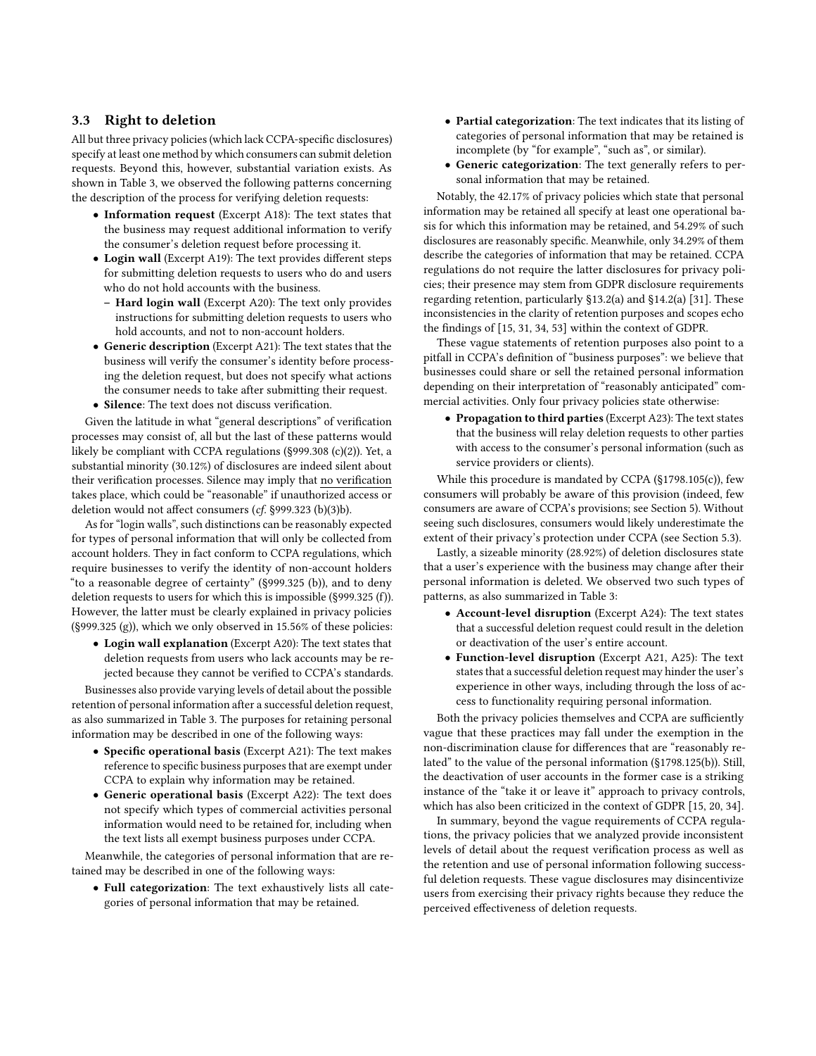## <span id="page-6-0"></span>3.3 Right to deletion

All but three privacy policies (which lack CCPA-specific disclosures) specify at least one method by which consumers can submit deletion requests. Beyond this, however, substantial variation exists. As shown in Table [3,](#page-7-0) we observed the following patterns concerning the description of the process for verifying deletion requests:

- Information request (Excerpt [A18\)](#page-14-8): The text states that the business may request additional information to verify the consumer's deletion request before processing it.
- Login wall (Excerpt [A19\)](#page-15-1): The text provides different steps for submitting deletion requests to users who do and users who do not hold accounts with the business.
	- Hard login wall (Excerpt [A20\)](#page-15-2): The text only provides instructions for submitting deletion requests to users who hold accounts, and not to non-account holders.
- Generic description (Excerpt [A21\)](#page-15-3): The text states that the business will verify the consumer's identity before processing the deletion request, but does not specify what actions the consumer needs to take after submitting their request.
- Silence: The text does not discuss verification.

Given the latitude in what "general descriptions" of verification processes may consist of, all but the last of these patterns would likely be compliant with CCPA regulations (§999.308 (c)(2)). Yet, a substantial minority (30.12%) of disclosures are indeed silent about their verification processes. Silence may imply that no verification takes place, which could be "reasonable" if unauthorized access or deletion would not affect consumers (cf. §999.323 (b)(3)b).

As for "login walls", such distinctions can be reasonably expected for types of personal information that will only be collected from account holders. They in fact conform to CCPA regulations, which require businesses to verify the identity of non-account holders "to a reasonable degree of certainty" (§999.325 (b)), and to deny deletion requests to users for which this is impossible (§999.325 (f)). However, the latter must be clearly explained in privacy policies  $(S999.325(g))$ , which we only observed in 15.56% of these policies:

• Login wall explanation (Excerpt [A20\)](#page-15-2): The text states that deletion requests from users who lack accounts may be rejected because they cannot be verified to CCPA's standards.

Businesses also provide varying levels of detail about the possible retention of personal information after a successful deletion request, as also summarized in Table [3.](#page-7-0) The purposes for retaining personal information may be described in one of the following ways:

- Specific operational basis (Excerpt [A21\)](#page-15-3): The text makes reference to specific business purposes that are exempt under CCPA to explain why information may be retained.
- Generic operational basis (Excerpt [A22\)](#page-15-4): The text does not specify which types of commercial activities personal information would need to be retained for, including when the text lists all exempt business purposes under CCPA.

Meanwhile, the categories of personal information that are retained may be described in one of the following ways:

• Full categorization: The text exhaustively lists all categories of personal information that may be retained.

- Partial categorization: The text indicates that its listing of categories of personal information that may be retained is incomplete (by "for example", "such as", or similar).
- Generic categorization: The text generally refers to personal information that may be retained.

Notably, the 42.17% of privacy policies which state that personal information may be retained all specify at least one operational basis for which this information may be retained, and 54.29% of such disclosures are reasonably specific. Meanwhile, only 34.29% of them describe the categories of information that may be retained. CCPA regulations do not require the latter disclosures for privacy policies; their presence may stem from GDPR disclosure requirements regarding retention, particularly §13.2(a) and §14.2(a) [\[31\]](#page-12-31). These inconsistencies in the clarity of retention purposes and scopes echo the findings of [\[15,](#page-12-10) [31,](#page-12-31) [34,](#page-12-32) [53\]](#page-13-11) within the context of GDPR.

These vague statements of retention purposes also point to a pitfall in CCPA's definition of "business purposes": we believe that businesses could share or sell the retained personal information depending on their interpretation of "reasonably anticipated" commercial activities. Only four privacy policies state otherwise:

• Propagation to third parties (Excerpt [A23\)](#page-15-5): The text states that the business will relay deletion requests to other parties with access to the consumer's personal information (such as service providers or clients).

While this procedure is mandated by CCPA (§1798.105(c)), few consumers will probably be aware of this provision (indeed, few consumers are aware of CCPA's provisions; see Section [5\)](#page-9-0). Without seeing such disclosures, consumers would likely underestimate the extent of their privacy's protection under CCPA (see Section [5.3\)](#page-11-1).

Lastly, a sizeable minority (28.92%) of deletion disclosures state that a user's experience with the business may change after their personal information is deleted. We observed two such types of patterns, as also summarized in Table [3:](#page-7-0)

- Account-level disruption (Excerpt [A24\)](#page-15-6): The text states that a successful deletion request could result in the deletion or deactivation of the user's entire account.
- Function-level disruption (Excerpt [A21,](#page-15-3) [A25\)](#page-15-7): The text states that a successful deletion request may hinder the user's experience in other ways, including through the loss of access to functionality requiring personal information.

Both the privacy policies themselves and CCPA are sufficiently vague that these practices may fall under the exemption in the non-discrimination clause for differences that are "reasonably related" to the value of the personal information (§1798.125(b)). Still, the deactivation of user accounts in the former case is a striking instance of the "take it or leave it" approach to privacy controls, which has also been criticized in the context of GDPR [\[15,](#page-12-10) [20,](#page-12-30) [34\]](#page-12-32).

In summary, beyond the vague requirements of CCPA regulations, the privacy policies that we analyzed provide inconsistent levels of detail about the request verification process as well as the retention and use of personal information following successful deletion requests. These vague disclosures may disincentivize users from exercising their privacy rights because they reduce the perceived effectiveness of deletion requests.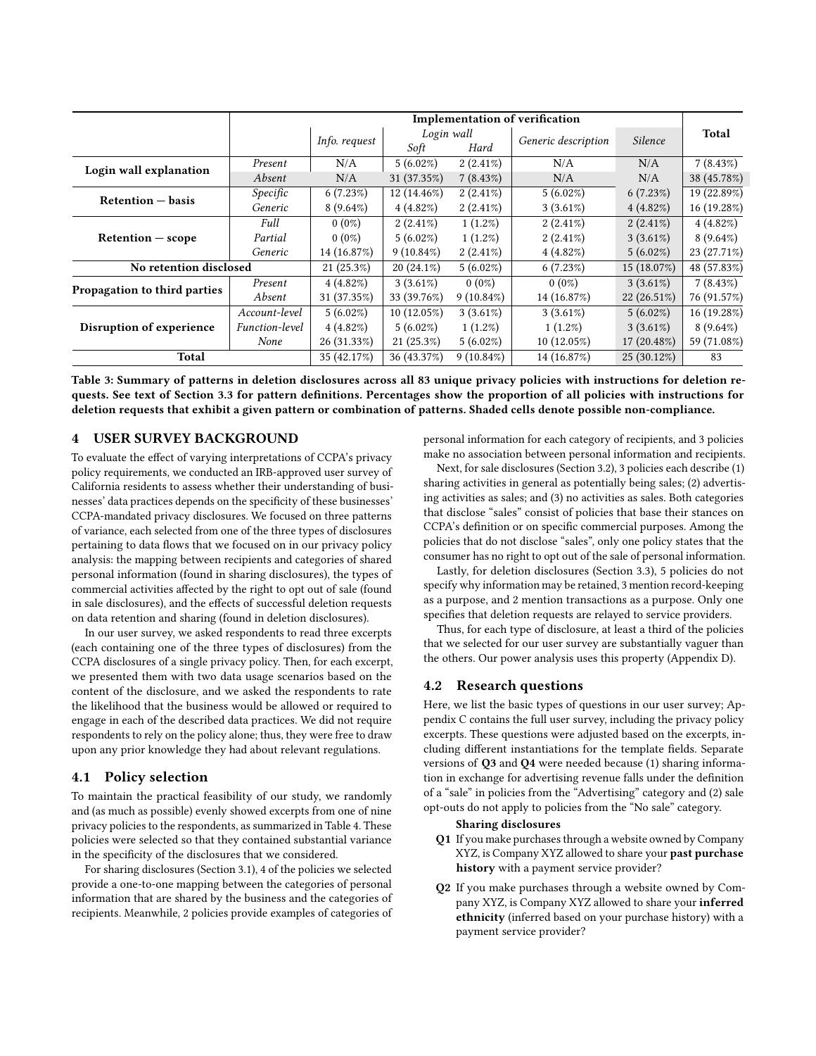<span id="page-7-0"></span>

|                              |                       | Implementation of verification              |              |                     |               |               |             |
|------------------------------|-----------------------|---------------------------------------------|--------------|---------------------|---------------|---------------|-------------|
|                              |                       | Login wall<br>Info. request<br>Soft<br>Hard |              | Generic description | Silence       | Total         |             |
| Login wall explanation       | Present               | N/A                                         | $5(6.02\%)$  | $2(2.41\%)$         | N/A           | N/A           | $7(8.43\%)$ |
|                              | Absent                | N/A                                         | 31 (37.35%)  | $7(8.43\%)$         | N/A           | N/A           | 38 (45.78%) |
| Retention – basis            | Specific              | 6(7.23%)                                    | 12 (14.46%)  | $2(2.41\%)$         | $5(6.02\%)$   | 6(7.23%)      | 19 (22.89%) |
|                              | Generic               | $8(9.64\%)$                                 | $4(4.82\%)$  | $2(2.41\%)$         | $3(3.61\%)$   | 4(4.82%)      | 16 (19.28%) |
|                              | Full                  | $0(0\%)$                                    | $2(2.41\%)$  | $1(1.2\%)$          | $2(2.41\%)$   | $2(2.41\%)$   | 4(4.82%)    |
| $Retention - scope$          | Partial               | $0(0\%)$                                    | $5(6.02\%)$  | $1(1.2\%)$          | $2(2.41\%)$   | $3(3.61\%)$   | $8(9.64\%)$ |
|                              | Generic               | 14 (16.87%)                                 | $9(10.84\%)$ | $2(2.41\%)$         | 4(4.82%)      | $5(6.02\%)$   | 23 (27.71%) |
| No retention disclosed       |                       | 21(25.3%)                                   | $20(24.1\%)$ | $5(6.02\%)$         | 6(7.23%)      | 15 (18.07%)   | 48 (57.83%) |
| Propagation to third parties | Present               | 4(4.82%)                                    | $3(3.61\%)$  | $0(0\%)$            | $0(0\%)$      | $3(3.61\%)$   | $7(8.43\%)$ |
|                              | Absent                | 31 (37.35%)                                 | 33 (39.76%)  | $9(10.84\%)$        | 14 (16.87%)   | $22(26.51\%)$ | 76 (91.57%) |
|                              | Account-level         | $5(6.02\%)$                                 | 10(12.05%)   | $3(3.61\%)$         | $3(3.61\%)$   | $5(6.02\%)$   | 16 (19.28%) |
| Disruption of experience     | <i>Function-level</i> | 4(4.82%)                                    | $5(6.02\%)$  | $1(1.2\%)$          | $1(1.2\%)$    | $3(3.61\%)$   | $8(9.64\%)$ |
|                              | None                  | 26 (31.33%)                                 | 21(25.3%)    | $5(6.02\%)$         | $10(12.05\%)$ | $17(20.48\%)$ | 59 (71.08%) |
| Total                        |                       | 35 (42.17%)                                 | 36 (43.37%)  | $9(10.84\%)$        | 14 (16.87%)   | $25(30.12\%)$ | 83          |

Table 3: Summary of patterns in deletion disclosures across all 83 unique privacy policies with instructions for deletion requests. See text of Section [3.3](#page-6-0) for pattern definitions. Percentages show the proportion of all policies with instructions for deletion requests that exhibit a given pattern or combination of patterns. Shaded cells denote possible non-compliance.

## 4 USER SURVEY BACKGROUND

To evaluate the effect of varying interpretations of CCPA's privacy policy requirements, we conducted an IRB-approved user survey of California residents to assess whether their understanding of businesses' data practices depends on the specificity of these businesses' CCPA-mandated privacy disclosures. We focused on three patterns of variance, each selected from one of the three types of disclosures pertaining to data flows that we focused on in our privacy policy analysis: the mapping between recipients and categories of shared personal information (found in sharing disclosures), the types of commercial activities affected by the right to opt out of sale (found in sale disclosures), and the effects of successful deletion requests on data retention and sharing (found in deletion disclosures).

In our user survey, we asked respondents to read three excerpts (each containing one of the three types of disclosures) from the CCPA disclosures of a single privacy policy. Then, for each excerpt, we presented them with two data usage scenarios based on the content of the disclosure, and we asked the respondents to rate the likelihood that the business would be allowed or required to engage in each of the described data practices. We did not require respondents to rely on the policy alone; thus, they were free to draw upon any prior knowledge they had about relevant regulations.

## <span id="page-7-1"></span>4.1 Policy selection

To maintain the practical feasibility of our study, we randomly and (as much as possible) evenly showed excerpts from one of nine privacy policies to the respondents, as summarized in Table [4.](#page-8-0) These policies were selected so that they contained substantial variance in the specificity of the disclosures that we considered.

For sharing disclosures (Section [3.1\)](#page-3-0), 4 of the policies we selected provide a one-to-one mapping between the categories of personal information that are shared by the business and the categories of recipients. Meanwhile, 2 policies provide examples of categories of personal information for each category of recipients, and 3 policies make no association between personal information and recipients.

Next, for sale disclosures (Section [3.2\)](#page-4-1), 3 policies each describe (1) sharing activities in general as potentially being sales; (2) advertising activities as sales; and (3) no activities as sales. Both categories that disclose "sales" consist of policies that base their stances on CCPA's definition or on specific commercial purposes. Among the policies that do not disclose "sales", only one policy states that the consumer has no right to opt out of the sale of personal information.

Lastly, for deletion disclosures (Section [3.3\)](#page-6-0), 5 policies do not specify why information may be retained, 3 mention record-keeping as a purpose, and 2 mention transactions as a purpose. Only one specifies that deletion requests are relayed to service providers.

Thus, for each type of disclosure, at least a third of the policies that we selected for our user survey are substantially vaguer than the others. Our power analysis uses this property (Appendix [D\)](#page-29-0).

## <span id="page-7-2"></span>4.2 Research questions

Here, we list the basic types of questions in our user survey; Appendix [C](#page-17-0) contains the full user survey, including the privacy policy excerpts. These questions were adjusted based on the excerpts, including different instantiations for the template fields. Separate versions of Q3 and Q4 were needed because (1) sharing information in exchange for advertising revenue falls under the definition of a "sale" in policies from the "Advertising" category and (2) sale opt-outs do not apply to policies from the "No sale" category.

#### Sharing disclosures

- Q1 If you make purchases through a website owned by Company XYZ, is Company XYZ allowed to share your past purchase history with a payment service provider?
- Q2 If you make purchases through a website owned by Company XYZ, is Company XYZ allowed to share your inferred ethnicity (inferred based on your purchase history) with a payment service provider?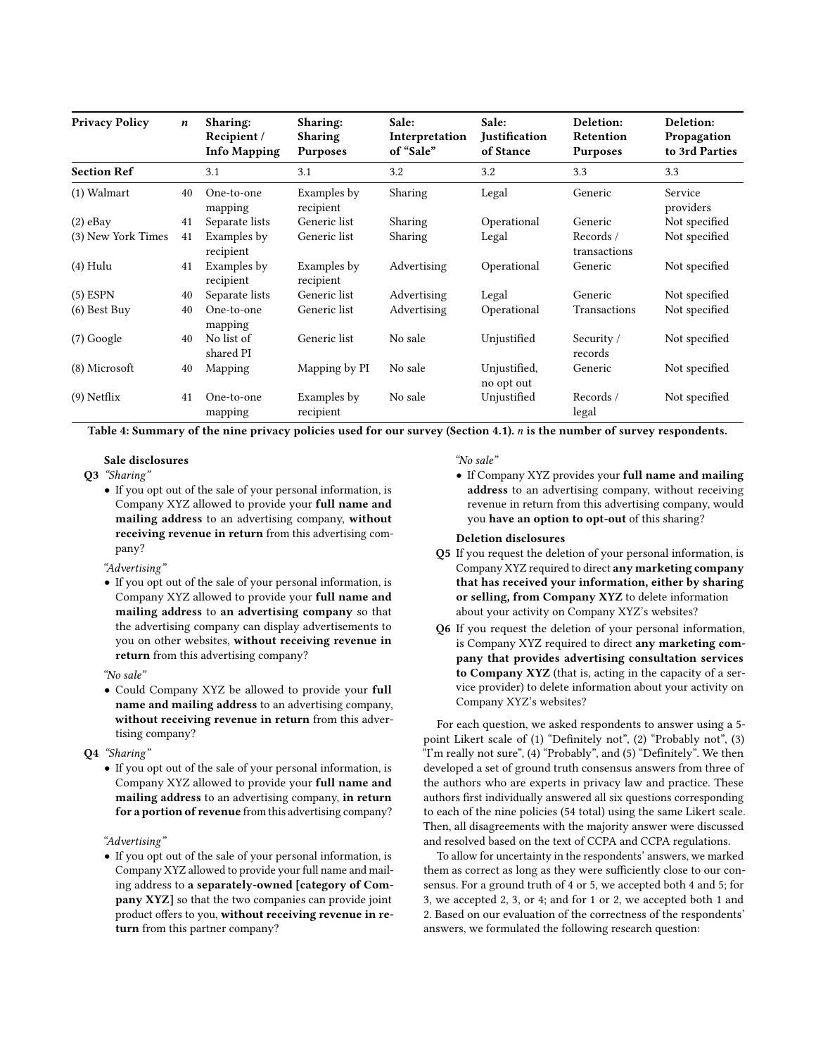<span id="page-8-0"></span>

| <b>Privacy Policy</b> | $\boldsymbol{n}$ | Sharing:<br>Recipient /<br><b>Info Mapping</b> | <b>Sharing:</b><br><b>Sharing</b><br><b>Purposes</b> | Sale:<br>Interpretation<br>of "Sale" | Sale:<br><b>Justification</b><br>of Stance | Deletion:<br>Retention<br><b>Purposes</b> | Deletion:<br>Propagation<br>to 3rd Parties |
|-----------------------|------------------|------------------------------------------------|------------------------------------------------------|--------------------------------------|--------------------------------------------|-------------------------------------------|--------------------------------------------|
| <b>Section Ref</b>    |                  | 3.1                                            | 3.1                                                  | 3.2                                  | 3.2                                        | 3.3                                       | 3.3                                        |
| $(1)$ Walmart         | 40               | One-to-one<br>mapping                          | Examples by<br>recipient                             | Sharing                              | Legal                                      | Generic                                   | Service<br>providers                       |
| $(2)$ eBay            | 41               | Separate lists                                 | Generic list                                         | Sharing                              | Operational                                | Generic                                   | Not specified                              |
| (3) New York Times    | 41               | Examples by<br>recipient                       | Generic list                                         | Sharing                              | Legal                                      | Records/<br>transactions                  | Not specified                              |
| $(4)$ Hulu            | 41               | Examples by<br>recipient                       | Examples by<br>recipient                             | Advertising                          | Operational                                | Generic                                   | Not specified                              |
| $(5)$ ESPN            | 40               | Separate lists                                 | Generic list                                         | Advertising                          | Legal                                      | Generic                                   | Not specified                              |
| $(6)$ Best Buy        | 40               | One-to-one<br>mapping                          | Generic list                                         | Advertising                          | Operational                                | Transactions                              | Not specified                              |
| $(7)$ Google          | 40               | No list of<br>shared PI                        | Generic list                                         | No sale                              | Unjustified                                | Security /<br>records                     | Not specified                              |
| (8) Microsoft         | 40               | Mapping                                        | Mapping by PI                                        | No sale                              | Unjustified,<br>no opt out                 | Generic                                   | Not specified                              |
| $(9)$ Netflix         | 41               | One-to-one<br>mapping                          | Examples by<br>recipient                             | No sale                              | Unjustified                                | Records/<br>legal                         | Not specified                              |

Table 4: Summary of the nine privacy policies used for our survey (Section [4.1\)](#page-7-1). *n* is the number of survey respondents.

#### Sale disclosures

- Q3 "Sharing"
	- If you opt out of the sale of your personal information, is Company XYZ allowed to provide your full name and mailing address to an advertising company, without receiving revenue in return from this advertising company?
	- "Advertising"
	- If you opt out of the sale of your personal information, is Company XYZ allowed to provide your full name and mailing address to an advertising company so that the advertising company can display advertisements to you on other websites, without receiving revenue in return from this advertising company?

#### "No sale"

• Could Company XYZ be allowed to provide your full name and mailing address to an advertising company, without receiving revenue in return from this advertising company?

#### Q4 "Sharing"

• If you opt out of the sale of your personal information, is Company XYZ allowed to provide your full name and mailing address to an advertising company, in return for a portion of revenue from this advertising company?

#### "Advertising"

• If you opt out of the sale of your personal information, is Company XYZ allowed to provide your full name and mailing address to a separately-owned [category of Company XYZ] so that the two companies can provide joint product offers to you, without receiving revenue in return from this partner company?

#### "No sale"

• If Company XYZ provides your full name and mailing address to an advertising company, without receiving revenue in return from this advertising company, would you have an option to opt-out of this sharing?

#### Deletion disclosures

- Q5 If you request the deletion of your personal information, is Company XYZ required to direct any marketing company that has received your information, either by sharing or selling, from Company XYZ to delete information about your activity on Company XYZ's websites?
- Q6 If you request the deletion of your personal information, is Company XYZ required to direct any marketing company that provides advertising consultation services to Company XYZ (that is, acting in the capacity of a service provider) to delete information about your activity on Company XYZ's websites?

For each question, we asked respondents to answer using a 5 point Likert scale of (1) "Definitely not", (2) "Probably not", (3) "I'm really not sure", (4) "Probably", and (5) "Definitely". We then developed a set of ground truth consensus answers from three of the authors who are experts in privacy law and practice. These authors first individually answered all six questions corresponding to each of the nine policies (54 total) using the same Likert scale. Then, all disagreements with the majority answer were discussed and resolved based on the text of CCPA and CCPA regulations.

To allow for uncertainty in the respondents' answers, we marked them as correct as long as they were sufficiently close to our consensus. For a ground truth of 4 or 5, we accepted both 4 and 5; for 3, we accepted 2, 3, or 4; and for 1 or 2, we accepted both 1 and 2. Based on our evaluation of the correctness of the respondents' answers, we formulated the following research question: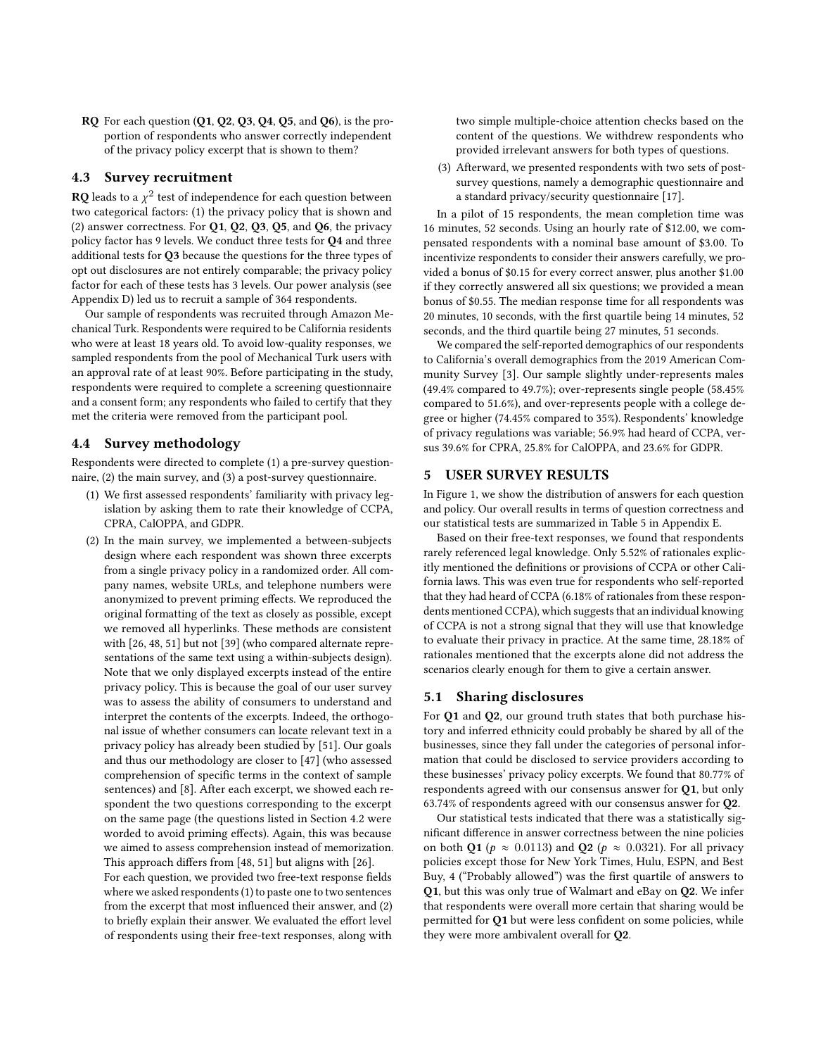RQ For each question (Q1, Q2, Q3, Q4, Q5, and Q6), is the proportion of respondents who answer correctly independent of the privacy policy excerpt that is shown to them?

## 4.3 Survey recruitment

 $\mathbf{R} \mathbf{Q}$  leads to a  $\chi^2$  test of independence for each question between two categorical factors: (1) the privacy policy that is shown and (2) answer correctness. For  $Q1$ ,  $Q2$ ,  $Q3$ ,  $Q5$ , and  $Q6$ , the privacy policy factor has 9 levels. We conduct three tests for Q4 and three additional tests for Q3 because the questions for the three types of opt out disclosures are not entirely comparable; the privacy policy factor for each of these tests has 3 levels. Our power analysis (see Appendix [D\)](#page-29-0) led us to recruit a sample of 364 respondents.

Our sample of respondents was recruited through Amazon Mechanical Turk. Respondents were required to be California residents who were at least 18 years old. To avoid low-quality responses, we sampled respondents from the pool of Mechanical Turk users with an approval rate of at least 90%. Before participating in the study, respondents were required to complete a screening questionnaire and a consent form; any respondents who failed to certify that they met the criteria were removed from the participant pool.

## 4.4 Survey methodology

Respondents were directed to complete (1) a pre-survey questionnaire, (2) the main survey, and (3) a post-survey questionnaire.

- (1) We first assessed respondents' familiarity with privacy legislation by asking them to rate their knowledge of CCPA, CPRA, CalOPPA, and GDPR.
- (2) In the main survey, we implemented a between-subjects design where each respondent was shown three excerpts from a single privacy policy in a randomized order. All company names, website URLs, and telephone numbers were anonymized to prevent priming effects. We reproduced the original formatting of the text as closely as possible, except we removed all hyperlinks. These methods are consistent with [\[26,](#page-12-38) [48,](#page-12-39) [51\]](#page-13-0) but not [\[39\]](#page-12-40) (who compared alternate representations of the same text using a within-subjects design). Note that we only displayed excerpts instead of the entire privacy policy. This is because the goal of our user survey was to assess the ability of consumers to understand and interpret the contents of the excerpts. Indeed, the orthogonal issue of whether consumers can locate relevant text in a privacy policy has already been studied by [\[51\]](#page-13-0). Our goals and thus our methodology are closer to [\[47\]](#page-12-41) (who assessed comprehension of specific terms in the context of sample sentences) and [\[8\]](#page-12-42). After each excerpt, we showed each respondent the two questions corresponding to the excerpt on the same page (the questions listed in Section [4.2](#page-7-2) were worded to avoid priming effects). Again, this was because we aimed to assess comprehension instead of memorization. This approach differs from [\[48,](#page-12-39) [51\]](#page-13-0) but aligns with [\[26\]](#page-12-38).

For each question, we provided two free-text response fields where we asked respondents (1) to paste one to two sentences from the excerpt that most influenced their answer, and (2) to briefly explain their answer. We evaluated the effort level of respondents using their free-text responses, along with two simple multiple-choice attention checks based on the content of the questions. We withdrew respondents who provided irrelevant answers for both types of questions.

(3) Afterward, we presented respondents with two sets of postsurvey questions, namely a demographic questionnaire and a standard privacy/security questionnaire [\[17\]](#page-12-43).

In a pilot of 15 respondents, the mean completion time was 16 minutes, 52 seconds. Using an hourly rate of \$12.00, we compensated respondents with a nominal base amount of \$3.00. To incentivize respondents to consider their answers carefully, we provided a bonus of \$0.15 for every correct answer, plus another \$1.00 if they correctly answered all six questions; we provided a mean bonus of \$0.55. The median response time for all respondents was 20 minutes, 10 seconds, with the first quartile being 14 minutes, 52 seconds, and the third quartile being 27 minutes, 51 seconds.

We compared the self-reported demographics of our respondents to California's overall demographics from the 2019 American Community Survey [\[3\]](#page-12-44). Our sample slightly under-represents males (49.4% compared to 49.7%); over-represents single people (58.45% compared to 51.6%), and over-represents people with a college degree or higher (74.45% compared to 35%). Respondents' knowledge of privacy regulations was variable; 56.9% had heard of CCPA, versus 39.6% for CPRA, 25.8% for CalOPPA, and 23.6% for GDPR.

## <span id="page-9-0"></span>5 USER SURVEY RESULTS

In Figure [1,](#page-10-0) we show the distribution of answers for each question and policy. Our overall results in terms of question correctness and our statistical tests are summarized in Table [5](#page-30-1) in Appendix [E.](#page-30-2)

Based on their free-text responses, we found that respondents rarely referenced legal knowledge. Only 5.52% of rationales explicitly mentioned the definitions or provisions of CCPA or other California laws. This was even true for respondents who self-reported that they had heard of CCPA (6.18% of rationales from these respondents mentioned CCPA), which suggests that an individual knowing of CCPA is not a strong signal that they will use that knowledge to evaluate their privacy in practice. At the same time, 28.18% of rationales mentioned that the excerpts alone did not address the scenarios clearly enough for them to give a certain answer.

## 5.1 Sharing disclosures

For Q1 and Q2, our ground truth states that both purchase history and inferred ethnicity could probably be shared by all of the businesses, since they fall under the categories of personal information that could be disclosed to service providers according to these businesses' privacy policy excerpts. We found that 80.77% of respondents agreed with our consensus answer for Q1, but only 63.74% of respondents agreed with our consensus answer for Q2.

Our statistical tests indicated that there was a statistically significant difference in answer correctness between the nine policies on both Q1 ( $p \approx 0.0113$ ) and Q2 ( $p \approx 0.0321$ ). For all privacy policies except those for New York Times, Hulu, ESPN, and Best Buy, 4 ("Probably allowed") was the first quartile of answers to Q1, but this was only true of Walmart and eBay on Q2. We infer that respondents were overall more certain that sharing would be permitted for Q1 but were less confident on some policies, while they were more ambivalent overall for Q2.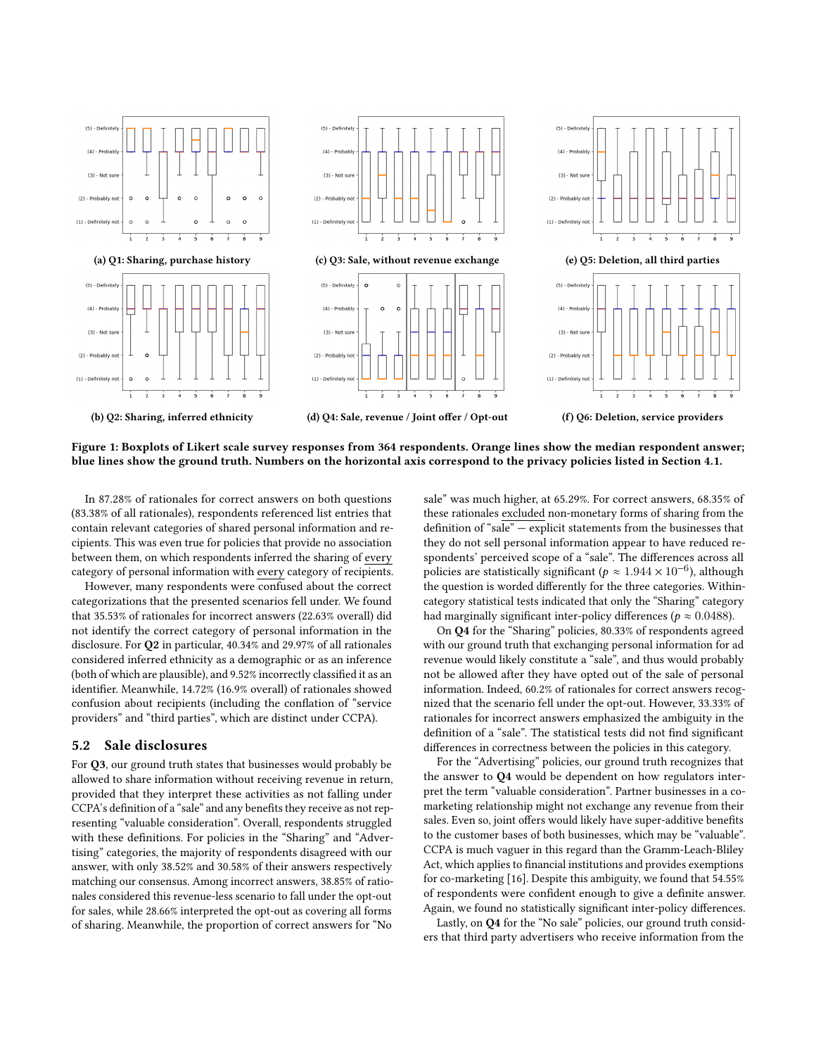<span id="page-10-0"></span>

Figure 1: Boxplots of Likert scale survey responses from 364 respondents. Orange lines show the median respondent answer; blue lines show the ground truth. Numbers on the horizontal axis correspond to the privacy policies listed in Section [4.1.](#page-7-1)

In 87.28% of rationales for correct answers on both questions (83.38% of all rationales), respondents referenced list entries that contain relevant categories of shared personal information and recipients. This was even true for policies that provide no association between them, on which respondents inferred the sharing of every category of personal information with every category of recipients.

However, many respondents were confused about the correct categorizations that the presented scenarios fell under. We found that 35.53% of rationales for incorrect answers (22.63% overall) did not identify the correct category of personal information in the disclosure. For Q2 in particular, 40.34% and 29.97% of all rationales considered inferred ethnicity as a demographic or as an inference (both of which are plausible), and 9.52% incorrectly classified it as an identifier. Meanwhile, 14.72% (16.9% overall) of rationales showed confusion about recipients (including the conflation of "service providers" and "third parties", which are distinct under CCPA).

## 5.2 Sale disclosures

For Q3, our ground truth states that businesses would probably be allowed to share information without receiving revenue in return, provided that they interpret these activities as not falling under CCPA's definition of a "sale" and any benefits they receive as not representing "valuable consideration". Overall, respondents struggled with these definitions. For policies in the "Sharing" and "Advertising" categories, the majority of respondents disagreed with our answer, with only 38.52% and 30.58% of their answers respectively matching our consensus. Among incorrect answers, 38.85% of rationales considered this revenue-less scenario to fall under the opt-out for sales, while 28.66% interpreted the opt-out as covering all forms of sharing. Meanwhile, the proportion of correct answers for "No

sale" was much higher, at 65.29%. For correct answers, 68.35% of these rationales excluded non-monetary forms of sharing from the definition of "sale" — explicit statements from the businesses that they do not sell personal information appear to have reduced respondents' perceived scope of a "sale". The differences across all policies are statistically significant ( $p \approx 1.944 \times 10^{-6}$ ), although the question is worded differently for the three categories. Withincategory statistical tests indicated that only the "Sharing" category had marginally significant inter-policy differences ( $p \approx 0.0488$ ).

On Q4 for the "Sharing" policies, 80.33% of respondents agreed with our ground truth that exchanging personal information for ad revenue would likely constitute a "sale", and thus would probably not be allowed after they have opted out of the sale of personal information. Indeed, 60.2% of rationales for correct answers recognized that the scenario fell under the opt-out. However, 33.33% of rationales for incorrect answers emphasized the ambiguity in the definition of a "sale". The statistical tests did not find significant differences in correctness between the policies in this category.

For the "Advertising" policies, our ground truth recognizes that the answer to Q4 would be dependent on how regulators interpret the term "valuable consideration". Partner businesses in a comarketing relationship might not exchange any revenue from their sales. Even so, joint offers would likely have super-additive benefits to the customer bases of both businesses, which may be "valuable". CCPA is much vaguer in this regard than the Gramm-Leach-Bliley Act, which applies to financial institutions and provides exemptions for co-marketing [\[16\]](#page-12-45). Despite this ambiguity, we found that 54.55% of respondents were confident enough to give a definite answer. Again, we found no statistically significant inter-policy differences.

Lastly, on Q4 for the "No sale" policies, our ground truth considers that third party advertisers who receive information from the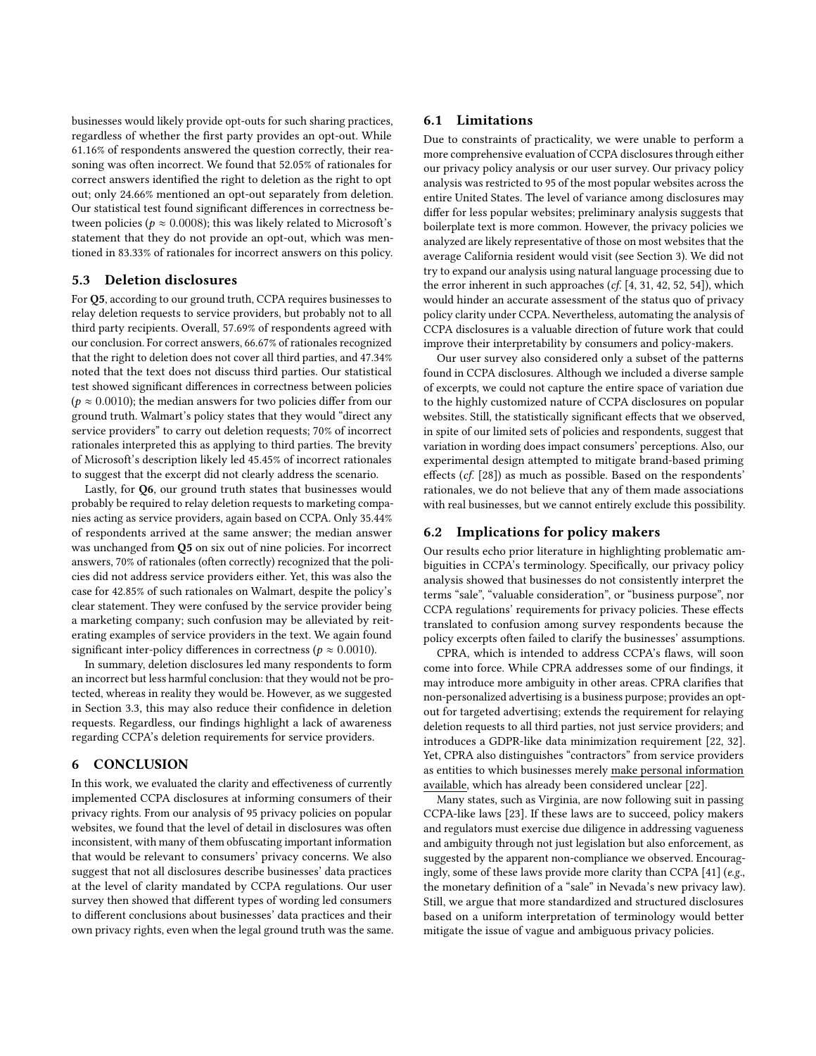businesses would likely provide opt-outs for such sharing practices, regardless of whether the first party provides an opt-out. While 61.16% of respondents answered the question correctly, their reasoning was often incorrect. We found that 52.05% of rationales for correct answers identified the right to deletion as the right to opt out; only 24.66% mentioned an opt-out separately from deletion. Our statistical test found significant differences in correctness between policies ( $p \approx 0.0008$ ); this was likely related to Microsoft's statement that they do not provide an opt-out, which was mentioned in 83.33% of rationales for incorrect answers on this policy.

#### <span id="page-11-1"></span>5.3 Deletion disclosures

For Q5, according to our ground truth, CCPA requires businesses to relay deletion requests to service providers, but probably not to all third party recipients. Overall, 57.69% of respondents agreed with our conclusion. For correct answers, 66.67% of rationales recognized that the right to deletion does not cover all third parties, and 47.34% noted that the text does not discuss third parties. Our statistical test showed significant differences in correctness between policies ( $p \approx 0.0010$ ); the median answers for two policies differ from our ground truth. Walmart's policy states that they would "direct any service providers" to carry out deletion requests; 70% of incorrect rationales interpreted this as applying to third parties. The brevity of Microsoft's description likely led 45.45% of incorrect rationales to suggest that the excerpt did not clearly address the scenario.

Lastly, for Q6, our ground truth states that businesses would probably be required to relay deletion requests to marketing companies acting as service providers, again based on CCPA. Only 35.44% of respondents arrived at the same answer; the median answer was unchanged from Q5 on six out of nine policies. For incorrect answers, 70% of rationales (often correctly) recognized that the policies did not address service providers either. Yet, this was also the case for 42.85% of such rationales on Walmart, despite the policy's clear statement. They were confused by the service provider being a marketing company; such confusion may be alleviated by reiterating examples of service providers in the text. We again found significant inter-policy differences in correctness ( $p \approx 0.0010$ ).

In summary, deletion disclosures led many respondents to form an incorrect but less harmful conclusion: that they would not be protected, whereas in reality they would be. However, as we suggested in Section [3.3,](#page-6-0) this may also reduce their confidence in deletion requests. Regardless, our findings highlight a lack of awareness regarding CCPA's deletion requirements for service providers.

## 6 CONCLUSION

In this work, we evaluated the clarity and effectiveness of currently implemented CCPA disclosures at informing consumers of their privacy rights. From our analysis of 95 privacy policies on popular websites, we found that the level of detail in disclosures was often inconsistent, with many of them obfuscating important information that would be relevant to consumers' privacy concerns. We also suggest that not all disclosures describe businesses' data practices at the level of clarity mandated by CCPA regulations. Our user survey then showed that different types of wording led consumers to different conclusions about businesses' data practices and their own privacy rights, even when the legal ground truth was the same.

## 6.1 Limitations

Due to constraints of practicality, we were unable to perform a more comprehensive evaluation of CCPA disclosures through either our privacy policy analysis or our user survey. Our privacy policy analysis was restricted to 95 of the most popular websites across the entire United States. The level of variance among disclosures may differ for less popular websites; preliminary analysis suggests that boilerplate text is more common. However, the privacy policies we analyzed are likely representative of those on most websites that the average California resident would visit (see Section [3\)](#page-3-1). We did not try to expand our analysis using natural language processing due to the error inherent in such approaches (cf. [\[4,](#page-12-46) [31,](#page-12-31) [42,](#page-12-47) [52,](#page-13-12) [54\]](#page-13-13)), which would hinder an accurate assessment of the status quo of privacy policy clarity under CCPA. Nevertheless, automating the analysis of CCPA disclosures is a valuable direction of future work that could improve their interpretability by consumers and policy-makers.

Our user survey also considered only a subset of the patterns found in CCPA disclosures. Although we included a diverse sample of excerpts, we could not capture the entire space of variation due to the highly customized nature of CCPA disclosures on popular websites. Still, the statistically significant effects that we observed, in spite of our limited sets of policies and respondents, suggest that variation in wording does impact consumers' perceptions. Also, our experimental design attempted to mitigate brand-based priming effects (cf. [\[28\]](#page-12-48)) as much as possible. Based on the respondents' rationales, we do not believe that any of them made associations with real businesses, but we cannot entirely exclude this possibility.

## <span id="page-11-0"></span>6.2 Implications for policy makers

Our results echo prior literature in highlighting problematic ambiguities in CCPA's terminology. Specifically, our privacy policy analysis showed that businesses do not consistently interpret the terms "sale", "valuable consideration", or "business purpose", nor CCPA regulations' requirements for privacy policies. These effects translated to confusion among survey respondents because the policy excerpts often failed to clarify the businesses' assumptions.

CPRA, which is intended to address CCPA's flaws, will soon come into force. While CPRA addresses some of our findings, it may introduce more ambiguity in other areas. CPRA clarifies that non-personalized advertising is a business purpose; provides an optout for targeted advertising; extends the requirement for relaying deletion requests to all third parties, not just service providers; and introduces a GDPR-like data minimization requirement [\[22,](#page-12-20) [32\]](#page-12-19). Yet, CPRA also distinguishes "contractors" from service providers as entities to which businesses merely make personal information available, which has already been considered unclear [\[22\]](#page-12-20).

Many states, such as Virginia, are now following suit in passing CCPA-like laws [\[23\]](#page-12-11). If these laws are to succeed, policy makers and regulators must exercise due diligence in addressing vagueness and ambiguity through not just legislation but also enforcement, as suggested by the apparent non-compliance we observed. Encouragingly, some of these laws provide more clarity than CCPA [\[41\]](#page-12-49) (e.g., the monetary definition of a "sale" in Nevada's new privacy law). Still, we argue that more standardized and structured disclosures based on a uniform interpretation of terminology would better mitigate the issue of vague and ambiguous privacy policies.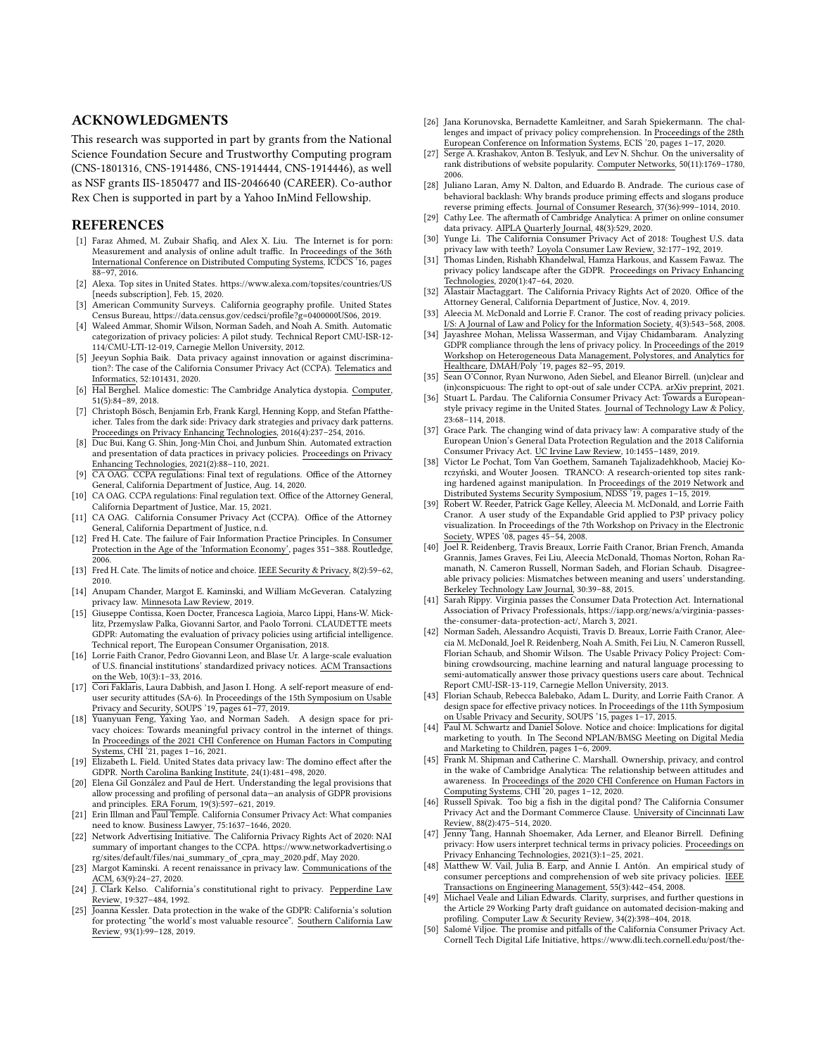## ACKNOWLEDGMENTS

This research was supported in part by grants from the National Science Foundation Secure and Trustworthy Computing program (CNS-1801316, CNS-1914486, CNS-1914444, CNS-1914446), as well as NSF grants IIS-1850477 and IIS-2046640 (CAREER). Co-author Rex Chen is supported in part by a Yahoo InMind Fellowship.

#### REFERENCES

- <span id="page-12-27"></span>[1] Faraz Ahmed, M. Zubair Shafiq, and Alex X. Liu. The Internet is for porn: Measurement and analysis of online adult traffic. In Proceedings of the 36th International Conference on Distributed Computing Systems, ICDCS '16, pages 88–97, 2016.
- <span id="page-12-28"></span>[2] Alexa. Top sites in United States.<https://www.alexa.com/topsites/countries/US> [needs subscription], Feb. 15, 2020.
- <span id="page-12-44"></span>[3] American Community Surveys. California geography profile. United States Census Bureau, [https://data.census.gov/cedsci/profile?g=0400000US06,](https://data.census.gov/cedsci/profile?g=0400000US06) 2019.
- <span id="page-12-46"></span>[4] Waleed Ammar, Shomir Wilson, Norman Sadeh, and Noah A. Smith. Automatic categorization of privacy policies: A pilot study. Technical Report CMU-ISR-12- 114/CMU-LTI-12-019, Carnegie Mellon University, 2012.
- <span id="page-12-16"></span>[5] Jeeyun Sophia Baik. Data privacy against innovation or against discrimination?: The case of the California Consumer Privacy Act (CCPA). Telematics and Informatics, 52:101431, 2020.
- <span id="page-12-34"></span>[6] Hal Berghel. Malice domestic: The Cambridge Analytica dystopia. Computer, 51(5):84–89, 2018.
- <span id="page-12-29"></span>[7] Christoph Bösch, Benjamin Erb, Frank Kargl, Henning Kopp, and Stefan Pfattheicher. Tales from the dark side: Privacy dark strategies and privacy dark patterns. Proceedings on Privacy Enhancing Technologies, 2016(4):237–254, 2016.
- <span id="page-12-42"></span>[8] Duc Bui, Kang G. Shin, Jong-Min Choi, and Junbum Shin. Automated extraction and presentation of data practices in privacy policies. Proceedings on Privacy Enhancing Technologies, 2021(2):88–110, 2021.
- <span id="page-12-17"></span>[9] CA OAG. CCPA regulations: Final text of regulations. Office of the Attorney General, California Department of Justice, Aug. 14, 2020.
- <span id="page-12-18"></span>[10] CA OAG. CCPA regulations: Final regulation text. Office of the Attorney General, California Department of Justice, Mar. 15, 2021.
- <span id="page-12-2"></span>[11] CA OAG. California Consumer Privacy Act (CCPA). Office of the Attorney General, California Department of Justice, n.d.
- <span id="page-12-5"></span>[12] Fred H. Cate. The failure of Fair Information Practice Principles. In Consumer Protection in the Age of the 'Information Economy', pages 351–388. Routledge, 2006.
- <span id="page-12-7"></span>[13] Fred H. Cate. The limits of notice and choice. IEEE Security & Privacy, 8(2):59-62, 2010.
- <span id="page-12-14"></span>[14] Anupam Chander, Margot E. Kaminski, and William McGeveran. Catalyzing privacy law. Minnesota Law Review, 2019.
- <span id="page-12-10"></span>[15] Giuseppe Contissa, Koen Docter, Francesca Lagioia, Marco Lippi, Hans-W. Micklitz, Przemyslaw Palka, Giovanni Sartor, and Paolo Torroni. CLAUDETTE meets GDPR: Automating the evaluation of privacy policies using artificial intelligence. Technical report, The European Consumer Organisation, 2018.
- <span id="page-12-45"></span>[16] Lorrie Faith Cranor, Pedro Giovanni Leon, and Blase Ur. A large-scale evaluation of U.S. financial institutions' standardized privacy notices. ACM Transactions on the Web, 10(3):1–33, 2016.
- <span id="page-12-43"></span>[17] Cori Faklaris, Laura Dabbish, and Jason I. Hong. A self-report measure of enduser security attitudes (SA-6). In  $\underline{\mbox{Proceedings of the 15th Symposium on Usable}}$ Privacy and Security, SOUPS '19, pages 61–77, 2019.<br>[18] Yuanyuan Feng, Yaxing Yao, and Norman Sadeh. A design space for pri-
- <span id="page-12-8"></span>vacy choices: Towards meaningful privacy control in the internet of things. In Proceedings of the 2021 CHI Conference on Human Factors in Computing Systems, CHI '21, pages 1–16, 2021.
- <span id="page-12-3"></span>[19] Elizabeth L. Field. United States data privacy law: The domino effect after the GDPR. North Carolina Banking Institute, 24(1):481–498, 2020.
- <span id="page-12-30"></span>[20] Elena Gil González and Paul de Hert. Understanding the legal provisions that allow processing and profiling of personal data—an analysis of GDPR provisions and principles. ERA Forum, 19(3):597–621, 2019.
- <span id="page-12-22"></span>[21] Erin Illman and Paul Temple. California Consumer Privacy Act: What companies need to know. Business Lawyer, 75:1637–1646, 2020.
- <span id="page-12-20"></span>[22] Network Advertising Initiative. The California Privacy Rights Act of 2020: NAI summary of important changes to the CCPA. [https://www.networkadvertising.o](https://www.networkadvertising.org/sites/default/files/nai_summary_of_cpra_may_2020.pdf) [rg/sites/default/files/nai\\_summary\\_of\\_cpra\\_may\\_2020.pdf,](https://www.networkadvertising.org/sites/default/files/nai_summary_of_cpra_may_2020.pdf) May 2020.
- <span id="page-12-11"></span>[23] Margot Kaminski. A recent renaissance in privacy law. Communications of the  $ACM$ , 63(9):24–27, 2020.
- <span id="page-12-12"></span>Review, 19:327–484, 1992.
- <span id="page-12-4"></span>[25] Joanna Kessler. Data protection in the wake of the GDPR: California's solution for protecting "the world's most valuable resource". Southern California Law Review, 93(1):99–128, 2019.
- <span id="page-12-38"></span>[26] Jana Korunovska, Bernadette Kamleitner, and Sarah Spiekermann. The challenges and impact of privacy policy comprehension. In Proceedings of the 28th European Conference on Information Systems, ECIS '20, pages 1–17, 2020.
- <span id="page-12-25"></span>[27] Serge A. Krashakov, Anton B. Teslyuk, and Lev N. Shchur. On the universality of rank distributions of website popularity. Computer Networks, 50(11):1769–1780, 2006.
- <span id="page-12-48"></span>[28] Juliano Laran, Amy N. Dalton, and Eduardo B. Andrade. The curious case of behavioral backlash: Why brands produce priming effects and slogans produce reverse priming effects. Journal of Consumer Research, 37(36):999–1014, 2010.
- <span id="page-12-36"></span>[29] Cathy Lee. The aftermath of Cambridge Analytica: A primer on online consumer data privacy. AIPLA Quarterly Journal, 48(3):529, 2020.
- <span id="page-12-21"></span>[30] Yunge Li. The California Consumer Privacy Act of 2018: Toughest U.S. data privacy law with teeth? Loyola Consumer Law Review, 32:177–192, 2019.
- <span id="page-12-31"></span>[31] Thomas Linden, Rishabh Khandelwal, Hamza Harkous, and Kassem Fawaz. The privacy policy landscape after the GDPR. Proceedings on Privacy Enhancing Technologies, 2020(1):47–64, 2020.
- <span id="page-12-19"></span>[32] Alastair Mactaggart. The California Privacy Rights Act of 2020. Office of the Attorney General, California Department of Justice, Nov. 4, 2019.
- <span id="page-12-6"></span>[33] Aleecia M. McDonald and Lorrie F. Cranor. The cost of reading privacy policies. I/S: A Journal of Law and Policy for the Information Society, 4(3):543–568, 2008.
- <span id="page-12-32"></span>[34] Jayashree Mohan, Melissa Wasserman, and Vijay Chidambaram. Analyzing GDPR compliance through the lens of privacy policy. In Proceedings of the 2019 Workshop on Heterogeneous Data Management, Polystores, and Analytics for Healthcare, DMAH/Poly '19, pages 82–95, 2019.
- <span id="page-12-33"></span>[35] Sean O'Connor, Ryan Nurwono, Aden Siebel, and Eleanor Birrell. (un)clear and (in)conspicuous: The right to opt-out of sale under CCPA. arXiv preprint, 2021.
- <span id="page-12-13"></span>[36] Stuart L. Pardau. The California Consumer Privacy Act: Towards a Europeanstyle privacy regime in the United States. Journal of Technology Law & Policy, 23:68–114, 2018.
- <span id="page-12-15"></span>[37] Grace Park. The changing wind of data privacy law: A comparative study of the European Union's General Data Protection Regulation and the 2018 California Consumer Privacy Act. UC Irvine Law Review, 10:1455–1489, 2019.
- <span id="page-12-26"></span>[38] Victor Le Pochat, Tom Van Goethem, Samaneh Tajalizadehkhoob, Maciej Korczyński, and Wouter Joosen. TRANCO: A research-oriented top sites ranking hardened against manipulation. In Proceedings of the 2019 Network and Distributed Systems Security Symposium, NDSS '19, pages 1–15, 2019. [39] Robert W. Reeder, Patrick Gage Kelley, Aleecia M. McDonald, and Lorrie Faith
- <span id="page-12-40"></span>Cranor. A user study of the Expandable Grid applied to P3P privacy policy visualization. In Proceedings of the 7th Workshop on Privacy in the Electronic Society, WPES '08, pages 45–54, 2008.
- <span id="page-12-0"></span>[40] Joel R. Reidenberg, Travis Breaux, Lorrie Faith Cranor, Brian French, Amanda Grannis, James Graves, Fei Liu, Aleecia McDonald, Thomas Norton, Rohan Ramanath, N. Cameron Russell, Norman Sadeh, and Florian Schaub. Disagreeable privacy policies: Mismatches between meaning and users' understanding. Berkeley Technology Law Journal, 30:39–88, 2015.
- <span id="page-12-49"></span>[41] Sarah Rippy. Virginia passes the Consumer Data Protection Act. International Association of Privacy Professionals, [https://iapp.org/news/a/virginia-passes](https://iapp.org/news/a/virginia-passes-the-consumer-data-protection-act/)[the-consumer-data-protection-act/,](https://iapp.org/news/a/virginia-passes-the-consumer-data-protection-act/) March 3, 2021.
- <span id="page-12-47"></span>[42] Norman Sadeh, Alessandro Acquisti, Travis D. Breaux, Lorrie Faith Cranor, Aleecia M. McDonald, Joel R. Reidenberg, Noah A. Smith, Fei Liu, N. Cameron Russell, Florian Schaub, and Shomir Wilson. The Usable Privacy Policy Project: Combining crowdsourcing, machine learning and natural language processing to semi-automatically answer those privacy questions users care about. Technical Report CMU-ISR-13-119, Carnegie Mellon University, 2013.
- <span id="page-12-9"></span>[43] Florian Schaub, Rebecca Balebako, Adam L. Durity, and Lorrie Faith Cranor. A design space for effective privacy notices. In Proceedings of the 11th Symposium on Usable Privacy and Security, SOUPS '15, pages 1–17, 2015.
- <span id="page-12-1"></span>[44] Paul M. Schwartz and Daniel Solove. Notice and choice: Implications for digital marketing to youth. In The Second NPLAN/BMSG Meeting on Digital Media and Marketing to Children, pages 1–6, 2009.
- <span id="page-12-35"></span>[45] Frank M. Shipman and Catherine C. Marshall. Ownership, privacy, and control in the wake of Cambridge Analytica: The relationship between attitudes and awareness. In Proceedings of the 2020 CHI Conference on Human Factors in Computing Systems, CHI '20, pages 1–12, 2020.
- <span id="page-12-24"></span>[46] Russell Spivak. Too big a fish in the digital pond? The California Consumer Privacy Act and the Dormant Commerce Clause. University of Cincinnati Law Review, 88(2):475–514, 2020.
- <span id="page-12-41"></span>[47] Jenny Tang, Hannah Shoemaker, Ada Lerner, and Eleanor Birrell. Defining privacy: How users interpret technical terms in privacy policies. Proceedings on Privacy Enhancing Technologies, 2021(3):1–25, 2021.
- <span id="page-12-39"></span>[48] Matthew W. Vail, Julia B. Earp, and Annie I. Antón. An empirical study of consumer perceptions and comprehension of web site privacy policies. IEEE Transactions on Engineering Management, 55(3):442–454, 2008.
- <span id="page-12-37"></span>[49] Michael Veale and Lilian Edwards. Clarity, surprises, and further questions in the Article 29 Working Party draft guidance on automated decision-making and profiling. Computer Law & Security Review, 34(2):398–404, 2018.
- <span id="page-12-23"></span>[50] Salomé Viljoe. The promise and pitfalls of the California Consumer Privacy Act. Cornell Tech Digital Life Initiative, [https://www.dli.tech.cornell.edu/post/the-](https://www.dli.tech.cornell.edu/post/the-promise-and-pitfalls-of-the-california-consumer-privacy-act)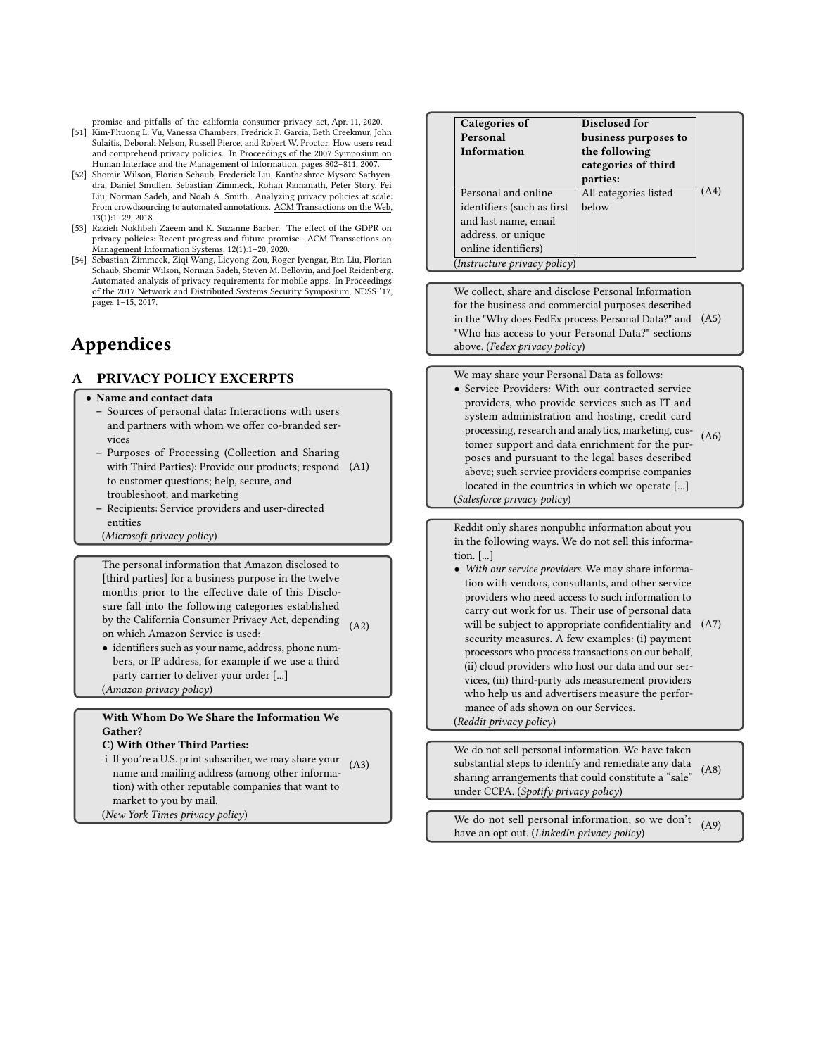[promise-and-pitfalls-of -the-california-consumer-privacy-act,](https://www.dli.tech.cornell.edu/post/the-promise-and-pitfalls-of-the-california-consumer-privacy-act) Apr. 11, 2020.

- <span id="page-13-0"></span>[51] Kim-Phuong L. Vu, Vanessa Chambers, Fredrick P. Garcia, Beth Creekmur, John Sulaitis, Deborah Nelson, Russell Pierce, and Robert W. Proctor. How users read and comprehend privacy policies. In Proceedings of the 2007 Symposium on Human Interface and the Management of Information, pages 802–811, 2007.
- <span id="page-13-12"></span>[52] Shomir Wilson, Florian Schaub, Frederick Liu, Kanthashree Mysore Sathyendra, Daniel Smullen, Sebastian Zimmeck, Rohan Ramanath, Peter Story, Fei Liu, Norman Sadeh, and Noah A. Smith. Analyzing privacy policies at scale: From crowdsourcing to automated annotations. ACM Transactions on the Web, 13(1):1–29, 2018.
- <span id="page-13-11"></span>[53] Razieh Nokhbeh Zaeem and K. Suzanne Barber. The effect of the GDPR on privacy policies: Recent progress and future promise. ACM Transactions on Management Information Systems, 12(1):1–20, 2020.
- <span id="page-13-13"></span>[54] Sebastian Zimmeck, Ziqi Wang, Lieyong Zou, Roger Iyengar, Bin Liu, Florian Schaub, Shomir Wilson, Norman Sadeh, Steven M. Bellovin, and Joel Reidenberg. Automated analysis of privacy requirements for mobile apps. In Proceedings of the 2017 Network and Distributed Systems Security Symposium, NDSS '17, pages 1–15, 2017.

# Appendices

## <span id="page-13-1"></span>A PRIVACY POLICY EXCERPTS

#### <span id="page-13-2"></span>• Name and contact data

- Sources of personal data: Interactions with users and partners with whom we offer co-branded services
- Purposes of Processing (Collection and Sharing with Third Parties): Provide our products; respond [\(A1](#page-13-1)) to customer questions; help, secure, and troubleshoot; and marketing
- Recipients: Service providers and user-directed entities
- (Microsoft privacy policy)

<span id="page-13-3"></span>The personal information that Amazon disclosed to [third parties] for a business purpose in the twelve months prior to the effective date of this Disclosure fall into the following categories established by the California Consumer Privacy Act, depending [\(A2](#page-13-1)) on which Amazon Service is used:

• identifiers such as your name, address, phone numbers, or IP address, for example if we use a third party carrier to deliver your order [...] (Amazon privacy policy)

## <span id="page-13-4"></span>With Whom Do We Share the Information We Gather?

## C) With Other Third Parties:

- i If you're a U.S. print subscriber, we may share your name and mailing address (among other information) with other reputable companies that want to market to you by mail. [\(A3](#page-13-1))
- (New York Times privacy policy)

<span id="page-13-5"></span>

| Categories of                | Disclosed for         |      |
|------------------------------|-----------------------|------|
| Personal                     | business purposes to  |      |
| Information                  | the following         |      |
|                              | categories of third   |      |
|                              | parties:              |      |
| Personal and online          | All categories listed | (A4) |
| identifiers (such as first   | below                 |      |
| and last name, email         |                       |      |
| address, or unique           |                       |      |
| online identifiers)          |                       |      |
| (Instructure privacy policy) |                       |      |

<span id="page-13-6"></span>We collect, share and disclose Personal Information for the business and commercial purposes described in the "Why does FedEx process Personal Data?" and [\(A5](#page-13-1)) "Who has access to your Personal Data?" sections above. (Fedex privacy policy)

<span id="page-13-7"></span>We may share your Personal Data as follows: • Service Providers: With our contracted service providers, who provide services such as IT and system administration and hosting, credit card processing, research and analytics, marketing, customer support and data enrichment for the purposes and pursuant to the legal bases described above; such service providers comprise companies located in the countries in which we operate [...] (Salesforce privacy policy) [\(A6](#page-13-1))

<span id="page-13-8"></span>Reddit only shares nonpublic information about you in the following ways. We do not sell this information. [...]

• With our service providers. We may share information with vendors, consultants, and other service providers who need access to such information to carry out work for us. Their use of personal data will be subject to appropriate confidentiality and [\(A7](#page-13-1)) security measures. A few examples: (i) payment processors who process transactions on our behalf, (ii) cloud providers who host our data and our services, (iii) third-party ads measurement providers who help us and advertisers measure the performance of ads shown on our Services. (Reddit privacy policy)

<span id="page-13-9"></span>We do not sell personal information. We have taken substantial steps to identify and remediate any data sharing arrangements that could constitute a "sale" under CCPA. (Spotify privacy policy) [\(A8](#page-13-1))

<span id="page-13-10"></span>We do not sell personal information, so we don't have an opt out. (LinkedIn privacy policy) [\(A9](#page-13-1))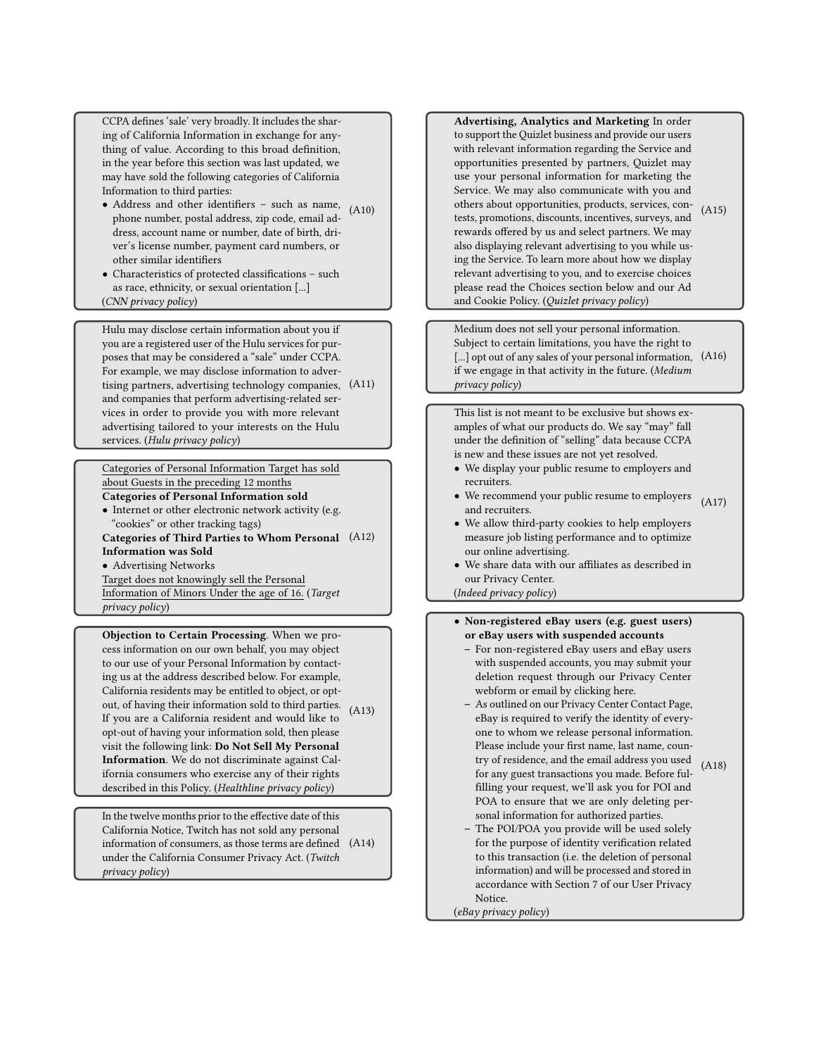<span id="page-14-0"></span>CCPA defines 'sale' very broadly. It includes the sharing of California Information in exchange for anything of value. According to this broad definition, in the year before this section was last updated, we may have sold the following categories of California Information to third parties:

- Address and other identifiers such as name,  $(A10)$  $(A10)$ phone number, postal address, zip code, email address, account name or number, date of birth, driver's license number, payment card numbers, or other similar identifiers
- Characteristics of protected classifications such as race, ethnicity, or sexual orientation [...] (CNN privacy policy)

<span id="page-14-1"></span>Hulu may disclose certain information about you if you are a registered user of the Hulu services for purposes that may be considered a "sale" under CCPA. For example, we may disclose information to advertising partners, advertising technology companies, [\(A1](#page-13-1)1) and companies that perform advertising-related services in order to provide you with more relevant advertising tailored to your interests on the Hulu services. (Hulu privacy policy)

<span id="page-14-2"></span>Categories of Personal Information Target has sold about Guests in the preceding 12 months

Categories of Personal Information sold

• Internet or other electronic network activity (e.g. "cookies" or other tracking tags) Categories of Third Parties to Whom Personal [\(A1](#page-13-1)2) Information was Sold

• Advertising Networks

Target does not knowingly sell the Personal Information of Minors Under the age of 16. (Target privacy policy)

<span id="page-14-3"></span>Objection to Certain Processing. When we process information on our own behalf, you may object to our use of your Personal Information by contacting us at the address described below. For example, California residents may be entitled to object, or optout, of having their information sold to third parties. [\(A1](#page-13-1)3) If you are a California resident and would like to opt-out of having your information sold, then please visit the following link: Do Not Sell My Personal Information. We do not discriminate against California consumers who exercise any of their rights described in this Policy. (Healthline privacy policy)

<span id="page-14-4"></span>In the twelve months prior to the effective date of this California Notice, Twitch has not sold any personal information of consumers, as those terms are defined [\(A1](#page-13-1)4) under the California Consumer Privacy Act. (Twitch privacy policy)

<span id="page-14-5"></span>Advertising, Analytics and Marketing In order to support the Quizlet business and provide our users with relevant information regarding the Service and opportunities presented by partners, Quizlet may use your personal information for marketing the Service. We may also communicate with you and others about opportunities, products, services, contests, promotions, discounts, incentives, surveys, and rewards offered by us and select partners. We may also displaying relevant advertising to you while using the Service. To learn more about how we display relevant advertising to you, and to exercise choices please read the Choices section below and our Ad and Cookie Policy. (Quizlet privacy policy) [\(A1](#page-13-1)5)

<span id="page-14-6"></span>Medium does not sell your personal information. Subject to certain limitations, you have the right to [...] opt out of any sales of your personal information. [\(A1](#page-13-1)6) if we engage in that activity in the future. (Medium privacy policy)

<span id="page-14-7"></span>This list is not meant to be exclusive but shows examples of what our products do. We say "may" fall under the definition of "selling" data because CCPA is new and these issues are not yet resolved.

- We display your public resume to employers and recruiters.
- We recommend your public resume to employers  $(A17)$  $(A17)$ and recruiters.
- We allow third-party cookies to help employers measure job listing performance and to optimize our online advertising.
- We share data with our affiliates as described in our Privacy Center.

(Indeed privacy policy)

- <span id="page-14-8"></span>• Non-registered eBay users (e.g. guest users) or eBay users with suspended accounts
	- For non-registered eBay users and eBay users with suspended accounts, you may submit your deletion request through our Privacy Center webform or email by clicking here.
	- As outlined on our Privacy Center Contact Page, eBay is required to verify the identity of everyone to whom we release personal information. Please include your first name, last name, country of residence, and the email address you used for any guest transactions you made. Before fulfilling your request, we'll ask you for POI and POA to ensure that we are only deleting personal information for authorized parties. [\(A1](#page-13-1)8)
	- The POI/POA you provide will be used solely for the purpose of identity verification related to this transaction (i.e. the deletion of personal information) and will be processed and stored in accordance with Section 7 of our User Privacy Notice.

(eBay privacy policy)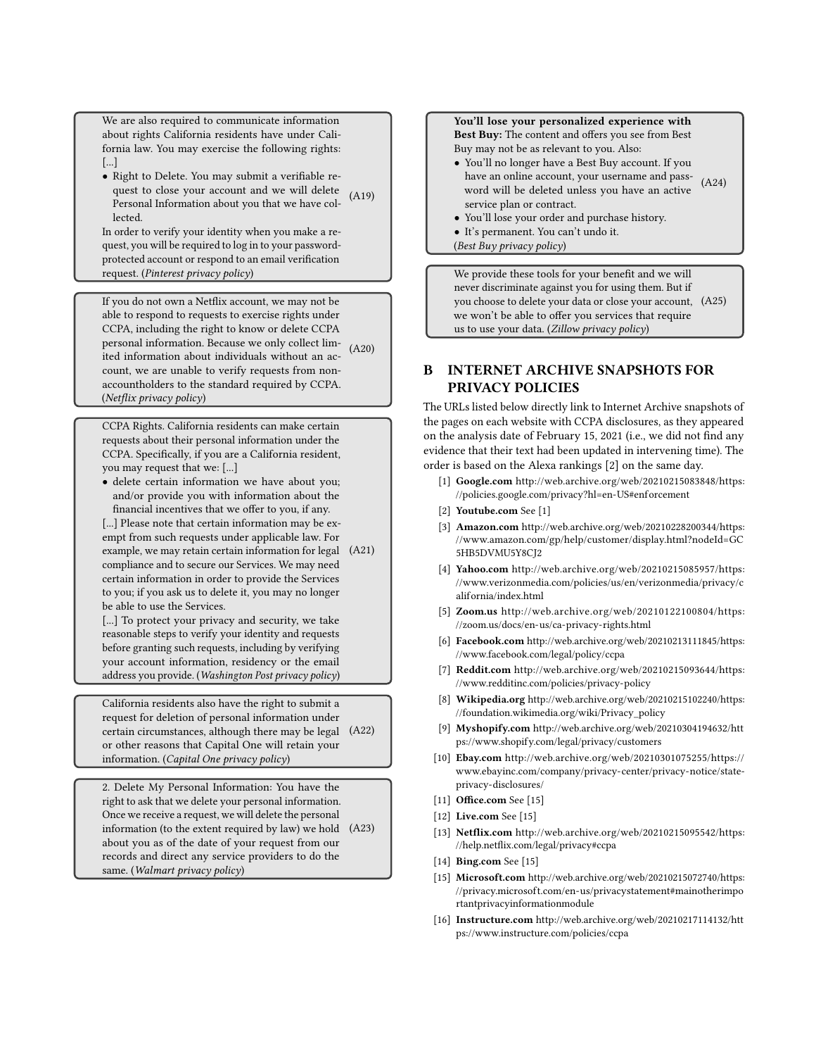<span id="page-15-1"></span>We are also required to communicate information about rights California residents have under California law. You may exercise the following rights: [...]

• Right to Delete. You may submit a verifiable request to close your account and we will delete Personal Information about you that we have collected. [\(A1](#page-13-1)9)

In order to verify your identity when you make a request, you will be required to log in to your passwordprotected account or respond to an email verification request. (Pinterest privacy policy)

<span id="page-15-2"></span>If you do not own a Netflix account, we may not be able to respond to requests to exercise rights under CCPA, including the right to know or delete CCPA personal information. Because we only collect lim-personal information. Because we only collect lim- [\(A2](#page-13-1)0)<br>ited information about individuals without an account, we are unable to verify requests from nonaccountholders to the standard required by CCPA. (Netflix privacy policy)

<span id="page-15-3"></span>CCPA Rights. California residents can make certain requests about their personal information under the CCPA. Specifically, if you are a California resident, you may request that we: [...]

• delete certain information we have about you; and/or provide you with information about the financial incentives that we offer to you, if any.

[...] Please note that certain information may be exempt from such requests under applicable law. For example, we may retain certain information for legal [\(A2](#page-13-1)1) compliance and to secure our Services. We may need certain information in order to provide the Services to you; if you ask us to delete it, you may no longer be able to use the Services.

[...] To protect your privacy and security, we take reasonable steps to verify your identity and requests before granting such requests, including by verifying your account information, residency or the email address you provide. (Washington Post privacy policy)

<span id="page-15-4"></span>California residents also have the right to submit a request for deletion of personal information under certain circumstances, although there may be legal [\(A2](#page-13-1)2) or other reasons that Capital One will retain your information. (Capital One privacy policy)

<span id="page-15-5"></span>2. Delete My Personal Information: You have the right to ask that we delete your personal information. Once we receive a request, we will delete the personal information (to the extent required by law) we hold [\(A2](#page-13-1)3) about you as of the date of your request from our records and direct any service providers to do the same. (Walmart privacy policy)

#### <span id="page-15-6"></span>You'll lose your personalized experience with Best Buy: The content and offers you see from Best

Buy may not be as relevant to you. Also:

- You'll no longer have a Best Buy account. If you have an online account, your username and password will be deleted unless you have an active service plan or contract. [\(A2](#page-13-1)4)
- You'll lose your order and purchase history.
- It's permanent. You can't undo it.
- (Best Buy privacy policy)

<span id="page-15-7"></span>We provide these tools for your benefit and we will never discriminate against you for using them. But if you choose to delete your data or close your account, [\(A2](#page-13-1)5) we won't be able to offer you services that require us to use your data. (Zillow privacy policy)

# <span id="page-15-0"></span>B INTERNET ARCHIVE SNAPSHOTS FOR PRIVACY POLICIES

The URLs listed below directly link to Internet Archive snapshots of the pages on each website with CCPA disclosures, as they appeared on the analysis date of February 15, 2021 (i.e., we did not find any evidence that their text had been updated in intervening time). The order is based on the Alexa rankings [\[2\]](#page-12-28) on the same day.

- [1] Google.com [http://web.archive.org/web/20210215083848/https:](http://web.archive.org/web/20210215083848/https://policies.google.com/privacy?hl=en-US#enforcement) [//policies.google.com/privacy?hl=en-US#enforcement](http://web.archive.org/web/20210215083848/https://policies.google.com/privacy?hl=en-US#enforcement)
- [2] **Youtube.com** See [1]
- [3] Amazon.com [http://web.archive.org/web/20210228200344/https:](http://web.archive.org/web/20210228200344/https://www.amazon.com/gp/help/customer/display.html?nodeId=GC5HB5DVMU5Y8CJ2) [//www.amazon.com/gp/help/customer/display.html?nodeId=GC](http://web.archive.org/web/20210228200344/https://www.amazon.com/gp/help/customer/display.html?nodeId=GC5HB5DVMU5Y8CJ2) [5HB5DVMU5Y8CJ2](http://web.archive.org/web/20210228200344/https://www.amazon.com/gp/help/customer/display.html?nodeId=GC5HB5DVMU5Y8CJ2)
- [4] Yahoo.com [http://web.archive.org/web/20210215085957/https:](http://web.archive.org/web/20210215085957/https://www.verizonmedia.com/policies/us/en/verizonmedia/privacy/california/index.html) [//www.verizonmedia.com/policies/us/en/verizonmedia/privacy/c](http://web.archive.org/web/20210215085957/https://www.verizonmedia.com/policies/us/en/verizonmedia/privacy/california/index.html) [alifornia/index.html](http://web.archive.org/web/20210215085957/https://www.verizonmedia.com/policies/us/en/verizonmedia/privacy/california/index.html)
- [5] Zoom.us [http://web.archive.org/web/20210122100804/https:](http://web.archive.org/web/20210122100804/https://zoom.us/docs/en-us/ca-privacy-rights.html) [//zoom.us/docs/en-us/ca-privacy-rights.html](http://web.archive.org/web/20210122100804/https://zoom.us/docs/en-us/ca-privacy-rights.html)
- [6] Facebook.com [http://web.archive.org/web/20210213111845/https:](http://web.archive.org/web/20210213111845/https://www.facebook.com/legal/policy/ccpa) [//www.facebook.com/legal/policy/ccpa](http://web.archive.org/web/20210213111845/https://www.facebook.com/legal/policy/ccpa)
- [7] Reddit.com [http://web.archive.org/web/20210215093644/https:](http://web.archive.org/web/20210215093644/https://www.redditinc.com/policies/privacy-policy) [//www.redditinc.com/policies/privacy-policy](http://web.archive.org/web/20210215093644/https://www.redditinc.com/policies/privacy-policy)
- [8] Wikipedia.org [http://web.archive.org/web/20210215102240/https:](http://web.archive.org/web/20210215102240/https://foundation.wikimedia.org/wiki/Privacy_policy) [//foundation.wikimedia.org/wiki/Privacy\\_policy](http://web.archive.org/web/20210215102240/https://foundation.wikimedia.org/wiki/Privacy_policy)
- [9] Myshopify.com [http://web.archive.org/web/20210304194632/htt](http://web.archive.org/web/20210304194632/https://www.shopify.com/legal/privacy/customers) [ps://www.shopify.com/legal/privacy/customers](http://web.archive.org/web/20210304194632/https://www.shopify.com/legal/privacy/customers)
- [10] Ebay.com [http://web.archive.org/web/20210301075255/https://](http://web.archive.org/web/20210301075255/https://www.ebayinc.com/company/privacy-center/privacy-notice/state-privacy-disclosures/) [www.ebayinc.com/company/privacy-center/privacy-notice/state](http://web.archive.org/web/20210301075255/https://www.ebayinc.com/company/privacy-center/privacy-notice/state-privacy-disclosures/)[privacy-disclosures/](http://web.archive.org/web/20210301075255/https://www.ebayinc.com/company/privacy-center/privacy-notice/state-privacy-disclosures/)
- [11] **Office.com** See [15]
- [12] **Live.com** See [15]
- [13] Netflix.com [http://web.archive.org/web/20210215095542/https:](http://web.archive.org/web/20210215095542/https://help.netflix.com/legal/privacy#ccpa) [//help.netflix.com/legal/privacy#ccpa](http://web.archive.org/web/20210215095542/https://help.netflix.com/legal/privacy#ccpa)
- [14] **Bing.com** See [15]
- [15] Microsoft.com [http://web.archive.org/web/20210215072740/https:](http://web.archive.org/web/20210215072740/https://privacy.microsoft.com/en-us/privacystatement#mainotherimportantprivacyinformationmodule) [//privacy.microsof t.com/en-us/privacystatement#mainotherimpo](http://web.archive.org/web/20210215072740/https://privacy.microsoft.com/en-us/privacystatement#mainotherimportantprivacyinformationmodule) [rtantprivacyinformationmodule](http://web.archive.org/web/20210215072740/https://privacy.microsoft.com/en-us/privacystatement#mainotherimportantprivacyinformationmodule)
- [16] Instructure.com [http://web.archive.org/web/20210217114132/htt](http://web.archive.org/web/20210217114132/https://www.instructure.com/policies/ccpa) [ps://www.instructure.com/policies/ccpa](http://web.archive.org/web/20210217114132/https://www.instructure.com/policies/ccpa)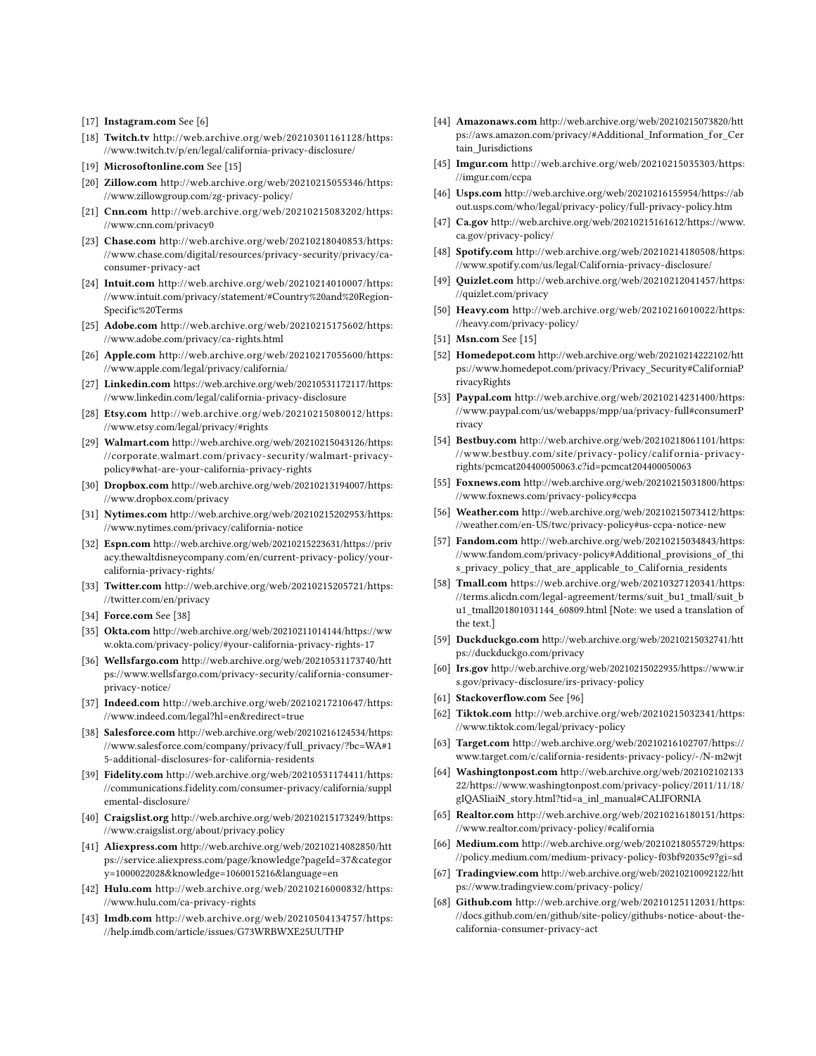- [17] Instagram.com See [6]
- [18] Twitch.tv [http://web.archive.org/web/20210301161128/https:](http://web.archive.org/web/20210301161128/https://www.twitch.tv/p/en/legal/california-privacy-disclosure/) [//www.twitch.tv/p/en/legal/california-privacy-disclosure/](http://web.archive.org/web/20210301161128/https://www.twitch.tv/p/en/legal/california-privacy-disclosure/)
- [19] Microsoftonline.com See [15]
- [20] Zillow.com [http://web.archive.org/web/20210215055346/https:](http://web.archive.org/web/20210215055346/https://www.zillowgroup.com/zg-privacy-policy/) [//www.zillowgroup.com/zg-privacy-policy/](http://web.archive.org/web/20210215055346/https://www.zillowgroup.com/zg-privacy-policy/)
- [21] Cnn.com [http://web.archive.org/web/20210215083202/https:](http://web.archive.org/web/20210215083202/https://www.cnn.com/privacy0) [//www.cnn.com/privacy0](http://web.archive.org/web/20210215083202/https://www.cnn.com/privacy0)
- [23] Chase.com [http://web.archive.org/web/20210218040853/https:](http://web.archive.org/web/20210218040853/https://www.chase.com/digital/resources/privacy-security/privacy/ca-consumer-privacy-act) [//www.chase.com/digital/resources/privacy-security/privacy/ca](http://web.archive.org/web/20210218040853/https://www.chase.com/digital/resources/privacy-security/privacy/ca-consumer-privacy-act)[consumer-privacy-act](http://web.archive.org/web/20210218040853/https://www.chase.com/digital/resources/privacy-security/privacy/ca-consumer-privacy-act)
- [24] Intuit.com [http://web.archive.org/web/20210214010007/https:](http://web.archive.org/web/20210214010007/https://www.intuit.com/privacy/statement/#Country%20and%20Region-Specific%20Terms) [//www.intuit.com/privacy/statement/#Country%20and%20Region-](http://web.archive.org/web/20210214010007/https://www.intuit.com/privacy/statement/#Country%20and%20Region-Specific%20Terms)[Specific%20Terms](http://web.archive.org/web/20210214010007/https://www.intuit.com/privacy/statement/#Country%20and%20Region-Specific%20Terms)
- [25] Adobe.com [http://web.archive.org/web/20210215175602/https:](http://web.archive.org/web/20210215175602/https://www.adobe.com/privacy/ca-rights.html) [//www.adobe.com/privacy/ca-rights.html](http://web.archive.org/web/20210215175602/https://www.adobe.com/privacy/ca-rights.html)
- [26] Apple.com [http://web.archive.org/web/20210217055600/https:](http://web.archive.org/web/20210217055600/https://www.apple.com/legal/privacy/california/) [//www.apple.com/legal/privacy/california/](http://web.archive.org/web/20210217055600/https://www.apple.com/legal/privacy/california/)
- [27] Linkedin.com [https://web.archive.org/web/20210531172117/https:](https://web.archive.org/web/20210531172117/https://www.linkedin.com/legal/california-privacy-disclosure) [//www.linkedin.com/legal/california-privacy-disclosure](https://web.archive.org/web/20210531172117/https://www.linkedin.com/legal/california-privacy-disclosure)
- [28] Etsy.com [http://web.archive.org/web/20210215080012/https:](http://web.archive.org/web/20210215080012/https://www.etsy.com/legal/privacy/#rights) [//www.etsy.com/legal/privacy/#rights](http://web.archive.org/web/20210215080012/https://www.etsy.com/legal/privacy/#rights)
- [29] Walmart.com [http://web.archive.org/web/20210215043126/https:](http://web.archive.org/web/20210215043126/https://corporate.walmart.com/privacy-security/walmart-privacy-policy#what-are-your-california-privacy-rights) [//corporate.walmart.com/privacy-security/walmart-privacy](http://web.archive.org/web/20210215043126/https://corporate.walmart.com/privacy-security/walmart-privacy-policy#what-are-your-california-privacy-rights)[policy#what-are-your-california-privacy-rights](http://web.archive.org/web/20210215043126/https://corporate.walmart.com/privacy-security/walmart-privacy-policy#what-are-your-california-privacy-rights)
- [30] Dropbox.com [http://web.archive.org/web/20210213194007/https:](http://web.archive.org/web/20210213194007/https://www.dropbox.com/privacy) [//www.dropbox.com/privacy](http://web.archive.org/web/20210213194007/https://www.dropbox.com/privacy)
- [31] Nytimes.com [http://web.archive.org/web/20210215202953/https:](http://web.archive.org/web/20210215202953/https://www.nytimes.com/privacy/california-notice) [//www.nytimes.com/privacy/california-notice](http://web.archive.org/web/20210215202953/https://www.nytimes.com/privacy/california-notice)
- [32] Espn.com [http://web.archive.org/web/20210215223631/https://priv](http://web.archive.org/web/20210215223631/https://privacy.thewaltdisneycompany.com/en/current-privacy-policy/your-california-privacy-rights/) [acy.thewaltdisneycompany.com/en/current-privacy-policy/your](http://web.archive.org/web/20210215223631/https://privacy.thewaltdisneycompany.com/en/current-privacy-policy/your-california-privacy-rights/)[california-privacy-rights/](http://web.archive.org/web/20210215223631/https://privacy.thewaltdisneycompany.com/en/current-privacy-policy/your-california-privacy-rights/)
- [33] Twitter.com [http://web.archive.org/web/20210215205721/https:](http://web.archive.org/web/20210215205721/https://twitter.com/en/privacy) [//twitter.com/en/privacy](http://web.archive.org/web/20210215205721/https://twitter.com/en/privacy)
- [34] **Force.com** See [38]
- [35] Okta.com [http://web.archive.org/web/20210211014144/https://ww](http://web.archive.org/web/20210211014144/https://www.okta.com/privacy-policy/#your-california-privacy-rights-17) [w.okta.com/privacy-policy/#your-california-privacy-rights-17](http://web.archive.org/web/20210211014144/https://www.okta.com/privacy-policy/#your-california-privacy-rights-17)
- [36] Wellsfargo.com [http://web.archive.org/web/20210531173740/htt](http://web.archive.org/web/20210531173740/https://www.wellsfargo.com/privacy-security/california-consumer-privacy-notice/) [ps://www.wellsfargo.com/privacy-security/california-consumer](http://web.archive.org/web/20210531173740/https://www.wellsfargo.com/privacy-security/california-consumer-privacy-notice/)[privacy-notice/](http://web.archive.org/web/20210531173740/https://www.wellsfargo.com/privacy-security/california-consumer-privacy-notice/)
- [37] Indeed.com [http://web.archive.org/web/20210217210647/https:](http://web.archive.org/web/20210217210647/https://www.indeed.com/legal?hl=en&redirect=true) [//www.indeed.com/legal?hl=en&redirect=true](http://web.archive.org/web/20210217210647/https://www.indeed.com/legal?hl=en&redirect=true)
- [38] Salesforce.com [http://web.archive.org/web/20210216124534/https:](http://web.archive.org/web/20210216124534/https://www.salesforce.com/company/privacy/full_privacy/?bc=WA#15-additional-disclosures-for-california-residents) [//www.salesforce.com/company/privacy/full\\_privacy/?bc=WA#1](http://web.archive.org/web/20210216124534/https://www.salesforce.com/company/privacy/full_privacy/?bc=WA#15-additional-disclosures-for-california-residents) [5-additional-disclosures-for-california-residents](http://web.archive.org/web/20210216124534/https://www.salesforce.com/company/privacy/full_privacy/?bc=WA#15-additional-disclosures-for-california-residents)
- [39] Fidelity.com [http://web.archive.org/web/20210531174411/https:](http://web.archive.org/web/20210531174411/https://communications.fidelity.com/consumer-privacy/california/supplemental-disclosure/) [//communications.fidelity.com/consumer-privacy/california/suppl](http://web.archive.org/web/20210531174411/https://communications.fidelity.com/consumer-privacy/california/supplemental-disclosure/) [emental-disclosure/](http://web.archive.org/web/20210531174411/https://communications.fidelity.com/consumer-privacy/california/supplemental-disclosure/)
- [40] Craigslist.org [http://web.archive.org/web/20210215173249/https:](http://web.archive.org/web/20210215173249/https://www.craigslist.org/about/privacy.policy) [//www.craigslist.org/about/privacy.policy](http://web.archive.org/web/20210215173249/https://www.craigslist.org/about/privacy.policy)
- [41] Aliexpress.com [http://web.archive.org/web/20210214082850/htt](http://web.archive.org/web/20210214082850/https://service.aliexpress.com/page/knowledge?pageId=37&category=1000022028&knowledge=1060015216&language=en) [ps://service.aliexpress.com/page/knowledge?pageId=37&categor](http://web.archive.org/web/20210214082850/https://service.aliexpress.com/page/knowledge?pageId=37&category=1000022028&knowledge=1060015216&language=en) [y=1000022028&knowledge=1060015216&language=en](http://web.archive.org/web/20210214082850/https://service.aliexpress.com/page/knowledge?pageId=37&category=1000022028&knowledge=1060015216&language=en)
- [42] Hulu.com [http://web.archive.org/web/20210216000832/https:](http://web.archive.org/web/20210216000832/https://www.hulu.com/ca-privacy-rights) [//www.hulu.com/ca-privacy-rights](http://web.archive.org/web/20210216000832/https://www.hulu.com/ca-privacy-rights)
- [43] Imdb.com [http://web.archive.org/web/20210504134757/https:](http://web.archive.org/web/20210504134757/https://help.imdb.com/article/issues/G73WRBWXE25UUTHP) [//help.imdb.com/article/issues/G73WRBWXE25UUTHP](http://web.archive.org/web/20210504134757/https://help.imdb.com/article/issues/G73WRBWXE25UUTHP)
- [44] Amazonaws.com [http://web.archive.org/web/20210215073820/htt](http://web.archive.org/web/20210215073820/https://aws.amazon.com/privacy/#Additional_Information_for_Certain_Jurisdictions) [ps://aws.amazon.com/privacy/#Additional\\_Information\\_for\\_Cer](http://web.archive.org/web/20210215073820/https://aws.amazon.com/privacy/#Additional_Information_for_Certain_Jurisdictions) [tain\\_Jurisdictions](http://web.archive.org/web/20210215073820/https://aws.amazon.com/privacy/#Additional_Information_for_Certain_Jurisdictions)
- [45] Imgur.com [http://web.archive.org/web/20210215035303/https:](http://web.archive.org/web/20210215035303/https://imgur.com/ccpa) [//imgur.com/ccpa](http://web.archive.org/web/20210215035303/https://imgur.com/ccpa)
- [46] Usps.com [http://web.archive.org/web/20210216155954/https://ab](http://web.archive.org/web/20210216155954/https://about.usps.com/who/legal/privacy-policy/full-privacy-policy.htm) [out.usps.com/who/legal/privacy-policy/full-privacy-policy.htm](http://web.archive.org/web/20210216155954/https://about.usps.com/who/legal/privacy-policy/full-privacy-policy.htm)
- [47] Ca.gov [http://web.archive.org/web/20210215161612/https://www.](http://web.archive.org/web/20210215161612/https://www.ca.gov/privacy-policy/) [ca.gov/privacy-policy/](http://web.archive.org/web/20210215161612/https://www.ca.gov/privacy-policy/)
- [48] Spotify.com [http://web.archive.org/web/20210214180508/https:](http://web.archive.org/web/20210214180508/https://www.spotify.com/us/legal/California-privacy-disclosure/) [//www.spotify.com/us/legal/California-privacy-disclosure/](http://web.archive.org/web/20210214180508/https://www.spotify.com/us/legal/California-privacy-disclosure/)
- [49] Quizlet.com [http://web.archive.org/web/20210212041457/https:](http://web.archive.org/web/20210212041457/https://quizlet.com/privacy) [//quizlet.com/privacy](http://web.archive.org/web/20210212041457/https://quizlet.com/privacy)
- [50] Heavy.com [http://web.archive.org/web/20210216010022/https:](http://web.archive.org/web/20210216010022/https://heavy.com/privacy-policy/) [//heavy.com/privacy-policy/](http://web.archive.org/web/20210216010022/https://heavy.com/privacy-policy/)
- [51] Msn.com See [15]
- [52] Homedepot.com [http://web.archive.org/web/20210214222102/htt](http://web.archive.org/web/20210214222102/https://www.homedepot.com/privacy/Privacy_Security#CaliforniaPrivacyRights) [ps://www.homedepot.com/privacy/Privacy\\_Security#CaliforniaP](http://web.archive.org/web/20210214222102/https://www.homedepot.com/privacy/Privacy_Security#CaliforniaPrivacyRights) [rivacyRights](http://web.archive.org/web/20210214222102/https://www.homedepot.com/privacy/Privacy_Security#CaliforniaPrivacyRights)
- [53] Paypal.com [http://web.archive.org/web/20210214231400/https:](http://web.archive.org/web/20210214231400/https://www.paypal.com/us/webapps/mpp/ua/privacy-full#consumerPrivacy) [//www.paypal.com/us/webapps/mpp/ua/privacy-full#consumerP](http://web.archive.org/web/20210214231400/https://www.paypal.com/us/webapps/mpp/ua/privacy-full#consumerPrivacy) [rivacy](http://web.archive.org/web/20210214231400/https://www.paypal.com/us/webapps/mpp/ua/privacy-full#consumerPrivacy)
- [54] Bestbuy.com [http://web.archive.org/web/20210218061101/https:](http://web.archive.org/web/20210218061101/https://www.bestbuy.com/site/privacy-policy/california-privacy-rights/pcmcat204400050063.c?id=pcmcat204400050063) [//www.bestbuy.com/site/privacy- policy/calif ornia- privacy](http://web.archive.org/web/20210218061101/https://www.bestbuy.com/site/privacy-policy/california-privacy-rights/pcmcat204400050063.c?id=pcmcat204400050063)[rights/pcmcat204400050063.c?id=pcmcat204400050063](http://web.archive.org/web/20210218061101/https://www.bestbuy.com/site/privacy-policy/california-privacy-rights/pcmcat204400050063.c?id=pcmcat204400050063)
- [55] Foxnews.com [http://web.archive.org/web/20210215031800/https:](http://web.archive.org/web/20210215031800/https://www.foxnews.com/privacy-policy#ccpa) [//www.foxnews.com/privacy-policy#ccpa](http://web.archive.org/web/20210215031800/https://www.foxnews.com/privacy-policy#ccpa)
- [56] Weather.com [http://web.archive.org/web/20210215073412/https:](http://web.archive.org/web/20210215073412/https://weather.com/en-US/twc/privacy-policy#us-ccpa-notice-new) [//weather.com/en-US/twc/privacy-policy#us-ccpa-notice-new](http://web.archive.org/web/20210215073412/https://weather.com/en-US/twc/privacy-policy#us-ccpa-notice-new)
- [57] Fandom.com [http://web.archive.org/web/20210215034843/https:](http://web.archive.org/web/20210215034843/https://www.fandom.com/privacy-policy#Additional_provisions_of_this_privacy_policy_that_are_applicable_to_California_residents) [//www.fandom.com/privacy-policy#Additional\\_provisions\\_of\\_thi](http://web.archive.org/web/20210215034843/https://www.fandom.com/privacy-policy#Additional_provisions_of_this_privacy_policy_that_are_applicable_to_California_residents) [s\\_privacy\\_policy\\_that\\_are\\_applicable\\_to\\_California\\_residents](http://web.archive.org/web/20210215034843/https://www.fandom.com/privacy-policy#Additional_provisions_of_this_privacy_policy_that_are_applicable_to_California_residents)
- [58] Tmall.com [https://web.archive.org/web/20210327120341/https:](https://web.archive.org/web/20210327120341/https://terms.alicdn.com/legal-agreement/terms/suit_bu1_tmall/suit_bu1_tmall201801031144_60809.html) [//terms.alicdn.com/legal-agreement/terms/suit\\_bu1\\_tmall/suit\\_b](https://web.archive.org/web/20210327120341/https://terms.alicdn.com/legal-agreement/terms/suit_bu1_tmall/suit_bu1_tmall201801031144_60809.html) [u1\\_tmall201801031144\\_60809.html](https://web.archive.org/web/20210327120341/https://terms.alicdn.com/legal-agreement/terms/suit_bu1_tmall/suit_bu1_tmall201801031144_60809.html) [Note: we used a translation of the text.]
- [59] Duckduckgo.com [http://web.archive.org/web/20210215032741/htt](http://web.archive.org/web/20210215032741/https://duckduckgo.com/privacy) [ps://duckduckgo.com/privacy](http://web.archive.org/web/20210215032741/https://duckduckgo.com/privacy)
- [60] Irs.gov [http://web.archive.org/web/20210215022935/https://www.ir](http://web.archive.org/web/20210215022935/https://www.irs.gov/privacy-disclosure/irs-privacy-policy) [s.gov/privacy-disclosure/irs-privacy-policy](http://web.archive.org/web/20210215022935/https://www.irs.gov/privacy-disclosure/irs-privacy-policy)
- [61] Stackoverflow.com See [96]
- [62] Tiktok.com [http://web.archive.org/web/20210215032341/https:](http://web.archive.org/web/20210215032341/https://www.tiktok.com/legal/privacy-policy) [//www.tiktok.com/legal/privacy-policy](http://web.archive.org/web/20210215032341/https://www.tiktok.com/legal/privacy-policy)
- [63] Target.com [http://web.archive.org/web/20210216102707/https://](http://web.archive.org/web/20210216102707/https://www.target.com/c/california-residents-privacy-policy/-/N-m2wjt) [www.target.com/c/california-residents-privacy-policy/-/N-m2wjt](http://web.archive.org/web/20210216102707/https://www.target.com/c/california-residents-privacy-policy/-/N-m2wjt)
- [64] Washingtonpost.com [http://web.archive.org/web/202102102133](http://web.archive.org/web/20210210213322/https://www.washingtonpost.com/privacy-policy/2011/11/18/gIQASIiaiN_story.html?tid=a_inl_manual#CALIFORNIA) [22/https://www.washingtonpost.com/privacy-policy/2011/11/18/](http://web.archive.org/web/20210210213322/https://www.washingtonpost.com/privacy-policy/2011/11/18/gIQASIiaiN_story.html?tid=a_inl_manual#CALIFORNIA) [gIQASIiaiN\\_story.html?tid=a\\_inl\\_manual#CALIFORNIA](http://web.archive.org/web/20210210213322/https://www.washingtonpost.com/privacy-policy/2011/11/18/gIQASIiaiN_story.html?tid=a_inl_manual#CALIFORNIA)
- [65] Realtor.com [http://web.archive.org/web/20210216180151/https:](http://web.archive.org/web/20210216180151/https://www.realtor.com/privacy-policy/#california) [//www.realtor.com/privacy-policy/#california](http://web.archive.org/web/20210216180151/https://www.realtor.com/privacy-policy/#california)
- [66] Medium.com [http://web.archive.org/web/20210218055729/https:](http://web.archive.org/web/20210218055729/https://policy.medium.com/medium-privacy-policy-f03bf92035c9?gi=sd) [//policy.medium.com/medium-privacy-policy-f03bf92035c9?gi=sd](http://web.archive.org/web/20210218055729/https://policy.medium.com/medium-privacy-policy-f03bf92035c9?gi=sd)
- [67] Tradingview.com [http://web.archive.org/web/20210210092122/htt](http://web.archive.org/web/20210210092122/https://www.tradingview.com/privacy-policy/) [ps://www.tradingview.com/privacy-policy/](http://web.archive.org/web/20210210092122/https://www.tradingview.com/privacy-policy/)
- [68] Github.com [http://web.archive.org/web/20210125112031/https:](http://web.archive.org/web/20210125112031/https://docs.github.com/en/github/site-policy/githubs-notice-about-the-california-consumer-privacy-act) [//docs.github.com/en/github/site-policy/githubs-notice-about-the](http://web.archive.org/web/20210125112031/https://docs.github.com/en/github/site-policy/githubs-notice-about-the-california-consumer-privacy-act)[california-consumer-privacy-act](http://web.archive.org/web/20210125112031/https://docs.github.com/en/github/site-policy/githubs-notice-about-the-california-consumer-privacy-act)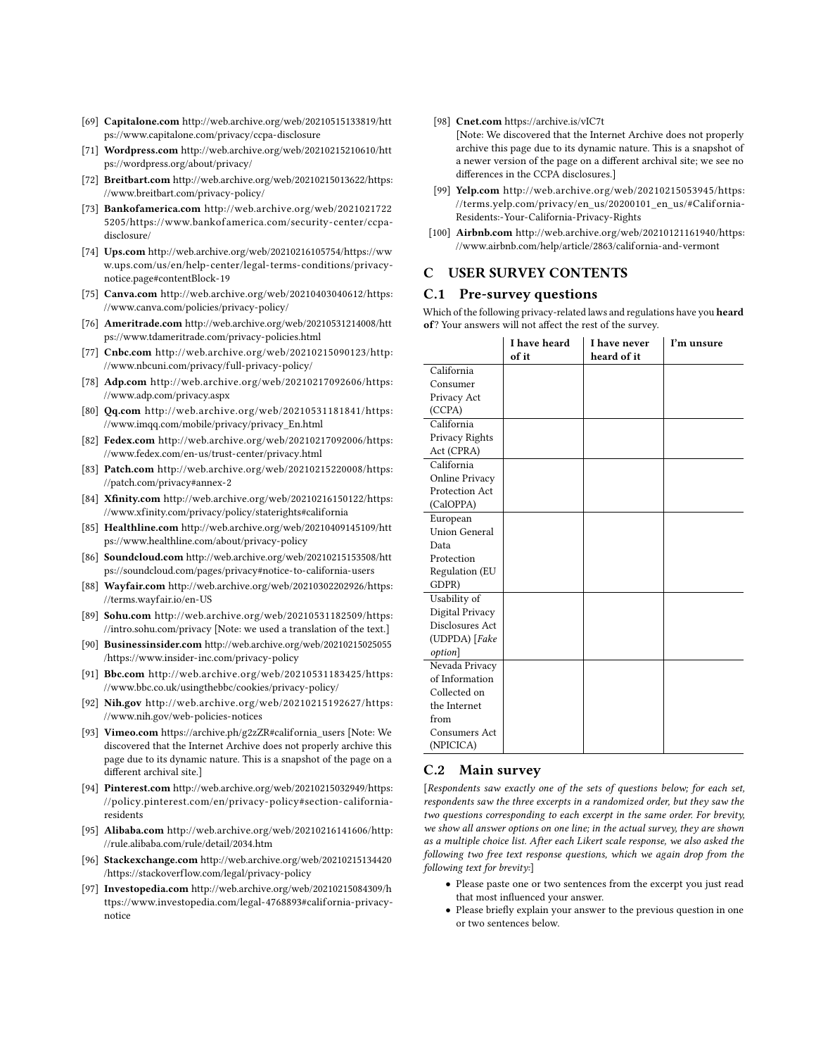- [69] Capitalone.com [http://web.archive.org/web/20210515133819/htt](http://web.archive.org/web/20210515133819/https://www.capitalone.com/privacy/ccpa-disclosure) [ps://www.capitalone.com/privacy/ccpa-disclosure](http://web.archive.org/web/20210515133819/https://www.capitalone.com/privacy/ccpa-disclosure)
- [71] Wordpress.com [http://web.archive.org/web/20210215210610/htt](http://web.archive.org/web/20210215210610/https://wordpress.org/about/privacy/) [ps://wordpress.org/about/privacy/](http://web.archive.org/web/20210215210610/https://wordpress.org/about/privacy/)
- [72] Breitbart.com [http://web.archive.org/web/20210215013622/https:](http://web.archive.org/web/20210215013622/https://www.breitbart.com/privacy-policy/) [//www.breitbart.com/privacy-policy/](http://web.archive.org/web/20210215013622/https://www.breitbart.com/privacy-policy/)
- [73] Bankofamerica.com [http://web.archive.org/web/2021021722](http://web.archive.org/web/20210217225205/https://www.bankofamerica.com/security-center/ccpa-disclosure/) [5205/https://www.bankof america.com/security-center/ccpa](http://web.archive.org/web/20210217225205/https://www.bankofamerica.com/security-center/ccpa-disclosure/)[disclosure/](http://web.archive.org/web/20210217225205/https://www.bankofamerica.com/security-center/ccpa-disclosure/)
- [74] Ups.com [http://web.archive.org/web/20210216105754/https://ww](http://web.archive.org/web/20210216105754/https://www.ups.com/us/en/help-center/legal-terms-conditions/privacy-notice.page#contentBlock-19) [w.ups.com/us/en/help-center/legal- terms-conditions/privacy](http://web.archive.org/web/20210216105754/https://www.ups.com/us/en/help-center/legal-terms-conditions/privacy-notice.page#contentBlock-19)[notice.page#contentBlock-19](http://web.archive.org/web/20210216105754/https://www.ups.com/us/en/help-center/legal-terms-conditions/privacy-notice.page#contentBlock-19)
- [75] Canva.com [http://web.archive.org/web/20210403040612/https:](http://web.archive.org/web/20210403040612/https://www.canva.com/policies/privacy-policy/) [//www.canva.com/policies/privacy-policy/](http://web.archive.org/web/20210403040612/https://www.canva.com/policies/privacy-policy/)
- [76] Ameritrade.com [http://web.archive.org/web/20210531214008/htt](http://web.archive.org/web/20210531214008/https://www.tdameritrade.com/privacy-policies.html) [ps://www.tdameritrade.com/privacy-policies.html](http://web.archive.org/web/20210531214008/https://www.tdameritrade.com/privacy-policies.html)
- [77] Cnbc.com [http://web.archive.org/web/20210215090123/http:](http://web.archive.org/web/20210215090123/http://www.nbcuni.com/privacy/full-privacy-policy/) [//www.nbcuni.com/privacy/full-privacy-policy/](http://web.archive.org/web/20210215090123/http://www.nbcuni.com/privacy/full-privacy-policy/)
- [78] Adp.com [http://web.archive.org/web/20210217092606/https:](http://web.archive.org/web/20210217092606/https://www.adp.com/privacy.aspx) [//www.adp.com/privacy.aspx](http://web.archive.org/web/20210217092606/https://www.adp.com/privacy.aspx)
- [80] Qq.com [http://web.archive.org/web/20210531181841/https:](http://web.archive.org/web/20210531181841/https://www.imqq.com/mobile/privacy/privacy_En.html) [//www.imqq.com/mobile/privacy/privacy\\_En.html](http://web.archive.org/web/20210531181841/https://www.imqq.com/mobile/privacy/privacy_En.html)
- [82] Fedex.com [http://web.archive.org/web/20210217092006/https:](http://web.archive.org/web/20210217092006/https://www.fedex.com/en-us/trust-center/privacy.html) [//www.fedex.com/en-us/trust-center/privacy.html](http://web.archive.org/web/20210217092006/https://www.fedex.com/en-us/trust-center/privacy.html)
- [83] Patch.com [http://web.archive.org/web/20210215220008/https:](http://web.archive.org/web/20210215220008/https://patch.com/privacy#annex-2) [//patch.com/privacy#annex-2](http://web.archive.org/web/20210215220008/https://patch.com/privacy#annex-2)
- [84] Xfinity.com [http://web.archive.org/web/20210216150122/https:](http://web.archive.org/web/20210216150122/https://www.xfinity.com/privacy/policy/staterights#california) [//www.xfinity.com/privacy/policy/staterights#california](http://web.archive.org/web/20210216150122/https://www.xfinity.com/privacy/policy/staterights#california)
- [85] Healthline.com [http://web.archive.org/web/20210409145109/htt](http://web.archive.org/web/20210409145109/https://www.healthline.com/about/privacy-policy) [ps://www.healthline.com/about/privacy-policy](http://web.archive.org/web/20210409145109/https://www.healthline.com/about/privacy-policy)
- [86] Soundcloud.com [http://web.archive.org/web/20210215153508/htt](http://web.archive.org/web/20210215153508/https://soundcloud.com/pages/privacy#notice-to-california-users) [ps://soundcloud.com/pages/privacy#notice-to-california-users](http://web.archive.org/web/20210215153508/https://soundcloud.com/pages/privacy#notice-to-california-users)
- [88] Wayfair.com [http://web.archive.org/web/20210302202926/https:](http://web.archive.org/web/20210302202926/https://terms.wayfair.io/en-US) [//terms.wayfair.io/en-US](http://web.archive.org/web/20210302202926/https://terms.wayfair.io/en-US)
- [89] Sohu.com [http://web.archive.org/web/20210531182509/https:](http://web.archive.org/web/20210531182509/https://intro.sohu.com/privacy) [//intro.sohu.com/privacy](http://web.archive.org/web/20210531182509/https://intro.sohu.com/privacy) [Note: we used a translation of the text.]
- [90] Businessinsider.com [http://web.archive.org/web/20210215025055](http://web.archive.org/web/20210215025055/https://www.insider-inc.com/privacy-policy) [/https://www.insider-inc.com/privacy-policy](http://web.archive.org/web/20210215025055/https://www.insider-inc.com/privacy-policy)
- [91] Bbc.com [http://web.archive.org/web/20210531183425/https:](http://web.archive.org/web/20210531183425/https://www.bbc.co.uk/usingthebbc/cookies/privacy-policy/) [//www.bbc.co.uk/usingthebbc/cookies/privacy-policy/](http://web.archive.org/web/20210531183425/https://www.bbc.co.uk/usingthebbc/cookies/privacy-policy/)
- [92] Nih.gov [http://web.archive.org/web/20210215192627/https:](http://web.archive.org/web/20210215192627/https://www.nih.gov/web-policies-notices) [//www.nih.gov/web-policies-notices](http://web.archive.org/web/20210215192627/https://www.nih.gov/web-policies-notices)
- [93] Vimeo.com [https://archive.ph/g2zZR#california\\_users](https://archive.ph/g2zZR#california_users) [Note: We discovered that the Internet Archive does not properly archive this page due to its dynamic nature. This is a snapshot of the page on a different archival site.]
- [94] Pinterest.com [http://web.archive.org/web/20210215032949/https:](http://web.archive.org/web/20210215032949/https://policy.pinterest.com/en/privacy-policy#section-california-residents) [//policy.pinterest.com/en/privacy-policy#section-california](http://web.archive.org/web/20210215032949/https://policy.pinterest.com/en/privacy-policy#section-california-residents)[residents](http://web.archive.org/web/20210215032949/https://policy.pinterest.com/en/privacy-policy#section-california-residents)
- [95] Alibaba.com [http://web.archive.org/web/20210216141606/http:](http://web.archive.org/web/20210216141606/http://rule.alibaba.com/rule/detail/2034.htm) [//rule.alibaba.com/rule/detail/2034.htm](http://web.archive.org/web/20210216141606/http://rule.alibaba.com/rule/detail/2034.htm)
- [96] Stackexchange.com [http://web.archive.org/web/20210215134420](http://web.archive.org/web/20210215134420/https://stackoverflow.com/legal/privacy-policy) [/https://stackoverflow.com/legal/privacy-policy](http://web.archive.org/web/20210215134420/https://stackoverflow.com/legal/privacy-policy)
- [97] Investopedia.com [http://web.archive.org/web/20210215084309/h](http://web.archive.org/web/20210215084309/https://www.investopedia.com/legal-4768893#california-privacy-notice) [ttps://www.investopedia.com/legal-4768893#california-privacy](http://web.archive.org/web/20210215084309/https://www.investopedia.com/legal-4768893#california-privacy-notice)[notice](http://web.archive.org/web/20210215084309/https://www.investopedia.com/legal-4768893#california-privacy-notice)

[98] Cnet.com <https://archive.is/vIC7t>

[Note: We discovered that the Internet Archive does not properly archive this page due to its dynamic nature. This is a snapshot of a newer version of the page on a different archival site; we see no differences in the CCPA disclosures.]

- [99] Yelp.com [http://web.archive.org/web/20210215053945/https:](http://web.archive.org/web/20210215053945/https://terms.yelp.com/privacy/en_us/20200101_en_us/#California-Residents:-Your-California-Privacy-Rights) //terms.yelp.com/privacy/en\_us/20200101\_en\_us/#California-[Residents:-Your-California-Privacy-Rights](http://web.archive.org/web/20210215053945/https://terms.yelp.com/privacy/en_us/20200101_en_us/#California-Residents:-Your-California-Privacy-Rights)
- [100] Airbnb.com [http://web.archive.org/web/20210121161940/https:](http://web.archive.org/web/20210121161940/https://www.airbnb.com/help/article/2863/california-and-vermont) [//www.airbnb.com/help/article/2863/california-and-vermont](http://web.archive.org/web/20210121161940/https://www.airbnb.com/help/article/2863/california-and-vermont)

## <span id="page-17-0"></span>C USER SURVEY CONTENTS

## C.1 Pre-survey questions

Which of the following privacy-related laws and regulations have you heard of? Your answers will not affect the rest of the survey.

|                 | I have heard<br>of it | I have never<br>heard of it | I'm unsure |
|-----------------|-----------------------|-----------------------------|------------|
| California      |                       |                             |            |
| Consumer        |                       |                             |            |
| Privacy Act     |                       |                             |            |
| (CCPA)          |                       |                             |            |
| California      |                       |                             |            |
| Privacy Rights  |                       |                             |            |
| Act (CPRA)      |                       |                             |            |
| California      |                       |                             |            |
| Online Privacy  |                       |                             |            |
| Protection Act  |                       |                             |            |
| (CalOPPA)       |                       |                             |            |
| European        |                       |                             |            |
| Union General   |                       |                             |            |
| Data            |                       |                             |            |
| Protection      |                       |                             |            |
| Regulation (EU  |                       |                             |            |
| GDPR)           |                       |                             |            |
| Usability of    |                       |                             |            |
| Digital Privacy |                       |                             |            |
| Disclosures Act |                       |                             |            |
| (UDPDA) [Fake   |                       |                             |            |
| option]         |                       |                             |            |
| Nevada Privacy  |                       |                             |            |
| of Information  |                       |                             |            |
| Collected on    |                       |                             |            |
| the Internet    |                       |                             |            |
| from            |                       |                             |            |
| Consumers Act   |                       |                             |            |
| (NPICICA)       |                       |                             |            |

## C.2 Main survey

[Respondents saw exactly one of the sets of questions below; for each set, respondents saw the three excerpts in a randomized order, but they saw the two questions corresponding to each excerpt in the same order. For brevity, we show all answer options on one line; in the actual survey, they are shown as a multiple choice list. After each Likert scale response, we also asked the following two free text response questions, which we again drop from the following text for brevity:]

- Please paste one or two sentences from the excerpt you just read that most influenced your answer.
- Please briefly explain your answer to the previous question in one or two sentences below.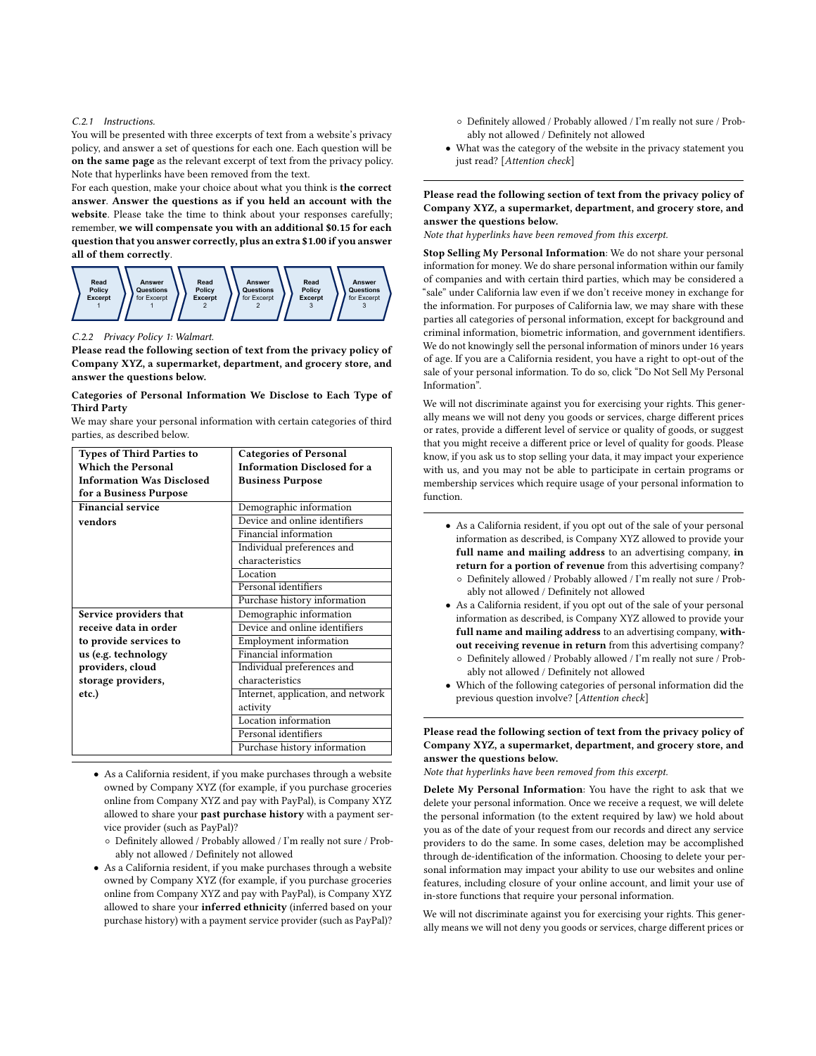#### C.2.1 Instructions.

You will be presented with three excerpts of text from a website's privacy policy, and answer a set of questions for each one. Each question will be on the same page as the relevant excerpt of text from the privacy policy. Note that hyperlinks have been removed from the text.

For each question, make your choice about what you think is the correct answer. Answer the questions as if you held an account with the website. Please take the time to think about your responses carefully; remember, we will compensate you with an additional \$0.15 for each question that you answer correctly, plus an extra \$1.00 if you answer all of them correctly.



#### C.2.2 Privacy Policy 1: Walmart.

Please read the following section of text from the privacy policy of Company XYZ, a supermarket, department, and grocery store, and answer the questions below.

#### Categories of Personal Information We Disclose to Each Type of Third Party

We may share your personal information with certain categories of third parties, as described below.

| <b>Types of Third Parties to</b> | <b>Categories of Personal</b>      |
|----------------------------------|------------------------------------|
| <b>Which the Personal</b>        | <b>Information Disclosed for a</b> |
| <b>Information Was Disclosed</b> | <b>Business Purpose</b>            |
| for a Business Purpose           |                                    |
| <b>Financial service</b>         | Demographic information            |
| vendors                          | Device and online identifiers      |
|                                  | Financial information              |
|                                  | Individual preferences and         |
|                                  | characteristics                    |
|                                  | Location                           |
|                                  | Personal identifiers               |
|                                  | Purchase history information       |
| Service providers that           | Demographic information            |
| receive data in order            | Device and online identifiers      |
| to provide services to           | <b>Employment</b> information      |
| us (e.g. technology              | Financial information              |
| providers, cloud                 | Individual preferences and         |
| storage providers,               | characteristics                    |
| etc.)                            | Internet, application, and network |
|                                  | activity                           |
|                                  | Location information               |
|                                  | Personal identifiers               |
|                                  | Purchase history information       |
|                                  |                                    |

- As a California resident, if you make purchases through a website owned by Company XYZ (for example, if you purchase groceries online from Company XYZ and pay with PayPal), is Company XYZ allowed to share your past purchase history with a payment service provider (such as PayPal)?
	- Definitely allowed / Probably allowed / I'm really not sure / Probably not allowed / Definitely not allowed
- As a California resident, if you make purchases through a website owned by Company XYZ (for example, if you purchase groceries online from Company XYZ and pay with PayPal), is Company XYZ allowed to share your inferred ethnicity (inferred based on your purchase history) with a payment service provider (such as PayPal)?
- Definitely allowed / Probably allowed / I'm really not sure / Probably not allowed / Definitely not allowed
- What was the category of the website in the privacy statement you just read? [Attention check]

Please read the following section of text from the privacy policy of Company XYZ, a supermarket, department, and grocery store, and answer the questions below.

Note that hyperlinks have been removed from this excerpt.

Stop Selling My Personal Information: We do not share your personal information for money. We do share personal information within our family of companies and with certain third parties, which may be considered a "sale" under California law even if we don't receive money in exchange for the information. For purposes of California law, we may share with these parties all categories of personal information, except for background and criminal information, biometric information, and government identifiers. We do not knowingly sell the personal information of minors under 16 years of age. If you are a California resident, you have a right to opt-out of the sale of your personal information. To do so, click "Do Not Sell My Personal Information".

We will not discriminate against you for exercising your rights. This generally means we will not deny you goods or services, charge different prices or rates, provide a different level of service or quality of goods, or suggest that you might receive a different price or level of quality for goods. Please know, if you ask us to stop selling your data, it may impact your experience with us, and you may not be able to participate in certain programs or membership services which require usage of your personal information to function.

- As a California resident, if you opt out of the sale of your personal information as described, is Company XYZ allowed to provide your full name and mailing address to an advertising company, in return for a portion of revenue from this advertising company? ◦ Definitely allowed / Probably allowed / I'm really not sure / Prob
	- ably not allowed / Definitely not allowed
- As a California resident, if you opt out of the sale of your personal information as described, is Company XYZ allowed to provide your full name and mailing address to an advertising company, without receiving revenue in return from this advertising company?
- Definitely allowed / Probably allowed / I'm really not sure / Probably not allowed / Definitely not allowed
- Which of the following categories of personal information did the previous question involve? [Attention check]

Please read the following section of text from the privacy policy of Company XYZ, a supermarket, department, and grocery store, and answer the questions below.

Note that hyperlinks have been removed from this excerpt.

Delete My Personal Information: You have the right to ask that we delete your personal information. Once we receive a request, we will delete the personal information (to the extent required by law) we hold about you as of the date of your request from our records and direct any service providers to do the same. In some cases, deletion may be accomplished through de-identification of the information. Choosing to delete your personal information may impact your ability to use our websites and online features, including closure of your online account, and limit your use of in-store functions that require your personal information.

We will not discriminate against you for exercising your rights. This generally means we will not deny you goods or services, charge different prices or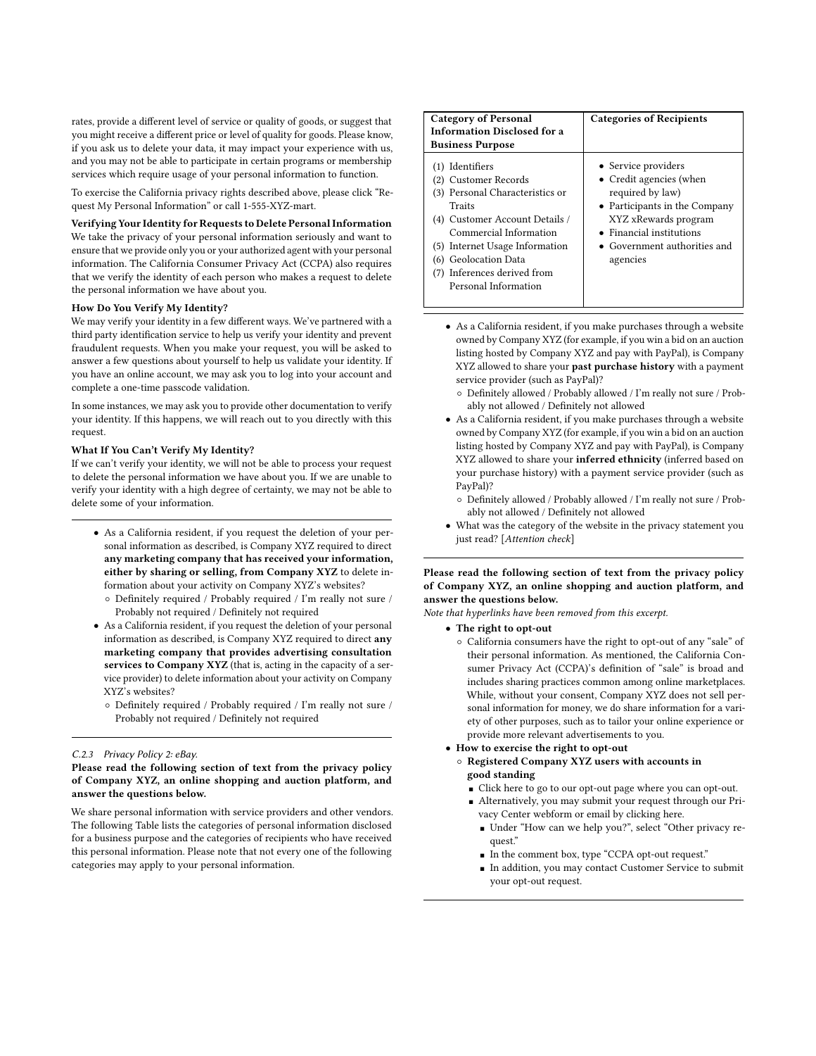rates, provide a different level of service or quality of goods, or suggest that you might receive a different price or level of quality for goods. Please know, if you ask us to delete your data, it may impact your experience with us, and you may not be able to participate in certain programs or membership services which require usage of your personal information to function.

To exercise the California privacy rights described above, please click "Request My Personal Information" or call 1-555-XYZ-mart.

## Verifying Your Identity for Requests to Delete Personal Information

We take the privacy of your personal information seriously and want to ensure that we provide only you or your authorized agent with your personal information. The California Consumer Privacy Act (CCPA) also requires that we verify the identity of each person who makes a request to delete the personal information we have about you.

#### How Do You Verify My Identity?

We may verify your identity in a few different ways. We've partnered with a third party identification service to help us verify your identity and prevent fraudulent requests. When you make your request, you will be asked to answer a few questions about yourself to help us validate your identity. If you have an online account, we may ask you to log into your account and complete a one-time passcode validation.

In some instances, we may ask you to provide other documentation to verify your identity. If this happens, we will reach out to you directly with this request.

#### What If You Can't Verify My Identity?

If we can't verify your identity, we will not be able to process your request to delete the personal information we have about you. If we are unable to verify your identity with a high degree of certainty, we may not be able to delete some of your information.

- As a California resident, if you request the deletion of your personal information as described, is Company XYZ required to direct any marketing company that has received your information, either by sharing or selling, from Company XYZ to delete information about your activity on Company XYZ's websites?
	- Definitely required / Probably required / I'm really not sure / Probably not required / Definitely not required
- As a California resident, if you request the deletion of your personal information as described, is Company XYZ required to direct any marketing company that provides advertising consultation services to Company XYZ (that is, acting in the capacity of a service provider) to delete information about your activity on Company XYZ's websites?
	- Definitely required / Probably required / I'm really not sure / Probably not required / Definitely not required

## C.2.3 Privacy Policy 2: eBay.

Please read the following section of text from the privacy policy of Company XYZ, an online shopping and auction platform, and answer the questions below.

We share personal information with service providers and other vendors. The following Table lists the categories of personal information disclosed for a business purpose and the categories of recipients who have received this personal information. Please note that not every one of the following categories may apply to your personal information.

| <b>Category of Personal</b><br><b>Information Disclosed for a</b>                                                                                                                                                                                                 | <b>Categories of Recipients</b>                                                                                                                                                                             |
|-------------------------------------------------------------------------------------------------------------------------------------------------------------------------------------------------------------------------------------------------------------------|-------------------------------------------------------------------------------------------------------------------------------------------------------------------------------------------------------------|
| <b>Business Purpose</b>                                                                                                                                                                                                                                           |                                                                                                                                                                                                             |
| (1) Identifiers<br>(2) Customer Records<br>(3) Personal Characteristics or<br>Traits<br>(4) Customer Account Details /<br>Commercial Information<br>(5) Internet Usage Information<br>(6) Geolocation Data<br>(7) Inferences derived from<br>Personal Information | • Service providers<br>• Credit agencies (when<br>required by law)<br>• Participants in the Company<br>XYZ xRewards program<br>• Financial institutions<br>$\bullet$ Government authorities and<br>agencies |

- As a California resident, if you make purchases through a website owned by Company XYZ (for example, if you win a bid on an auction listing hosted by Company XYZ and pay with PayPal), is Company XYZ allowed to share your past purchase history with a payment service provider (such as PayPal)?
	- Definitely allowed / Probably allowed / I'm really not sure / Probably not allowed / Definitely not allowed
- As a California resident, if you make purchases through a website owned by Company XYZ (for example, if you win a bid on an auction listing hosted by Company XYZ and pay with PayPal), is Company XYZ allowed to share your inferred ethnicity (inferred based on your purchase history) with a payment service provider (such as PayPal)?
	- Definitely allowed / Probably allowed / I'm really not sure / Probably not allowed / Definitely not allowed
- What was the category of the website in the privacy statement you just read? [Attention check]

## Please read the following section of text from the privacy policy of Company XYZ, an online shopping and auction platform, and answer the questions below.

Note that hyperlinks have been removed from this excerpt.

- The right to opt-out
	- California consumers have the right to opt-out of any "sale" of their personal information. As mentioned, the California Consumer Privacy Act (CCPA)'s definition of "sale" is broad and includes sharing practices common among online marketplaces. While, without your consent, Company XYZ does not sell personal information for money, we do share information for a variety of other purposes, such as to tailor your online experience or provide more relevant advertisements to you.
- How to exercise the right to opt-out
	- Registered Company XYZ users with accounts in good standing
		- Click here to go to our opt-out page where you can opt-out. ■ Alternatively, you may submit your request through our Pri-
		- vacy Center webform or email by clicking here.
			- Under "How can we help you?", select "Other privacy request."
			- In the comment box, type "CCPA opt-out request."
			- In addition, you may contact Customer Service to submit your opt-out request.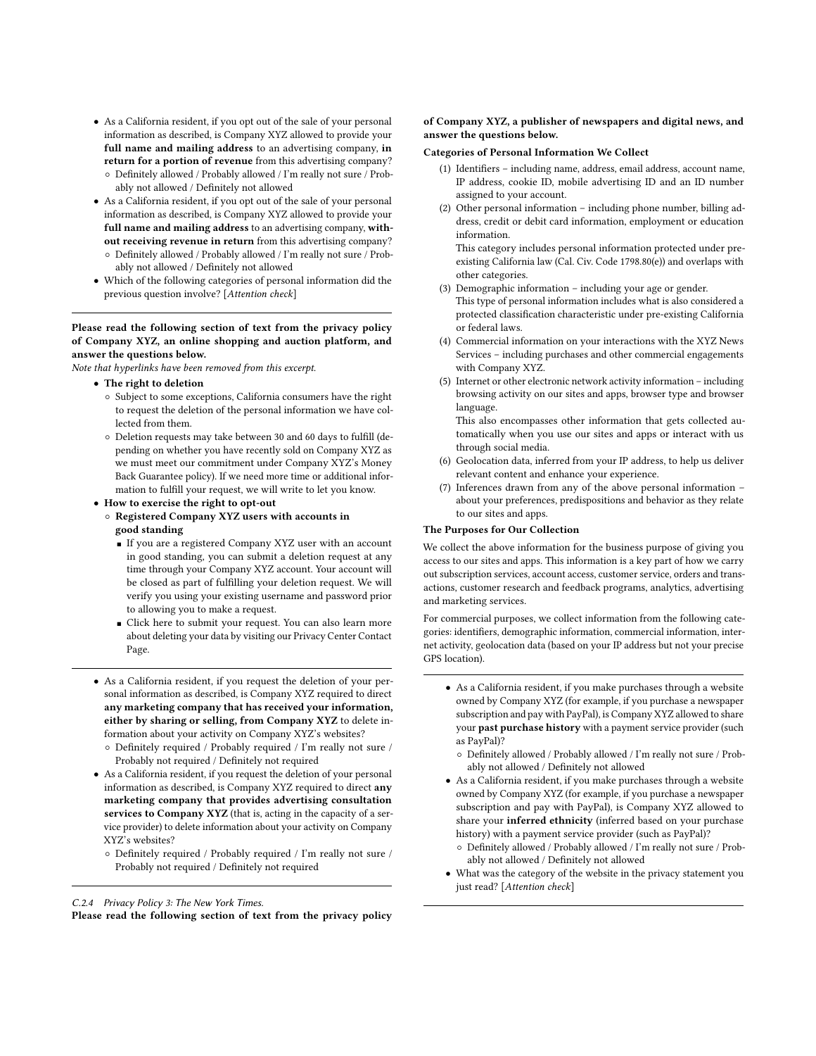- As a California resident, if you opt out of the sale of your personal information as described, is Company XYZ allowed to provide your full name and mailing address to an advertising company, in return for a portion of revenue from this advertising company? ◦ Definitely allowed / Probably allowed / I'm really not sure / Prob
	- ably not allowed / Definitely not allowed
- As a California resident, if you opt out of the sale of your personal information as described, is Company XYZ allowed to provide your full name and mailing address to an advertising company, without receiving revenue in return from this advertising company? ◦ Definitely allowed / Probably allowed / I'm really not sure / Probably not allowed / Definitely not allowed
- Which of the following categories of personal information did the previous question involve? [Attention check]

## Please read the following section of text from the privacy policy of Company XYZ, an online shopping and auction platform, and answer the questions below.

Note that hyperlinks have been removed from this excerpt.

- The right to deletion
	- Subject to some exceptions, California consumers have the right to request the deletion of the personal information we have collected from them.
	- Deletion requests may take between 30 and 60 days to fulfill (depending on whether you have recently sold on Company XYZ as we must meet our commitment under Company XYZ's Money Back Guarantee policy). If we need more time or additional information to fulfill your request, we will write to let you know.
- How to exercise the right to opt-out
- Registered Company XYZ users with accounts in good standing
	- If you are a registered Company XYZ user with an account in good standing, you can submit a deletion request at any time through your Company XYZ account. Your account will be closed as part of fulfilling your deletion request. We will verify you using your existing username and password prior to allowing you to make a request.
	- Click here to submit your request. You can also learn more about deleting your data by visiting our Privacy Center Contact Page.
- As a California resident, if you request the deletion of your personal information as described, is Company XYZ required to direct any marketing company that has received your information, either by sharing or selling, from Company XYZ to delete information about your activity on Company XYZ's websites?
	- Definitely required / Probably required / I'm really not sure / Probably not required / Definitely not required
- As a California resident, if you request the deletion of your personal information as described, is Company XYZ required to direct any marketing company that provides advertising consultation services to Company XYZ (that is, acting in the capacity of a service provider) to delete information about your activity on Company XYZ's websites?
	- Definitely required / Probably required / I'm really not sure / Probably not required / Definitely not required

#### of Company XYZ, a publisher of newspapers and digital news, and answer the questions below.

#### Categories of Personal Information We Collect

- (1) Identifiers including name, address, email address, account name, IP address, cookie ID, mobile advertising ID and an ID number assigned to your account.
- (2) Other personal information including phone number, billing address, credit or debit card information, employment or education information.

This category includes personal information protected under preexisting California law (Cal. Civ. Code 1798.80(e)) and overlaps with other categories.

(3) Demographic information – including your age or gender.

This type of personal information includes what is also considered a protected classification characteristic under pre-existing California or federal laws.

- (4) Commercial information on your interactions with the XYZ News Services – including purchases and other commercial engagements with Company XYZ.
- (5) Internet or other electronic network activity information including browsing activity on our sites and apps, browser type and browser language.

This also encompasses other information that gets collected automatically when you use our sites and apps or interact with us through social media.

- (6) Geolocation data, inferred from your IP address, to help us deliver relevant content and enhance your experience.
- (7) Inferences drawn from any of the above personal information about your preferences, predispositions and behavior as they relate to our sites and apps.

#### The Purposes for Our Collection

We collect the above information for the business purpose of giving you access to our sites and apps. This information is a key part of how we carry out subscription services, account access, customer service, orders and transactions, customer research and feedback programs, analytics, advertising and marketing services.

For commercial purposes, we collect information from the following categories: identifiers, demographic information, commercial information, internet activity, geolocation data (based on your IP address but not your precise GPS location).

- As a California resident, if you make purchases through a website owned by Company XYZ (for example, if you purchase a newspaper subscription and pay with PayPal), is Company XYZ allowed to share your past purchase history with a payment service provider (such as PayPal)?
	- Definitely allowed / Probably allowed / I'm really not sure / Probably not allowed / Definitely not allowed
- As a California resident, if you make purchases through a website owned by Company XYZ (for example, if you purchase a newspaper subscription and pay with PayPal), is Company XYZ allowed to share your inferred ethnicity (inferred based on your purchase history) with a payment service provider (such as PayPal)?
	- Definitely allowed / Probably allowed / I'm really not sure / Probably not allowed / Definitely not allowed
- What was the category of the website in the privacy statement you just read? [Attention check]

C.2.4 Privacy Policy 3: The New York Times.

Please read the following section of text from the privacy policy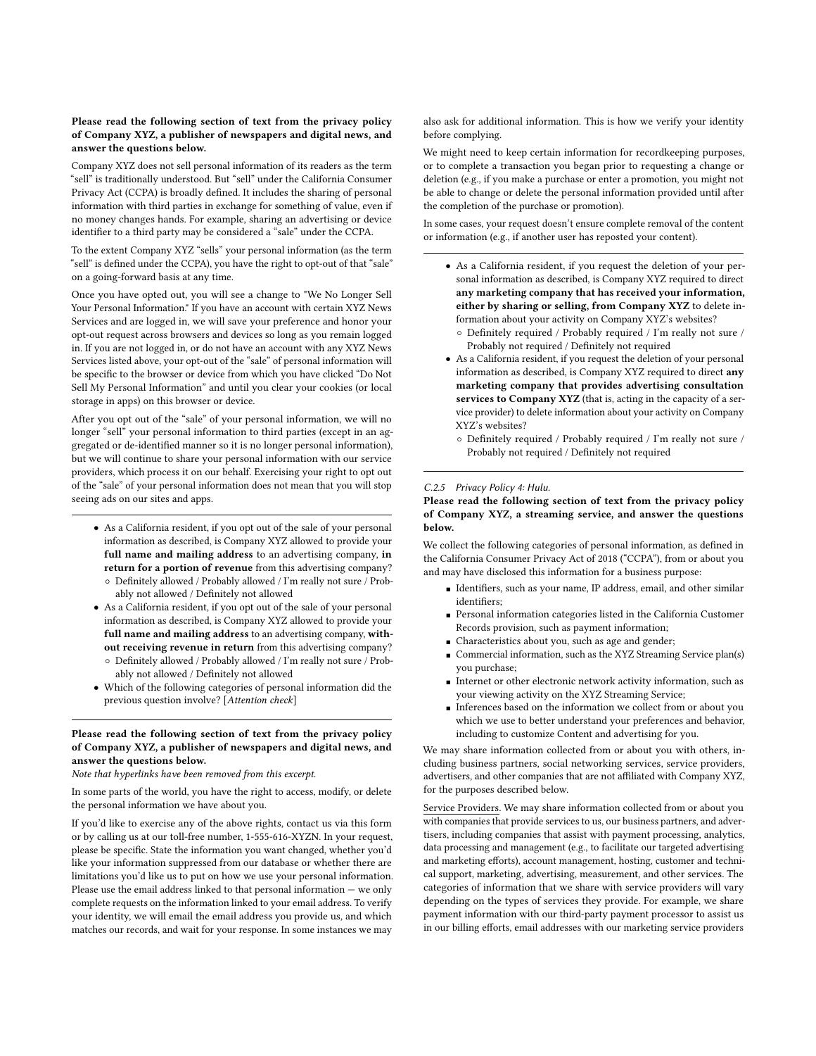#### Please read the following section of text from the privacy policy of Company XYZ, a publisher of newspapers and digital news, and answer the questions below.

Company XYZ does not sell personal information of its readers as the term "sell" is traditionally understood. But "sell" under the California Consumer Privacy Act (CCPA) is broadly defined. It includes the sharing of personal information with third parties in exchange for something of value, even if no money changes hands. For example, sharing an advertising or device identifier to a third party may be considered a "sale" under the CCPA.

To the extent Company XYZ "sells" your personal information (as the term "sell" is defined under the CCPA), you have the right to opt-out of that "sale" on a going-forward basis at any time.

Once you have opted out, you will see a change to "We No Longer Sell Your Personal Information." If you have an account with certain XYZ News Services and are logged in, we will save your preference and honor your opt-out request across browsers and devices so long as you remain logged in. If you are not logged in, or do not have an account with any XYZ News Services listed above, your opt-out of the "sale" of personal information will be specific to the browser or device from which you have clicked "Do Not Sell My Personal Information" and until you clear your cookies (or local storage in apps) on this browser or device.

After you opt out of the "sale" of your personal information, we will no longer "sell" your personal information to third parties (except in an aggregated or de-identified manner so it is no longer personal information), but we will continue to share your personal information with our service providers, which process it on our behalf. Exercising your right to opt out of the "sale" of your personal information does not mean that you will stop seeing ads on our sites and apps.

- As a California resident, if you opt out of the sale of your personal information as described, is Company XYZ allowed to provide your full name and mailing address to an advertising company, in return for a portion of revenue from this advertising company?
	- Definitely allowed / Probably allowed / I'm really not sure / Probably not allowed / Definitely not allowed
- As a California resident, if you opt out of the sale of your personal information as described, is Company XYZ allowed to provide your full name and mailing address to an advertising company, without receiving revenue in return from this advertising company? ◦ Definitely allowed / Probably allowed / I'm really not sure / Prob-
- ably not allowed / Definitely not allowed • Which of the following categories of personal information did the
- previous question involve? [Attention check]

## Please read the following section of text from the privacy policy of Company XYZ, a publisher of newspapers and digital news, and answer the questions below.

#### Note that hyperlinks have been removed from this excerpt.

In some parts of the world, you have the right to access, modify, or delete the personal information we have about you.

If you'd like to exercise any of the above rights, contact us via this form or by calling us at our toll-free number, 1-555-616-XYZN. In your request, please be specific. State the information you want changed, whether you'd like your information suppressed from our database or whether there are limitations you'd like us to put on how we use your personal information. Please use the email address linked to that personal information — we only complete requests on the information linked to your email address. To verify your identity, we will email the email address you provide us, and which matches our records, and wait for your response. In some instances we may

also ask for additional information. This is how we verify your identity before complying.

We might need to keep certain information for recordkeeping purposes, or to complete a transaction you began prior to requesting a change or deletion (e.g., if you make a purchase or enter a promotion, you might not be able to change or delete the personal information provided until after the completion of the purchase or promotion).

In some cases, your request doesn't ensure complete removal of the content or information (e.g., if another user has reposted your content).

- As a California resident, if you request the deletion of your personal information as described, is Company XYZ required to direct any marketing company that has received your information, either by sharing or selling, from Company XYZ to delete information about your activity on Company XYZ's websites?
	- Definitely required / Probably required / I'm really not sure / Probably not required / Definitely not required
- As a California resident, if you request the deletion of your personal information as described, is Company XYZ required to direct any marketing company that provides advertising consultation services to Company XYZ (that is, acting in the capacity of a service provider) to delete information about your activity on Company XYZ's websites?
	- Definitely required / Probably required / I'm really not sure / Probably not required / Definitely not required

#### C.2.5 Privacy Policy 4: Hulu.

#### Please read the following section of text from the privacy policy of Company XYZ, a streaming service, and answer the questions below.

We collect the following categories of personal information, as defined in the California Consumer Privacy Act of 2018 ("CCPA"), from or about you and may have disclosed this information for a business purpose:

- Identifiers, such as your name, IP address, email, and other similar identifiers;
- Personal information categories listed in the California Customer Records provision, such as payment information;
- Characteristics about you, such as age and gender;
- Commercial information, such as the XYZ Streaming Service plan(s) you purchase;
- Internet or other electronic network activity information, such as your viewing activity on the XYZ Streaming Service;
- Inferences based on the information we collect from or about you which we use to better understand your preferences and behavior, including to customize Content and advertising for you.

We may share information collected from or about you with others, including business partners, social networking services, service providers, advertisers, and other companies that are not affiliated with Company XYZ, for the purposes described below.

Service Providers. We may share information collected from or about you with companies that provide services to us, our business partners, and advertisers, including companies that assist with payment processing, analytics, data processing and management (e.g., to facilitate our targeted advertising and marketing efforts), account management, hosting, customer and technical support, marketing, advertising, measurement, and other services. The categories of information that we share with service providers will vary depending on the types of services they provide. For example, we share payment information with our third-party payment processor to assist us in our billing efforts, email addresses with our marketing service providers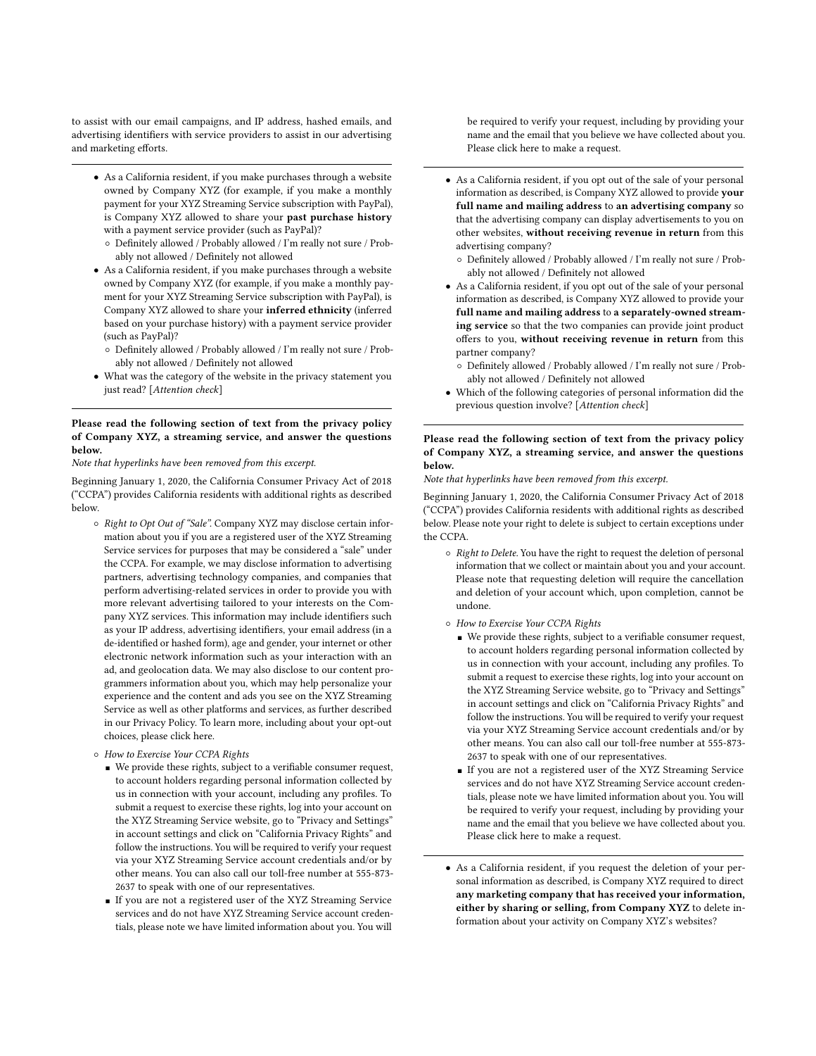to assist with our email campaigns, and IP address, hashed emails, and advertising identifiers with service providers to assist in our advertising and marketing efforts.

- As a California resident, if you make purchases through a website owned by Company XYZ (for example, if you make a monthly payment for your XYZ Streaming Service subscription with PayPal), is Company XYZ allowed to share your past purchase history with a payment service provider (such as PayPal)?
	- Definitely allowed / Probably allowed / I'm really not sure / Probably not allowed / Definitely not allowed
- As a California resident, if you make purchases through a website owned by Company XYZ (for example, if you make a monthly payment for your XYZ Streaming Service subscription with PayPal), is Company XYZ allowed to share your inferred ethnicity (inferred based on your purchase history) with a payment service provider (such as PayPal)?
	- Definitely allowed / Probably allowed / I'm really not sure / Probably not allowed / Definitely not allowed
- What was the category of the website in the privacy statement you just read? [Attention check]

#### Please read the following section of text from the privacy policy of Company XYZ, a streaming service, and answer the questions below.

Note that hyperlinks have been removed from this excerpt.

Beginning January 1, 2020, the California Consumer Privacy Act of 2018 ("CCPA") provides California residents with additional rights as described below.

- Right to Opt Out of "Sale". Company XYZ may disclose certain information about you if you are a registered user of the XYZ Streaming Service services for purposes that may be considered a "sale" under the CCPA. For example, we may disclose information to advertising partners, advertising technology companies, and companies that perform advertising-related services in order to provide you with more relevant advertising tailored to your interests on the Company XYZ services. This information may include identifiers such as your IP address, advertising identifiers, your email address (in a de-identified or hashed form), age and gender, your internet or other electronic network information such as your interaction with an ad, and geolocation data. We may also disclose to our content programmers information about you, which may help personalize your experience and the content and ads you see on the XYZ Streaming Service as well as other platforms and services, as further described in our Privacy Policy. To learn more, including about your opt-out choices, please click here.
- How to Exercise Your CCPA Rights
	- We provide these rights, subject to a verifiable consumer request, to account holders regarding personal information collected by us in connection with your account, including any profiles. To submit a request to exercise these rights, log into your account on the XYZ Streaming Service website, go to "Privacy and Settings" in account settings and click on "California Privacy Rights" and follow the instructions. You will be required to verify your request via your XYZ Streaming Service account credentials and/or by other means. You can also call our toll-free number at 555-873- 2637 to speak with one of our representatives.
	- If you are not a registered user of the XYZ Streaming Service services and do not have XYZ Streaming Service account credentials, please note we have limited information about you. You will

be required to verify your request, including by providing your name and the email that you believe we have collected about you. Please click here to make a request.

- As a California resident, if you opt out of the sale of your personal information as described, is Company XYZ allowed to provide your full name and mailing address to an advertising company so that the advertising company can display advertisements to you on other websites, without receiving revenue in return from this advertising company?
	- Definitely allowed / Probably allowed / I'm really not sure / Probably not allowed / Definitely not allowed
- As a California resident, if you opt out of the sale of your personal information as described, is Company XYZ allowed to provide your full name and mailing address to a separately-owned streaming service so that the two companies can provide joint product offers to you, without receiving revenue in return from this partner company?
	- Definitely allowed / Probably allowed / I'm really not sure / Probably not allowed / Definitely not allowed
- Which of the following categories of personal information did the previous question involve? [Attention check]

#### Please read the following section of text from the privacy policy of Company XYZ, a streaming service, and answer the questions below.

Note that hyperlinks have been removed from this excerpt.

Beginning January 1, 2020, the California Consumer Privacy Act of 2018 ("CCPA") provides California residents with additional rights as described below. Please note your right to delete is subject to certain exceptions under the CCPA.

- Right to Delete. You have the right to request the deletion of personal information that we collect or maintain about you and your account. Please note that requesting deletion will require the cancellation and deletion of your account which, upon completion, cannot be undone.
- How to Exercise Your CCPA Rights
	- We provide these rights, subject to a verifiable consumer request, to account holders regarding personal information collected by us in connection with your account, including any profiles. To submit a request to exercise these rights, log into your account on the XYZ Streaming Service website, go to "Privacy and Settings" in account settings and click on "California Privacy Rights" and follow the instructions. You will be required to verify your request via your XYZ Streaming Service account credentials and/or by other means. You can also call our toll-free number at 555-873- 2637 to speak with one of our representatives.
	- If you are not a registered user of the XYZ Streaming Service services and do not have XYZ Streaming Service account credentials, please note we have limited information about you. You will be required to verify your request, including by providing your name and the email that you believe we have collected about you. Please click here to make a request.
- As a California resident, if you request the deletion of your personal information as described, is Company XYZ required to direct any marketing company that has received your information, either by sharing or selling, from Company XYZ to delete information about your activity on Company XYZ's websites?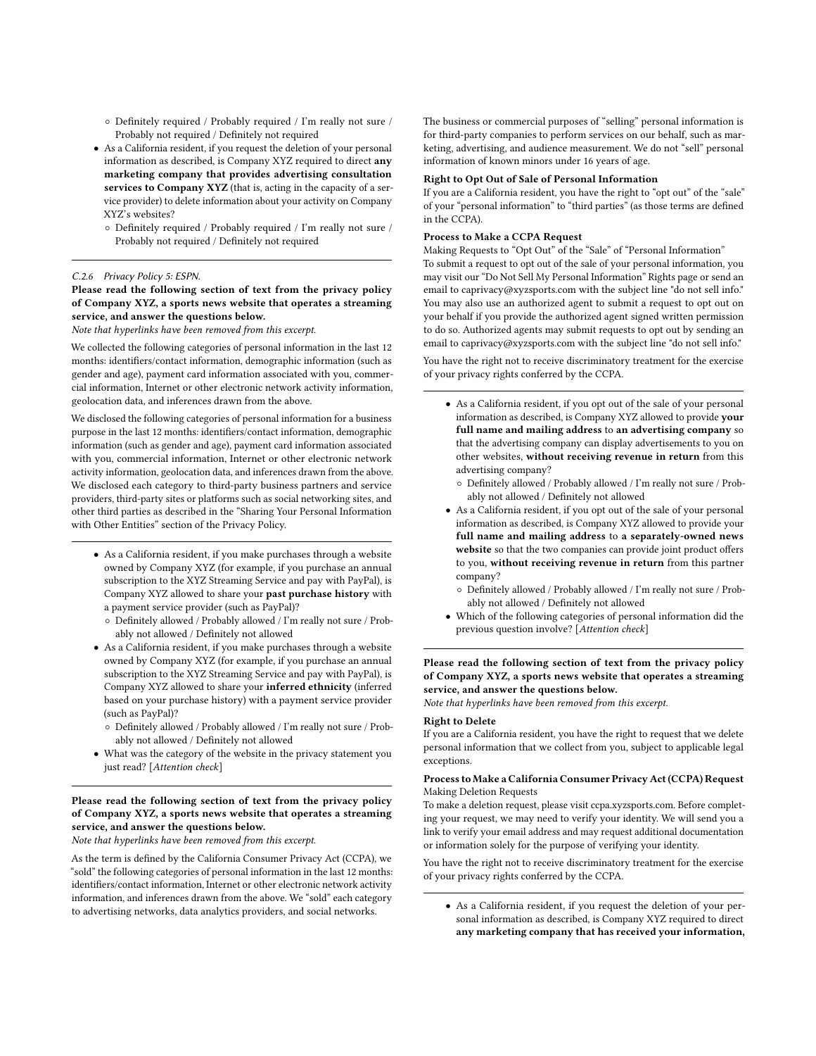- Definitely required / Probably required / I'm really not sure / Probably not required / Definitely not required
- As a California resident, if you request the deletion of your personal information as described, is Company XYZ required to direct any marketing company that provides advertising consultation services to Company XYZ (that is, acting in the capacity of a service provider) to delete information about your activity on Company XYZ's websites?
	- Definitely required / Probably required / I'm really not sure / Probably not required / Definitely not required

#### C.2.6 Privacy Policy 5: ESPN.

Please read the following section of text from the privacy policy of Company XYZ, a sports news website that operates a streaming service, and answer the questions below.

Note that hyperlinks have been removed from this excerpt.

We collected the following categories of personal information in the last 12 months: identifiers/contact information, demographic information (such as gender and age), payment card information associated with you, commercial information, Internet or other electronic network activity information, geolocation data, and inferences drawn from the above.

We disclosed the following categories of personal information for a business purpose in the last 12 months: identifiers/contact information, demographic information (such as gender and age), payment card information associated with you, commercial information, Internet or other electronic network activity information, geolocation data, and inferences drawn from the above. We disclosed each category to third-party business partners and service providers, third-party sites or platforms such as social networking sites, and other third parties as described in the "Sharing Your Personal Information with Other Entities" section of the Privacy Policy.

- As a California resident, if you make purchases through a website owned by Company XYZ (for example, if you purchase an annual subscription to the XYZ Streaming Service and pay with PayPal), is Company XYZ allowed to share your past purchase history with a payment service provider (such as PayPal)?
	- $\circ$  Definitely allowed / Probably allowed / I'm really not sure / Probably not allowed / Definitely not allowed
- As a California resident, if you make purchases through a website owned by Company XYZ (for example, if you purchase an annual subscription to the XYZ Streaming Service and pay with PayPal), is Company XYZ allowed to share your inferred ethnicity (inferred based on your purchase history) with a payment service provider (such as PayPal)?
	- Definitely allowed / Probably allowed / I'm really not sure / Probably not allowed / Definitely not allowed
- What was the category of the website in the privacy statement you just read? [Attention check]

## Please read the following section of text from the privacy policy of Company XYZ, a sports news website that operates a streaming service, and answer the questions below.

Note that hyperlinks have been removed from this excerpt.

As the term is defined by the California Consumer Privacy Act (CCPA), we "sold" the following categories of personal information in the last 12 months: identifiers/contact information, Internet or other electronic network activity information, and inferences drawn from the above. We "sold" each category to advertising networks, data analytics providers, and social networks.

The business or commercial purposes of "selling" personal information is for third-party companies to perform services on our behalf, such as marketing, advertising, and audience measurement. We do not "sell" personal information of known minors under 16 years of age.

#### Right to Opt Out of Sale of Personal Information

If you are a California resident, you have the right to "opt out" of the "sale" of your "personal information" to "third parties" (as those terms are defined in the CCPA).

#### Process to Make a CCPA Request

Making Requests to "Opt Out" of the "Sale" of "Personal Information" To submit a request to opt out of the sale of your personal information, you may visit our "Do Not Sell My Personal Information" Rights page or send an email to caprivacy@xyzsports.com with the subject line "do not sell info." You may also use an authorized agent to submit a request to opt out on your behalf if you provide the authorized agent signed written permission to do so. Authorized agents may submit requests to opt out by sending an email to caprivacy@xyzsports.com with the subject line "do not sell info."

You have the right not to receive discriminatory treatment for the exercise of your privacy rights conferred by the CCPA.

- As a California resident, if you opt out of the sale of your personal information as described, is Company XYZ allowed to provide your full name and mailing address to an advertising company so that the advertising company can display advertisements to you on other websites, without receiving revenue in return from this advertising company?
	- Definitely allowed / Probably allowed / I'm really not sure / Probably not allowed / Definitely not allowed
- As a California resident, if you opt out of the sale of your personal information as described, is Company XYZ allowed to provide your full name and mailing address to a separately-owned news website so that the two companies can provide joint product offers to you, without receiving revenue in return from this partner company?
	- Definitely allowed / Probably allowed / I'm really not sure / Probably not allowed / Definitely not allowed
- Which of the following categories of personal information did the previous question involve? [Attention check]

#### Please read the following section of text from the privacy policy of Company XYZ, a sports news website that operates a streaming service, and answer the questions below.

Note that hyperlinks have been removed from this excerpt.

#### Right to Delete

If you are a California resident, you have the right to request that we delete personal information that we collect from you, subject to applicable legal exceptions.

#### Process to Make a California Consumer Privacy Act (CCPA) Request Making Deletion Requests

To make a deletion request, please visit ccpa.xyzsports.com. Before completing your request, we may need to verify your identity. We will send you a link to verify your email address and may request additional documentation or information solely for the purpose of verifying your identity.

You have the right not to receive discriminatory treatment for the exercise of your privacy rights conferred by the CCPA.

• As a California resident, if you request the deletion of your personal information as described, is Company XYZ required to direct any marketing company that has received your information,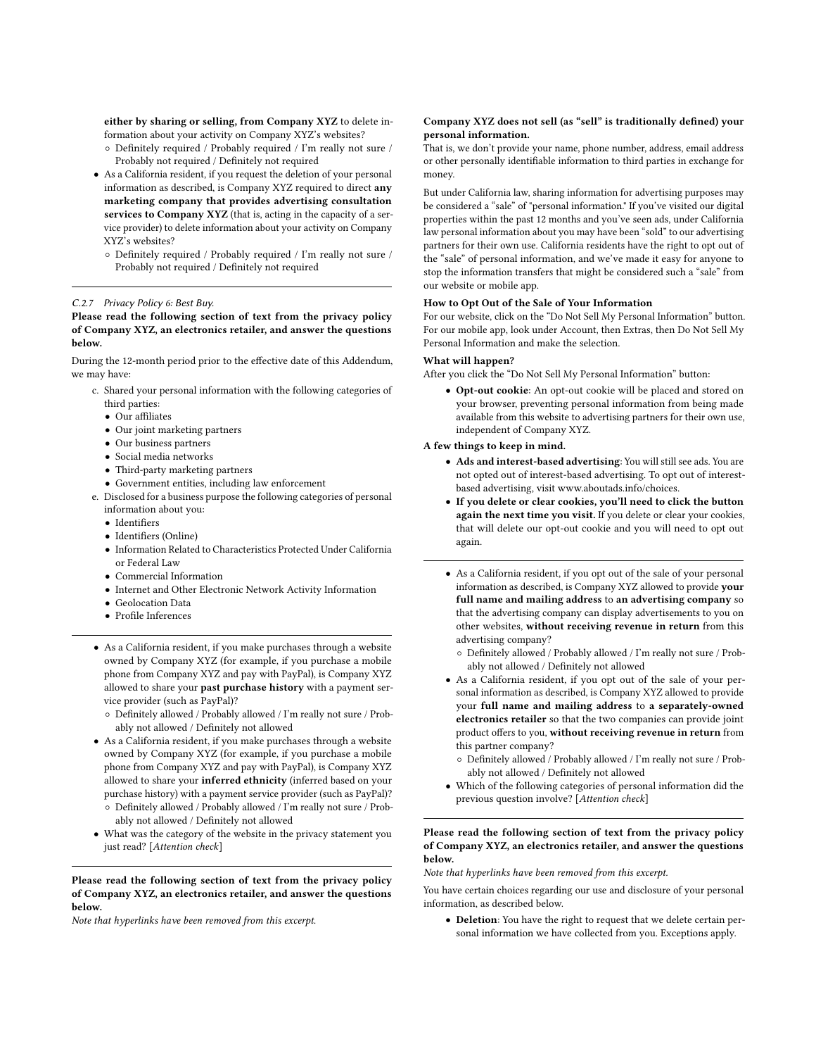either by sharing or selling, from Company XYZ to delete information about your activity on Company XYZ's websites?

- Definitely required / Probably required / I'm really not sure / Probably not required / Definitely not required
- As a California resident, if you request the deletion of your personal information as described, is Company XYZ required to direct any marketing company that provides advertising consultation services to Company XYZ (that is, acting in the capacity of a service provider) to delete information about your activity on Company XYZ's websites?
	- $\circ$  Definitely required / Probably required / I'm really not sure / Probably not required / Definitely not required

#### C.2.7 Privacy Policy 6: Best Buy.

Please read the following section of text from the privacy policy of Company XYZ, an electronics retailer, and answer the questions below.

During the 12-month period prior to the effective date of this Addendum, we may have:

- c. Shared your personal information with the following categories of third parties:
	- Our affiliates
	- Our joint marketing partners
	- Our business partners
	- Social media networks
	- Third-party marketing partners
	- Government entities, including law enforcement
- e. Disclosed for a business purpose the following categories of personal information about you:
	- Identifiers
	- Identifiers (Online)
	- Information Related to Characteristics Protected Under California or Federal Law
	- Commercial Information
	- Internet and Other Electronic Network Activity Information
	- Geolocation Data
	- Profile Inferences
- As a California resident, if you make purchases through a website owned by Company XYZ (for example, if you purchase a mobile phone from Company XYZ and pay with PayPal), is Company XYZ allowed to share your past purchase history with a payment service provider (such as PayPal)?
	- Definitely allowed / Probably allowed / I'm really not sure / Probably not allowed / Definitely not allowed
- As a California resident, if you make purchases through a website owned by Company XYZ (for example, if you purchase a mobile phone from Company XYZ and pay with PayPal), is Company XYZ allowed to share your inferred ethnicity (inferred based on your purchase history) with a payment service provider (such as PayPal)?
	- Definitely allowed / Probably allowed / I'm really not sure / Probably not allowed / Definitely not allowed
- What was the category of the website in the privacy statement you just read? [Attention check]

Please read the following section of text from the privacy policy of Company XYZ, an electronics retailer, and answer the questions below.

Note that hyperlinks have been removed from this excerpt.

#### Company XYZ does not sell (as "sell" is traditionally defined) your personal information.

That is, we don't provide your name, phone number, address, email address or other personally identifiable information to third parties in exchange for money.

But under California law, sharing information for advertising purposes may be considered a "sale" of "personal information." If you've visited our digital properties within the past 12 months and you've seen ads, under California law personal information about you may have been "sold" to our advertising partners for their own use. California residents have the right to opt out of the "sale" of personal information, and we've made it easy for anyone to stop the information transfers that might be considered such a "sale" from our website or mobile app.

#### How to Opt Out of the Sale of Your Information

For our website, click on the "Do Not Sell My Personal Information" button. For our mobile app, look under Account, then Extras, then Do Not Sell My Personal Information and make the selection.

#### What will happen?

After you click the "Do Not Sell My Personal Information" button:

• Opt-out cookie: An opt-out cookie will be placed and stored on your browser, preventing personal information from being made available from this website to advertising partners for their own use, independent of Company XYZ.

### A few things to keep in mind.

- Ads and interest-based advertising: You will still see ads. You are not opted out of interest-based advertising. To opt out of interestbased advertising, visit www.aboutads.info/choices.
- If you delete or clear cookies, you'll need to click the button again the next time you visit. If you delete or clear your cookies, that will delete our opt-out cookie and you will need to opt out again.
- As a California resident, if you opt out of the sale of your personal information as described, is Company XYZ allowed to provide your full name and mailing address to an advertising company so that the advertising company can display advertisements to you on other websites, without receiving revenue in return from this advertising company?
	- Definitely allowed / Probably allowed / I'm really not sure / Probably not allowed / Definitely not allowed
- As a California resident, if you opt out of the sale of your personal information as described, is Company XYZ allowed to provide your full name and mailing address to a separately-owned electronics retailer so that the two companies can provide joint product offers to you, without receiving revenue in return from this partner company?
	- Definitely allowed / Probably allowed / I'm really not sure / Probably not allowed / Definitely not allowed
- Which of the following categories of personal information did the previous question involve? [Attention check]

#### Please read the following section of text from the privacy policy of Company XYZ, an electronics retailer, and answer the questions below.

Note that hyperlinks have been removed from this excerpt.

You have certain choices regarding our use and disclosure of your personal information, as described below.

• Deletion: You have the right to request that we delete certain personal information we have collected from you. Exceptions apply.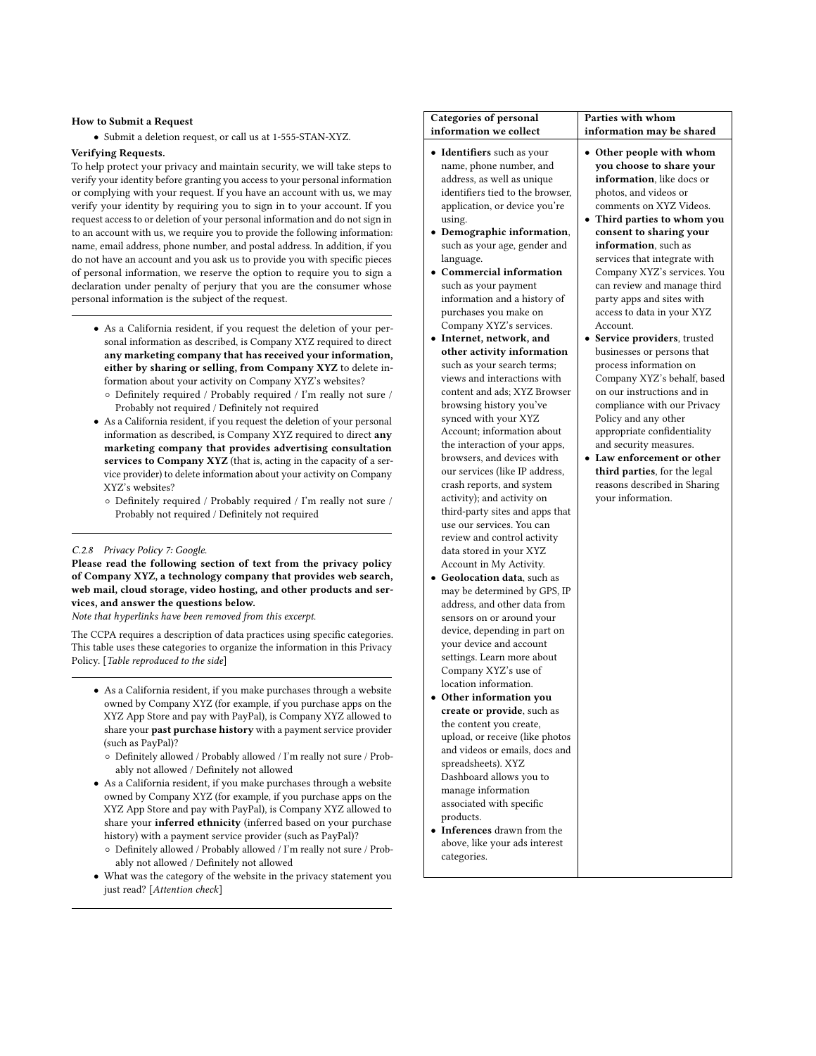#### How to Submit a Request

• Submit a deletion request, or call us at 1-555-STAN-XYZ.

#### Verifying Requests.

To help protect your privacy and maintain security, we will take steps to verify your identity before granting you access to your personal information or complying with your request. If you have an account with us, we may verify your identity by requiring you to sign in to your account. If you request access to or deletion of your personal information and do not sign in to an account with us, we require you to provide the following information: name, email address, phone number, and postal address. In addition, if you do not have an account and you ask us to provide you with specific pieces of personal information, we reserve the option to require you to sign a declaration under penalty of perjury that you are the consumer whose personal information is the subject of the request.

- As a California resident, if you request the deletion of your personal information as described, is Company XYZ required to direct any marketing company that has received your information, either by sharing or selling, from Company XYZ to delete information about your activity on Company XYZ's websites?
	- Definitely required / Probably required / I'm really not sure / Probably not required / Definitely not required
- As a California resident, if you request the deletion of your personal information as described, is Company XYZ required to direct any marketing company that provides advertising consultation services to Company XYZ (that is, acting in the capacity of a service provider) to delete information about your activity on Company XYZ's websites?
	- Definitely required / Probably required / I'm really not sure / Probably not required / Definitely not required

#### C.2.8 Privacy Policy 7: Google.

Please read the following section of text from the privacy policy of Company XYZ, a technology company that provides web search, web mail, cloud storage, video hosting, and other products and services, and answer the questions below.

Note that hyperlinks have been removed from this excerpt.

The CCPA requires a description of data practices using specific categories. This table uses these categories to organize the information in this Privacy Policy. [Table reproduced to the side]

- As a California resident, if you make purchases through a website owned by Company XYZ (for example, if you purchase apps on the XYZ App Store and pay with PayPal), is Company XYZ allowed to share your past purchase history with a payment service provider (such as PayPal)?
	- Definitely allowed / Probably allowed / I'm really not sure / Probably not allowed / Definitely not allowed
- As a California resident, if you make purchases through a website owned by Company XYZ (for example, if you purchase apps on the XYZ App Store and pay with PayPal), is Company XYZ allowed to share your inferred ethnicity (inferred based on your purchase history) with a payment service provider (such as PayPal)?
	- Definitely allowed / Probably allowed / I'm really not sure / Probably not allowed / Definitely not allowed
- What was the category of the website in the privacy statement you just read? [Attention check]

| <b>Categories of personal</b><br>information we collect                                                                                                                                                                                                                                                                                                                                                                                                                                                                                                                                                                                                                                                                                                                                                                                                                                                                                                                                                                                                                                                                                                                                                                                                                                                                                                                                                                                                                                                                                                                                 | Parties with whom                                                                                                                                                                                                                                                                                                                                                                                                                                                                                                                                                                                                                                                                                                                                                                                                 |
|-----------------------------------------------------------------------------------------------------------------------------------------------------------------------------------------------------------------------------------------------------------------------------------------------------------------------------------------------------------------------------------------------------------------------------------------------------------------------------------------------------------------------------------------------------------------------------------------------------------------------------------------------------------------------------------------------------------------------------------------------------------------------------------------------------------------------------------------------------------------------------------------------------------------------------------------------------------------------------------------------------------------------------------------------------------------------------------------------------------------------------------------------------------------------------------------------------------------------------------------------------------------------------------------------------------------------------------------------------------------------------------------------------------------------------------------------------------------------------------------------------------------------------------------------------------------------------------------|-------------------------------------------------------------------------------------------------------------------------------------------------------------------------------------------------------------------------------------------------------------------------------------------------------------------------------------------------------------------------------------------------------------------------------------------------------------------------------------------------------------------------------------------------------------------------------------------------------------------------------------------------------------------------------------------------------------------------------------------------------------------------------------------------------------------|
| $\bullet$ Identifiers such as your<br>name, phone number, and<br>address, as well as unique<br>identifiers tied to the browser,<br>application, or device you're<br>using.<br>• Demographic information,<br>such as your age, gender and<br>language.<br>• Commercial information<br>such as your payment<br>information and a history of<br>purchases you make on<br>Company XYZ's services.<br>· Internet, network, and<br>other activity information<br>such as your search terms;<br>views and interactions with<br>content and ads; XYZ Browser<br>browsing history you've<br>synced with your XYZ<br>Account; information about<br>the interaction of your apps,<br>browsers, and devices with<br>our services (like IP address,<br>crash reports, and system<br>activity); and activity on<br>third-party sites and apps that<br>use our services. You can<br>review and control activity<br>data stored in your XYZ<br>Account in My Activity.<br><b>Geolocation data, such as</b><br>may be determined by GPS, IP<br>address, and other data from<br>sensors on or around your<br>device, depending in part on<br>your device and account<br>settings. Learn more about<br>Company XYZ's use of<br>location information.<br>Other information you<br>create or provide, such as<br>the content you create,<br>upload, or receive (like photos<br>and videos or emails, docs and<br>spreadsheets). XYZ<br>Dashboard allows you to<br>manage information<br>associated with specific<br>products.<br>• Inferences drawn from the<br>above, like your ads interest<br>categories. | information may be shared<br>• Other people with whom<br>you choose to share your<br>information, like docs or<br>photos, and videos or<br>comments on XYZ Videos.<br>• Third parties to whom you<br>consent to sharing your<br>information, such as<br>services that integrate with<br>Company XYZ's services. You<br>can review and manage third<br>party apps and sites with<br>access to data in your XYZ<br>Account.<br>• Service providers, trusted<br>businesses or persons that<br>process information on<br>Company XYZ's behalf, based<br>on our instructions and in<br>compliance with our Privacy<br>Policy and any other<br>appropriate confidentiality<br>and security measures.<br>• Law enforcement or other<br>third parties, for the legal<br>reasons described in Sharing<br>your information. |
|                                                                                                                                                                                                                                                                                                                                                                                                                                                                                                                                                                                                                                                                                                                                                                                                                                                                                                                                                                                                                                                                                                                                                                                                                                                                                                                                                                                                                                                                                                                                                                                         |                                                                                                                                                                                                                                                                                                                                                                                                                                                                                                                                                                                                                                                                                                                                                                                                                   |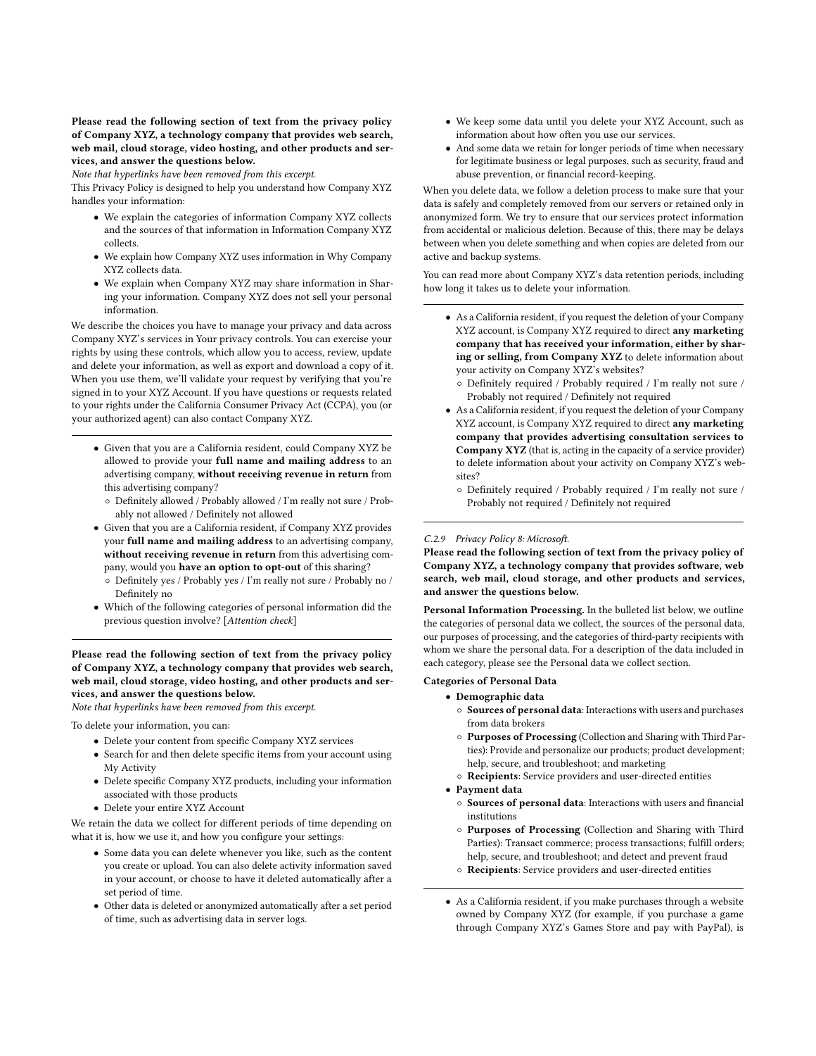#### Please read the following section of text from the privacy policy of Company XYZ, a technology company that provides web search, web mail, cloud storage, video hosting, and other products and services, and answer the questions below.

Note that hyperlinks have been removed from this excerpt.

This Privacy Policy is designed to help you understand how Company XYZ handles your information:

- We explain the categories of information Company XYZ collects and the sources of that information in Information Company XYZ collects.
- We explain how Company XYZ uses information in Why Company XYZ collects data.
- We explain when Company XYZ may share information in Sharing your information. Company XYZ does not sell your personal information.

We describe the choices you have to manage your privacy and data across Company XYZ's services in Your privacy controls. You can exercise your rights by using these controls, which allow you to access, review, update and delete your information, as well as export and download a copy of it. When you use them, we'll validate your request by verifying that you're signed in to your XYZ Account. If you have questions or requests related to your rights under the California Consumer Privacy Act (CCPA), you (or your authorized agent) can also contact Company XYZ.

- Given that you are a California resident, could Company XYZ be allowed to provide your full name and mailing address to an advertising company, without receiving revenue in return from this advertising company?
	- Definitely allowed / Probably allowed / I'm really not sure / Probably not allowed / Definitely not allowed
- Given that you are a California resident, if Company XYZ provides your full name and mailing address to an advertising company, without receiving revenue in return from this advertising company, would you have an option to opt-out of this sharing?
	- Definitely yes / Probably yes / I'm really not sure / Probably no / Definitely no
- Which of the following categories of personal information did the previous question involve? [Attention check]

Please read the following section of text from the privacy policy of Company XYZ, a technology company that provides web search, web mail, cloud storage, video hosting, and other products and services, and answer the questions below.

Note that hyperlinks have been removed from this excerpt.

To delete your information, you can:

- Delete your content from specific Company XYZ services
- Search for and then delete specific items from your account using My Activity
- Delete specific Company XYZ products, including your information associated with those products
- Delete your entire XYZ Account

We retain the data we collect for different periods of time depending on what it is, how we use it, and how you configure your settings:

- Some data you can delete whenever you like, such as the content you create or upload. You can also delete activity information saved in your account, or choose to have it deleted automatically after a set period of time.
- Other data is deleted or anonymized automatically after a set period of time, such as advertising data in server logs.
- We keep some data until you delete your XYZ Account, such as information about how often you use our services.
- And some data we retain for longer periods of time when necessary for legitimate business or legal purposes, such as security, fraud and abuse prevention, or financial record-keeping.

When you delete data, we follow a deletion process to make sure that your data is safely and completely removed from our servers or retained only in anonymized form. We try to ensure that our services protect information from accidental or malicious deletion. Because of this, there may be delays between when you delete something and when copies are deleted from our active and backup systems.

You can read more about Company XYZ's data retention periods, including how long it takes us to delete your information.

- As a California resident, if you request the deletion of your Company XYZ account, is Company XYZ required to direct any marketing company that has received your information, either by sharing or selling, from Company XYZ to delete information about your activity on Company XYZ's websites?
	- Definitely required / Probably required / I'm really not sure / Probably not required / Definitely not required
- As a California resident, if you request the deletion of your Company XYZ account, is Company XYZ required to direct any marketing company that provides advertising consultation services to Company XYZ (that is, acting in the capacity of a service provider) to delete information about your activity on Company XYZ's websites?
	- Definitely required / Probably required / I'm really not sure / Probably not required / Definitely not required

#### C.2.9 Privacy Policy 8: Microsoft.

Please read the following section of text from the privacy policy of Company XYZ, a technology company that provides software, web search, web mail, cloud storage, and other products and services, and answer the questions below.

Personal Information Processing. In the bulleted list below, we outline the categories of personal data we collect, the sources of the personal data, our purposes of processing, and the categories of third-party recipients with whom we share the personal data. For a description of the data included in each category, please see the Personal data we collect section.

Categories of Personal Data

- Demographic data
	- Sources of personal data: Interactions with users and purchases from data brokers
	- Purposes of Processing (Collection and Sharing with Third Parties): Provide and personalize our products; product development; help, secure, and troubleshoot; and marketing
	- Recipients: Service providers and user-directed entities
- Payment data
	- Sources of personal data: Interactions with users and financial institutions
	- Purposes of Processing (Collection and Sharing with Third Parties): Transact commerce; process transactions; fulfill orders; help, secure, and troubleshoot; and detect and prevent fraud
	- Recipients: Service providers and user-directed entities
- As a California resident, if you make purchases through a website owned by Company XYZ (for example, if you purchase a game through Company XYZ's Games Store and pay with PayPal), is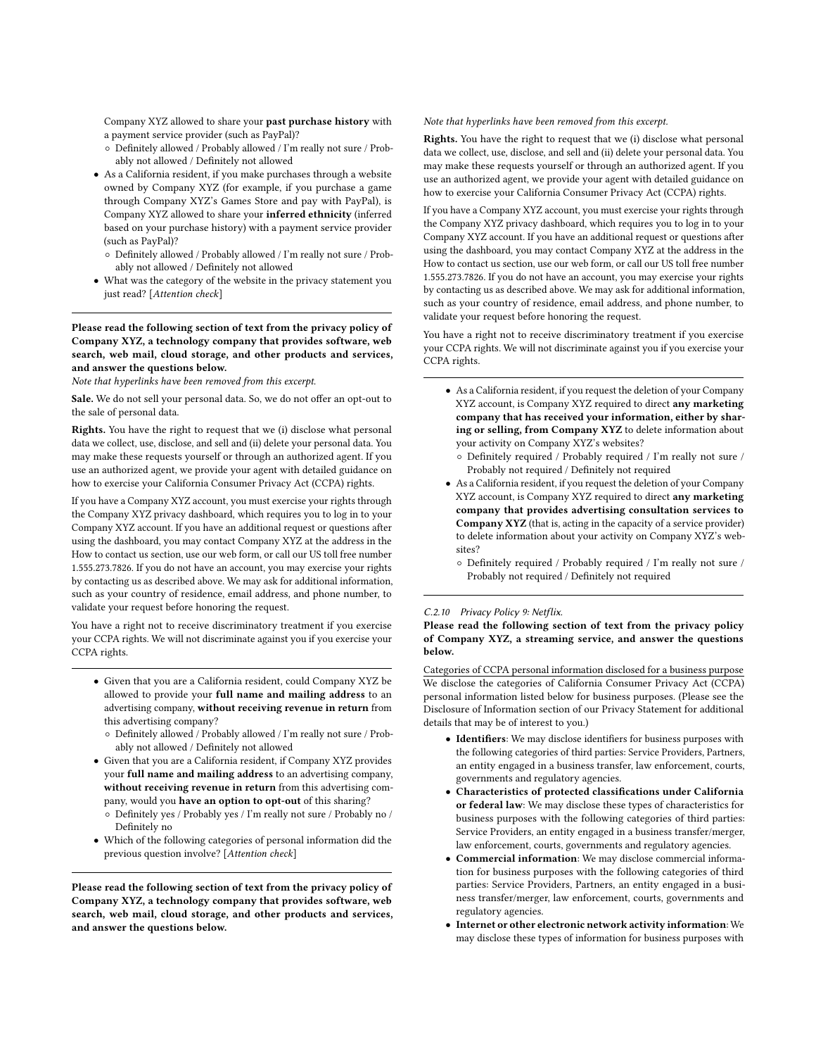Company XYZ allowed to share your past purchase history with a payment service provider (such as PayPal)?

- Definitely allowed / Probably allowed / I'm really not sure / Probably not allowed / Definitely not allowed
- As a California resident, if you make purchases through a website owned by Company XYZ (for example, if you purchase a game through Company XYZ's Games Store and pay with PayPal), is Company XYZ allowed to share your inferred ethnicity (inferred based on your purchase history) with a payment service provider (such as PayPal)?
	- Definitely allowed / Probably allowed / I'm really not sure / Probably not allowed / Definitely not allowed
- What was the category of the website in the privacy statement you just read? [Attention check]

Please read the following section of text from the privacy policy of Company XYZ, a technology company that provides software, web search, web mail, cloud storage, and other products and services, and answer the questions below.

Note that hyperlinks have been removed from this excerpt.

Sale. We do not sell your personal data. So, we do not offer an opt-out to the sale of personal data.

Rights. You have the right to request that we (i) disclose what personal data we collect, use, disclose, and sell and (ii) delete your personal data. You may make these requests yourself or through an authorized agent. If you use an authorized agent, we provide your agent with detailed guidance on how to exercise your California Consumer Privacy Act (CCPA) rights.

If you have a Company XYZ account, you must exercise your rights through the Company XYZ privacy dashboard, which requires you to log in to your Company XYZ account. If you have an additional request or questions after using the dashboard, you may contact Company XYZ at the address in the How to contact us section, use our web form, or call our US toll free number 1.555.273.7826. If you do not have an account, you may exercise your rights by contacting us as described above. We may ask for additional information, such as your country of residence, email address, and phone number, to validate your request before honoring the request.

You have a right not to receive discriminatory treatment if you exercise your CCPA rights. We will not discriminate against you if you exercise your CCPA rights.

- Given that you are a California resident, could Company XYZ be allowed to provide your full name and mailing address to an advertising company, without receiving revenue in return from this advertising company?
	- Definitely allowed / Probably allowed / I'm really not sure / Probably not allowed / Definitely not allowed
- Given that you are a California resident, if Company XYZ provides your full name and mailing address to an advertising company, without receiving revenue in return from this advertising company, would you have an option to opt-out of this sharing?
	- Definitely yes / Probably yes / I'm really not sure / Probably no / Definitely no
- Which of the following categories of personal information did the previous question involve? [Attention check]

Please read the following section of text from the privacy policy of Company XYZ, a technology company that provides software, web search, web mail, cloud storage, and other products and services, and answer the questions below.

Note that hyperlinks have been removed from this excerpt.

Rights. You have the right to request that we (i) disclose what personal data we collect, use, disclose, and sell and (ii) delete your personal data. You may make these requests yourself or through an authorized agent. If you use an authorized agent, we provide your agent with detailed guidance on how to exercise your California Consumer Privacy Act (CCPA) rights.

If you have a Company XYZ account, you must exercise your rights through the Company XYZ privacy dashboard, which requires you to log in to your Company XYZ account. If you have an additional request or questions after using the dashboard, you may contact Company XYZ at the address in the How to contact us section, use our web form, or call our US toll free number 1.555.273.7826. If you do not have an account, you may exercise your rights by contacting us as described above. We may ask for additional information, such as your country of residence, email address, and phone number, to validate your request before honoring the request.

You have a right not to receive discriminatory treatment if you exercise your CCPA rights. We will not discriminate against you if you exercise your CCPA rights.

- As a California resident, if you request the deletion of your Company XYZ account, is Company XYZ required to direct any marketing company that has received your information, either by sharing or selling, from Company XYZ to delete information about your activity on Company XYZ's websites?
	- Definitely required / Probably required / I'm really not sure / Probably not required / Definitely not required
- As a California resident, if you request the deletion of your Company XYZ account, is Company XYZ required to direct any marketing company that provides advertising consultation services to Company XYZ (that is, acting in the capacity of a service provider) to delete information about your activity on Company XYZ's websites?
	- Definitely required / Probably required / I'm really not sure / Probably not required / Definitely not required

#### C.2.10 Privacy Policy 9: Netflix.

Please read the following section of text from the privacy policy of Company XYZ, a streaming service, and answer the questions below.

Categories of CCPA personal information disclosed for a business purpose We disclose the categories of California Consumer Privacy Act (CCPA) personal information listed below for business purposes. (Please see the Disclosure of Information section of our Privacy Statement for additional details that may be of interest to you.)

- Identifiers: We may disclose identifiers for business purposes with the following categories of third parties: Service Providers, Partners, an entity engaged in a business transfer, law enforcement, courts, governments and regulatory agencies.
- Characteristics of protected classifications under California or federal law: We may disclose these types of characteristics for business purposes with the following categories of third parties: Service Providers, an entity engaged in a business transfer/merger, law enforcement, courts, governments and regulatory agencies.
- Commercial information: We may disclose commercial information for business purposes with the following categories of third parties: Service Providers, Partners, an entity engaged in a business transfer/merger, law enforcement, courts, governments and regulatory agencies.
- Internet or other electronic network activity information: We may disclose these types of information for business purposes with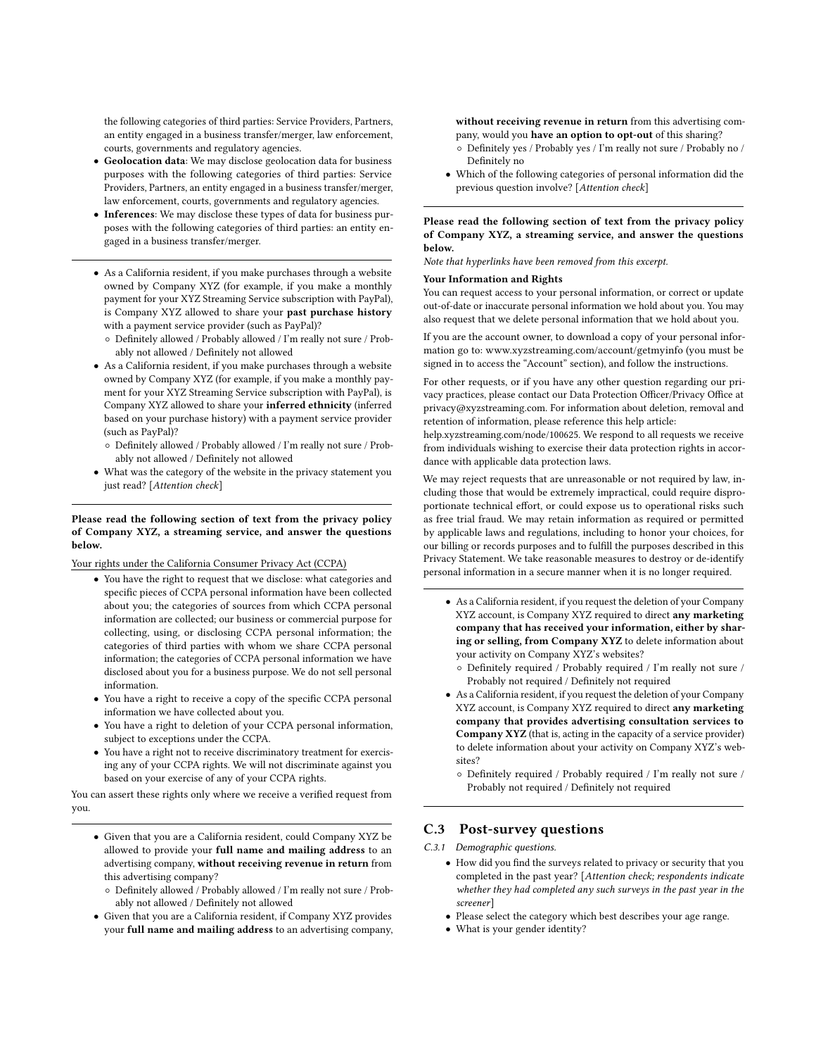the following categories of third parties: Service Providers, Partners, an entity engaged in a business transfer/merger, law enforcement, courts, governments and regulatory agencies.

- Geolocation data: We may disclose geolocation data for business purposes with the following categories of third parties: Service Providers, Partners, an entity engaged in a business transfer/merger, law enforcement, courts, governments and regulatory agencies.
- Inferences: We may disclose these types of data for business purposes with the following categories of third parties: an entity engaged in a business transfer/merger.
- As a California resident, if you make purchases through a website owned by Company XYZ (for example, if you make a monthly payment for your XYZ Streaming Service subscription with PayPal), is Company XYZ allowed to share your past purchase history with a payment service provider (such as PayPal)?
	- Definitely allowed / Probably allowed / I'm really not sure / Probably not allowed / Definitely not allowed
- As a California resident, if you make purchases through a website owned by Company XYZ (for example, if you make a monthly payment for your XYZ Streaming Service subscription with PayPal), is Company XYZ allowed to share your inferred ethnicity (inferred based on your purchase history) with a payment service provider (such as PayPal)?
	- Definitely allowed / Probably allowed / I'm really not sure / Probably not allowed / Definitely not allowed
- What was the category of the website in the privacy statement you just read? [Attention check]

#### Please read the following section of text from the privacy policy of Company XYZ, a streaming service, and answer the questions below.

Your rights under the California Consumer Privacy Act (CCPA)

- You have the right to request that we disclose: what categories and specific pieces of CCPA personal information have been collected about you; the categories of sources from which CCPA personal information are collected; our business or commercial purpose for collecting, using, or disclosing CCPA personal information; the categories of third parties with whom we share CCPA personal information; the categories of CCPA personal information we have disclosed about you for a business purpose. We do not sell personal information.
- You have a right to receive a copy of the specific CCPA personal information we have collected about you.
- You have a right to deletion of your CCPA personal information, subject to exceptions under the CCPA.
- You have a right not to receive discriminatory treatment for exercising any of your CCPA rights. We will not discriminate against you based on your exercise of any of your CCPA rights.

You can assert these rights only where we receive a verified request from you.

- Given that you are a California resident, could Company XYZ be allowed to provide your full name and mailing address to an advertising company, without receiving revenue in return from this advertising company?
	- Definitely allowed / Probably allowed / I'm really not sure / Probably not allowed / Definitely not allowed
- Given that you are a California resident, if Company XYZ provides your full name and mailing address to an advertising company,

without receiving revenue in return from this advertising company, would you have an option to opt-out of this sharing?

- Definitely yes / Probably yes / I'm really not sure / Probably no / Definitely no
- Which of the following categories of personal information did the previous question involve? [Attention check]

#### Please read the following section of text from the privacy policy of Company XYZ, a streaming service, and answer the questions below.

Note that hyperlinks have been removed from this excerpt.

#### Your Information and Rights

You can request access to your personal information, or correct or update out-of-date or inaccurate personal information we hold about you. You may also request that we delete personal information that we hold about you.

If you are the account owner, to download a copy of your personal information go to:<www.xyzstreaming.com/account/getmyinfo> (you must be signed in to access the "Account" section), and follow the instructions.

For other requests, or if you have any other question regarding our privacy practices, please contact our Data Protection Officer/Privacy Office at privacy@xyzstreaming.com. For information about deletion, removal and retention of information, please reference this help article:

help.xyzstreaming.com/node/100625. We respond to all requests we receive from individuals wishing to exercise their data protection rights in accordance with applicable data protection laws.

We may reject requests that are unreasonable or not required by law, including those that would be extremely impractical, could require disproportionate technical effort, or could expose us to operational risks such as free trial fraud. We may retain information as required or permitted by applicable laws and regulations, including to honor your choices, for our billing or records purposes and to fulfill the purposes described in this Privacy Statement. We take reasonable measures to destroy or de-identify personal information in a secure manner when it is no longer required.

- As a California resident, if you request the deletion of your Company XYZ account, is Company XYZ required to direct any marketing company that has received your information, either by sharing or selling, from Company XYZ to delete information about your activity on Company XYZ's websites?
	- Definitely required / Probably required / I'm really not sure / Probably not required / Definitely not required
- As a California resident, if you request the deletion of your Company XYZ account, is Company XYZ required to direct any marketing company that provides advertising consultation services to Company XYZ (that is, acting in the capacity of a service provider) to delete information about your activity on Company XYZ's websites?
	- Definitely required / Probably required / I'm really not sure / Probably not required / Definitely not required

## C.3 Post-survey questions

C.3.1 Demographic questions.

- How did you find the surveys related to privacy or security that you completed in the past year? [Attention check; respondents indicate whether they had completed any such surveys in the past year in the screener]
- Please select the category which best describes your age range.
- What is your gender identity?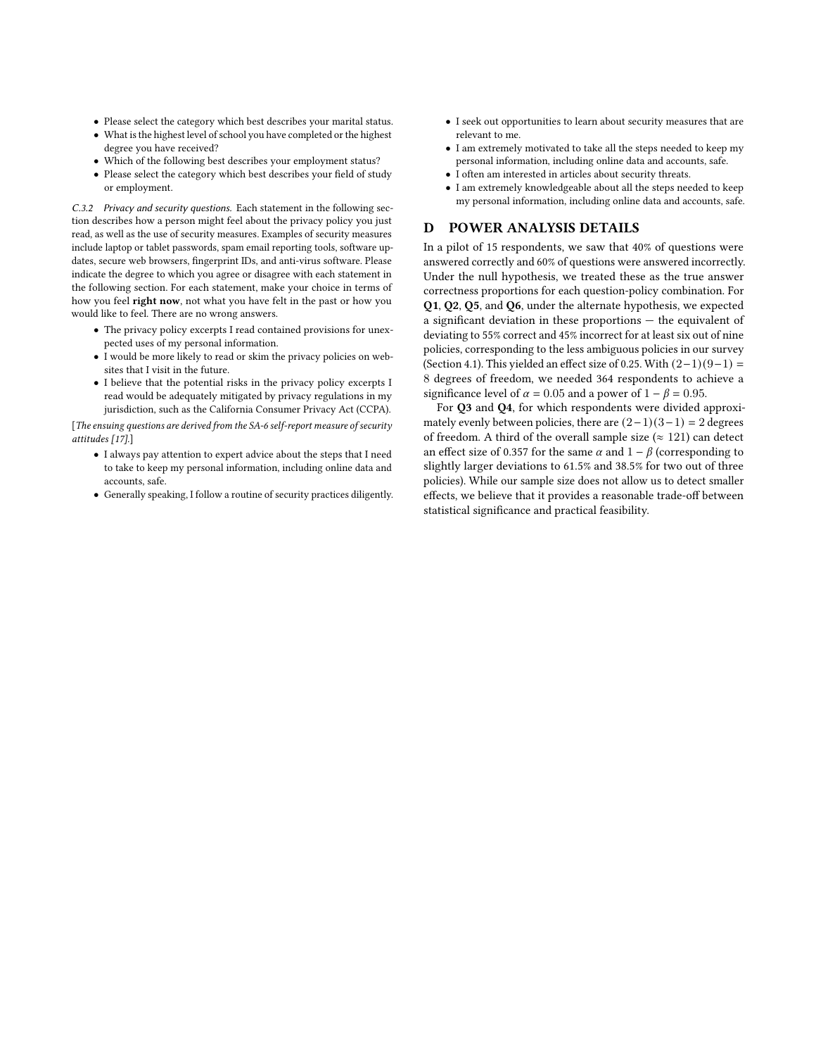- Please select the category which best describes your marital status.
- What is the highest level of school you have completed or the highest degree you have received?
- Which of the following best describes your employment status?
- Please select the category which best describes your field of study or employment.

C.3.2 Privacy and security questions. Each statement in the following section describes how a person might feel about the privacy policy you just read, as well as the use of security measures. Examples of security measures include laptop or tablet passwords, spam email reporting tools, software updates, secure web browsers, fingerprint IDs, and anti-virus software. Please indicate the degree to which you agree or disagree with each statement in the following section. For each statement, make your choice in terms of how you feel right now, not what you have felt in the past or how you would like to feel. There are no wrong answers.

- The privacy policy excerpts I read contained provisions for unexpected uses of my personal information.
- I would be more likely to read or skim the privacy policies on websites that I visit in the future.
- I believe that the potential risks in the privacy policy excerpts I read would be adequately mitigated by privacy regulations in my jurisdiction, such as the California Consumer Privacy Act (CCPA).

[The ensuing questions are derived from the SA-6 self-report measure of security attitudes [\[17\]](#page-12-43).]

- I always pay attention to expert advice about the steps that I need to take to keep my personal information, including online data and accounts, safe.
- Generally speaking, I follow a routine of security practices diligently.
- I seek out opportunities to learn about security measures that are relevant to me.
- I am extremely motivated to take all the steps needed to keep my personal information, including online data and accounts, safe.
- I often am interested in articles about security threats.
- I am extremely knowledgeable about all the steps needed to keep my personal information, including online data and accounts, safe.

## <span id="page-29-0"></span>D POWER ANALYSIS DETAILS

In a pilot of 15 respondents, we saw that 40% of questions were answered correctly and 60% of questions were answered incorrectly. Under the null hypothesis, we treated these as the true answer correctness proportions for each question-policy combination. For Q1, Q2, Q5, and Q6, under the alternate hypothesis, we expected a significant deviation in these proportions — the equivalent of deviating to 55% correct and 45% incorrect for at least six out of nine policies, corresponding to the less ambiguous policies in our survey (Section [4.1\)](#page-7-1). This yielded an effect size of 0.25. With  $(2-1)(9-1)$  = 8 degrees of freedom, we needed 364 respondents to achieve a significance level of  $\alpha = 0.05$  and a power of  $1 - \beta = 0.95$ .

For Q3 and Q4, for which respondents were divided approximately evenly between policies, there are  $(2-1)(3-1) = 2$  degrees of freedom. A third of the overall sample size ( $\approx$  121) can detect an effect size of 0.357 for the same  $\alpha$  and  $1 - \beta$  (corresponding to slightly larger deviations to 61.5% and 38.5% for two out of three policies). While our sample size does not allow us to detect smaller effects, we believe that it provides a reasonable trade-off between statistical significance and practical feasibility.